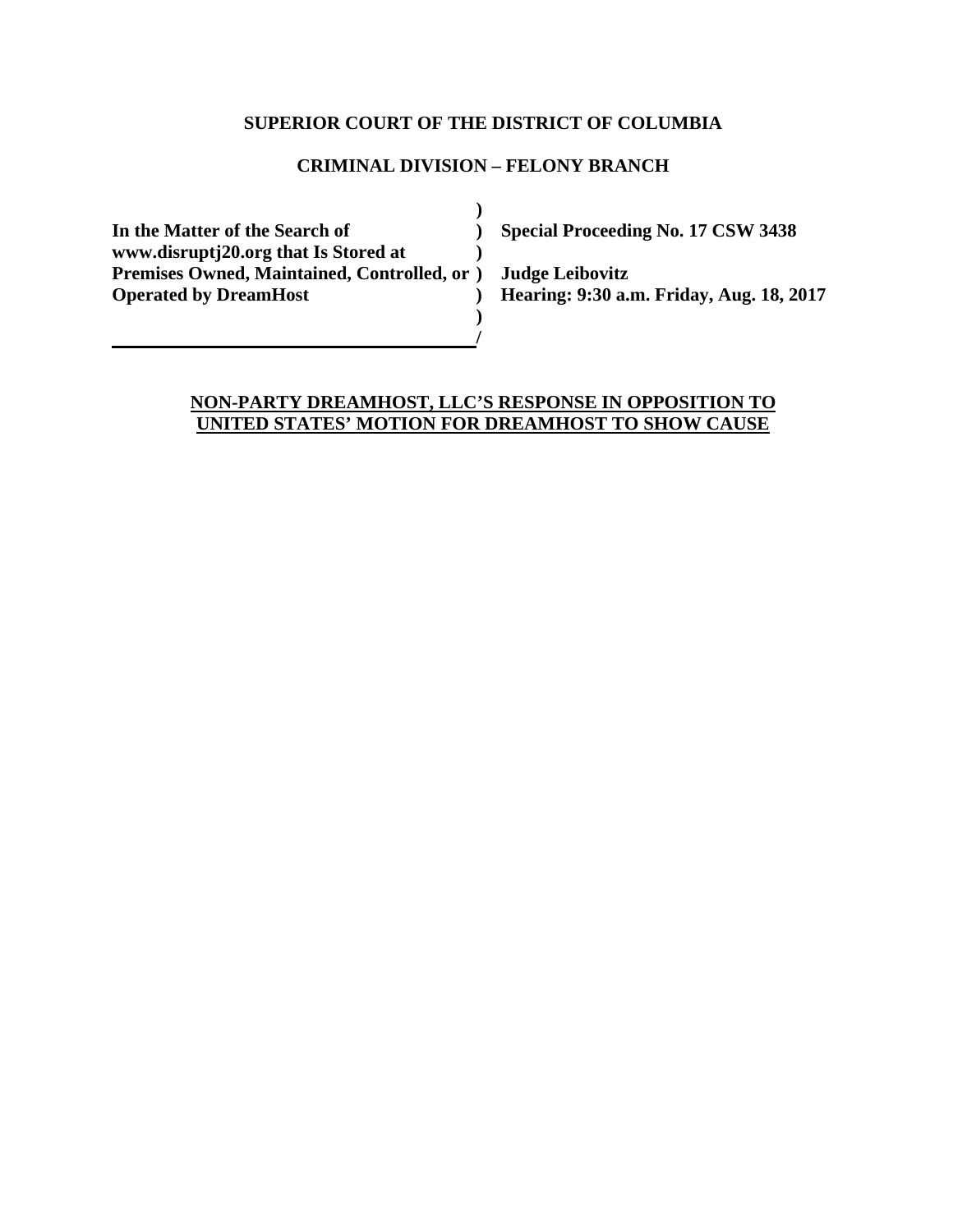## **SUPERIOR COURT OF THE DISTRICT OF COLUMBIA**

## **CRIMINAL DIVISION – FELONY BRANCH**

 **) In the Matter of the Search of ) Special Proceeding No. 17 CSW 3438 www.disruptj20.org that Is Stored at ) Premises Owned, Maintained, Controlled, or ) Judge Leibovitz Operated by DreamHost ) Hearing: 9:30 a.m. Friday, Aug. 18, 2017 )** 

*<i> /*  $\frac{1}{2}$  //  $\frac{1}{2}$  //  $\frac{1}{2}$  //  $\frac{1}{2}$  //  $\frac{1}{2}$  //  $\frac{1}{2}$  //  $\frac{1}{2}$  //  $\frac{1}{2}$  //  $\frac{1}{2}$  //  $\frac{1}{2}$  //  $\frac{1}{2}$  //  $\frac{1}{2}$  //  $\frac{1}{2}$  //  $\frac{1}{2}$  //  $\frac{1}{2}$  //  $\frac{1}{2}$  //  $\frac{1$ 

## **NON-PARTY DREAMHOST, LLC'S RESPONSE IN OPPOSITION TO UNITED STATES' MOTION FOR DREAMHOST TO SHOW CAUSE**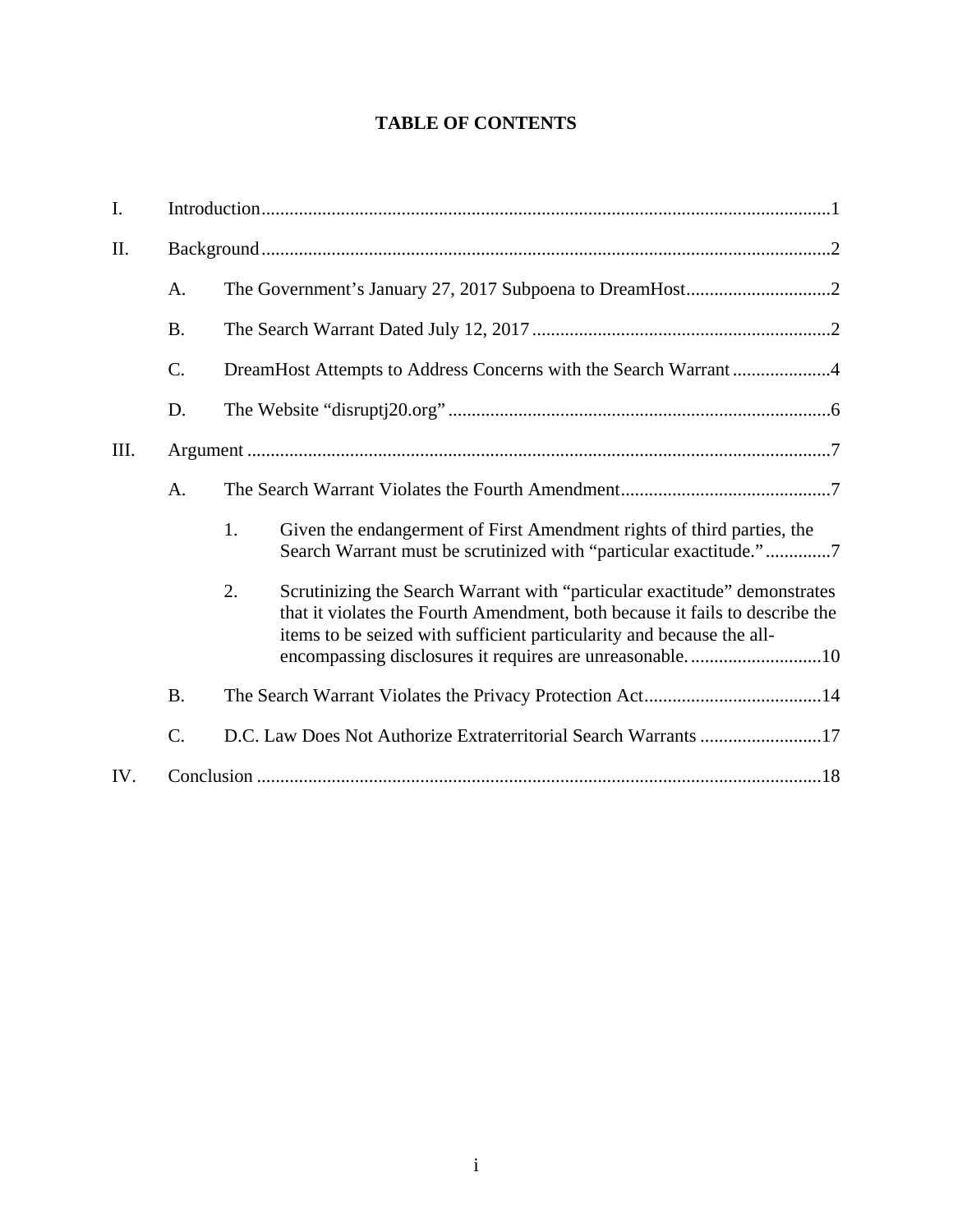# **TABLE OF CONTENTS**

| I.   |                 |                                                                                                                                                                                                                                                                                                     |  |  |
|------|-----------------|-----------------------------------------------------------------------------------------------------------------------------------------------------------------------------------------------------------------------------------------------------------------------------------------------------|--|--|
| Π.   |                 |                                                                                                                                                                                                                                                                                                     |  |  |
|      | A.              |                                                                                                                                                                                                                                                                                                     |  |  |
|      | <b>B.</b>       |                                                                                                                                                                                                                                                                                                     |  |  |
|      | $\mathcal{C}$ . | DreamHost Attempts to Address Concerns with the Search Warrant4                                                                                                                                                                                                                                     |  |  |
|      | D.              |                                                                                                                                                                                                                                                                                                     |  |  |
| III. |                 |                                                                                                                                                                                                                                                                                                     |  |  |
|      | A.              |                                                                                                                                                                                                                                                                                                     |  |  |
|      |                 | 1.<br>Given the endangerment of First Amendment rights of third parties, the<br>Search Warrant must be scrutinized with "particular exactitude."7                                                                                                                                                   |  |  |
|      |                 | Scrutinizing the Search Warrant with "particular exactitude" demonstrates<br>2.<br>that it violates the Fourth Amendment, both because it fails to describe the<br>items to be seized with sufficient particularity and because the all-<br>encompassing disclosures it requires are unreasonable10 |  |  |
|      | <b>B.</b>       |                                                                                                                                                                                                                                                                                                     |  |  |
|      | C.              | D.C. Law Does Not Authorize Extraterritorial Search Warrants 17                                                                                                                                                                                                                                     |  |  |
| IV.  |                 |                                                                                                                                                                                                                                                                                                     |  |  |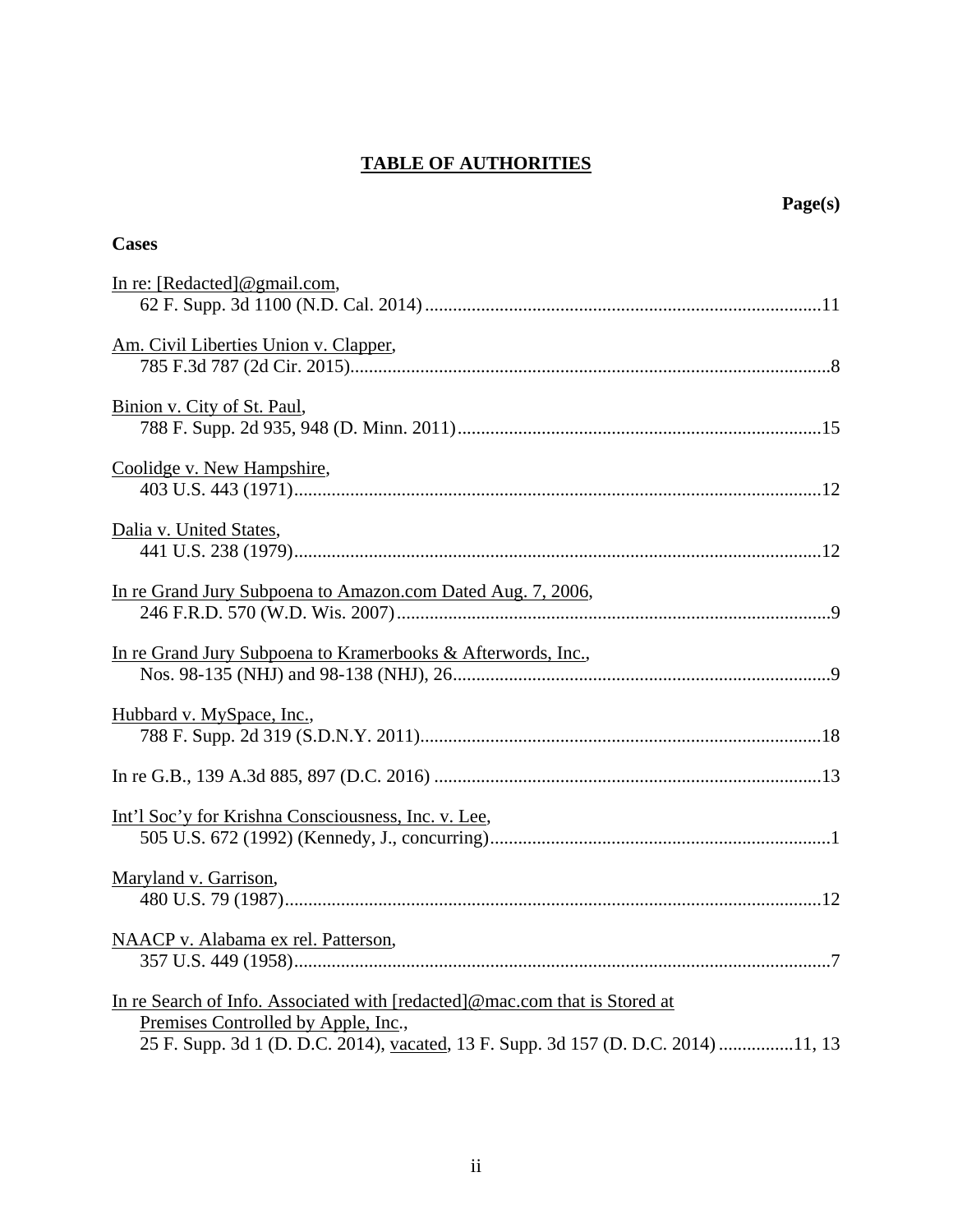# **TABLE OF AUTHORITIES**

| Page(s)                                                                                                                                                                                                 |
|---------------------------------------------------------------------------------------------------------------------------------------------------------------------------------------------------------|
| <b>Cases</b>                                                                                                                                                                                            |
| In re: $[Redacted]$ @gmail.com,                                                                                                                                                                         |
| Am. Civil Liberties Union v. Clapper,                                                                                                                                                                   |
| Binion v. City of St. Paul,                                                                                                                                                                             |
| Coolidge v. New Hampshire,                                                                                                                                                                              |
| Dalia v. United States,                                                                                                                                                                                 |
| In re Grand Jury Subpoena to Amazon.com Dated Aug. 7, 2006,                                                                                                                                             |
| In re Grand Jury Subpoena to Kramerbooks & Afterwords, Inc.,                                                                                                                                            |
| Hubbard v. MySpace, Inc.,                                                                                                                                                                               |
|                                                                                                                                                                                                         |
| Int'l Soc'y for Krishna Consciousness, Inc. v. Lee,                                                                                                                                                     |
| Maryland v. Garrison,                                                                                                                                                                                   |
| NAACP v. Alabama ex rel. Patterson,                                                                                                                                                                     |
| In re Search of Info. Associated with [redacted]@mac.com that is Stored at<br>Premises Controlled by Apple, Inc.,<br>25 F. Supp. 3d 1 (D. D.C. 2014), vacated, 13 F. Supp. 3d 157 (D. D.C. 2014) 11, 13 |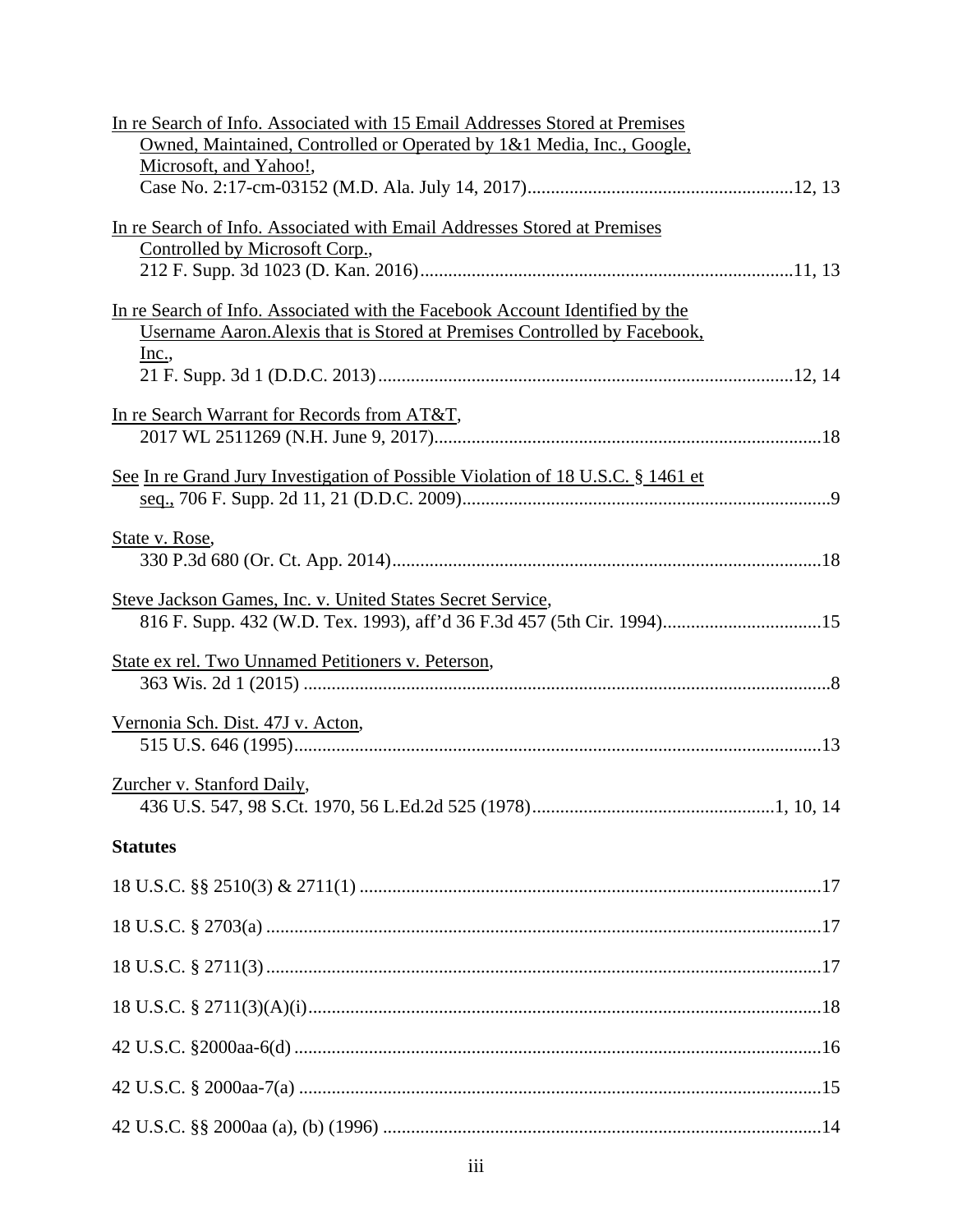| In re Search of Info. Associated with 15 Email Addresses Stored at Premises      |  |  |  |  |
|----------------------------------------------------------------------------------|--|--|--|--|
| Owned, Maintained, Controlled or Operated by 1&1 Media, Inc., Google,            |  |  |  |  |
| Microsoft, and Yahoo!,                                                           |  |  |  |  |
|                                                                                  |  |  |  |  |
| In re Search of Info. Associated with Email Addresses Stored at Premises         |  |  |  |  |
| Controlled by Microsoft Corp.,                                                   |  |  |  |  |
|                                                                                  |  |  |  |  |
| In re Search of Info. Associated with the Facebook Account Identified by the     |  |  |  |  |
| Username Aaron. Alexis that is Stored at Premises Controlled by Facebook,        |  |  |  |  |
| <u>Inc.</u> ,                                                                    |  |  |  |  |
|                                                                                  |  |  |  |  |
|                                                                                  |  |  |  |  |
| In re Search Warrant for Records from AT&T,                                      |  |  |  |  |
|                                                                                  |  |  |  |  |
| See In re Grand Jury Investigation of Possible Violation of 18 U.S.C. § 1461 et  |  |  |  |  |
|                                                                                  |  |  |  |  |
|                                                                                  |  |  |  |  |
| State v. Rose,                                                                   |  |  |  |  |
|                                                                                  |  |  |  |  |
| Steve Jackson Games, Inc. v. United States Secret Service,                       |  |  |  |  |
| 816 F. Supp. 432 (W.D. Tex. 1993), aff'd 36 F.3d 457 (5th Cir. 1994)15           |  |  |  |  |
|                                                                                  |  |  |  |  |
| State ex rel. Two Unnamed Petitioners v. Peterson,                               |  |  |  |  |
|                                                                                  |  |  |  |  |
| Vernonia Sch. Dist. 47J v. Acton,                                                |  |  |  |  |
|                                                                                  |  |  |  |  |
|                                                                                  |  |  |  |  |
| Zurcher v. Stanford Daily,<br>436 U.S. 547, 98 S.Ct. 1970, 56 L.Ed.2d 525 (1978) |  |  |  |  |
|                                                                                  |  |  |  |  |
| <b>Statutes</b>                                                                  |  |  |  |  |
|                                                                                  |  |  |  |  |
|                                                                                  |  |  |  |  |
|                                                                                  |  |  |  |  |
|                                                                                  |  |  |  |  |
|                                                                                  |  |  |  |  |
|                                                                                  |  |  |  |  |
|                                                                                  |  |  |  |  |
|                                                                                  |  |  |  |  |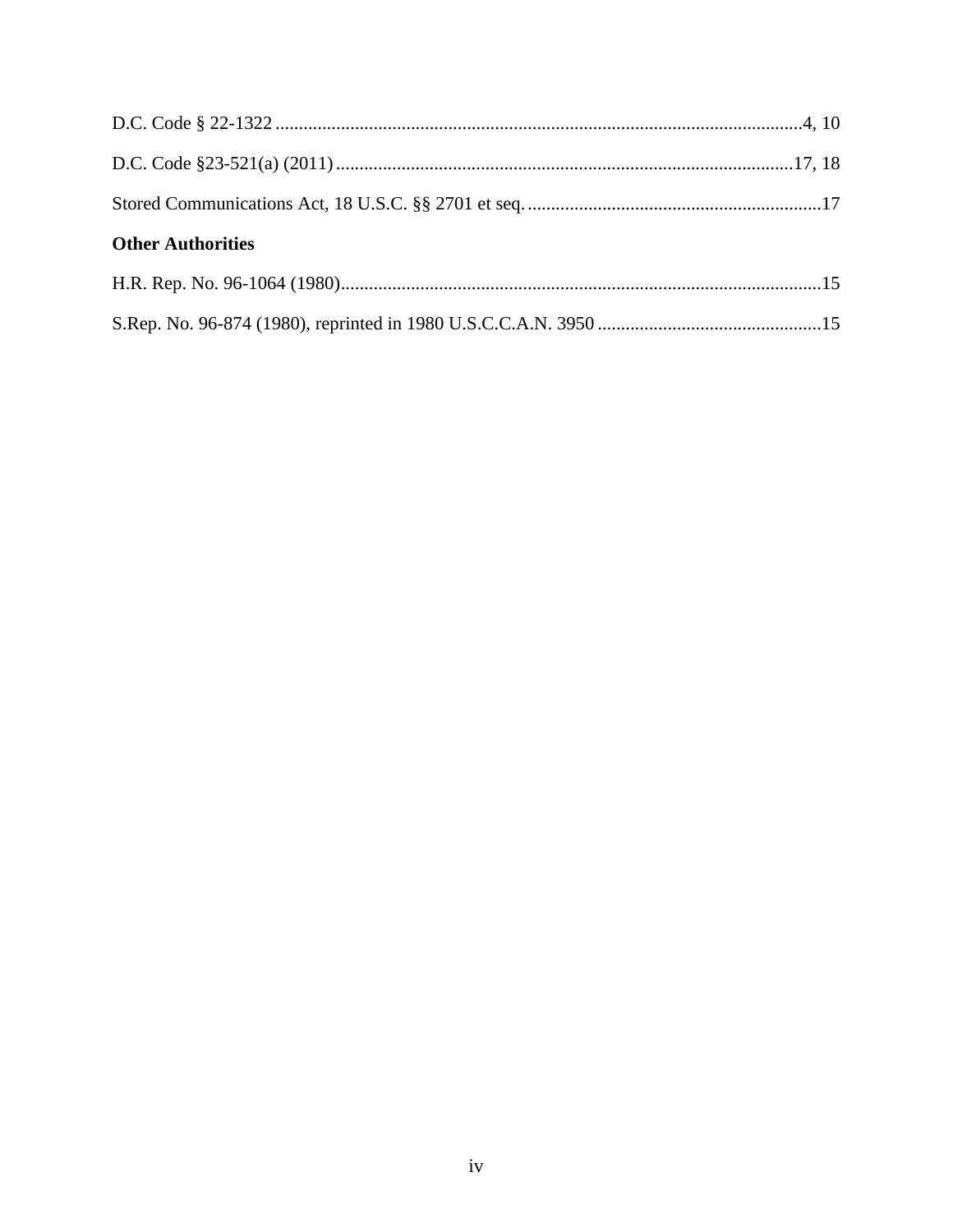| <b>Other Authorities</b> |  |  |  |  |
|--------------------------|--|--|--|--|
|                          |  |  |  |  |
|                          |  |  |  |  |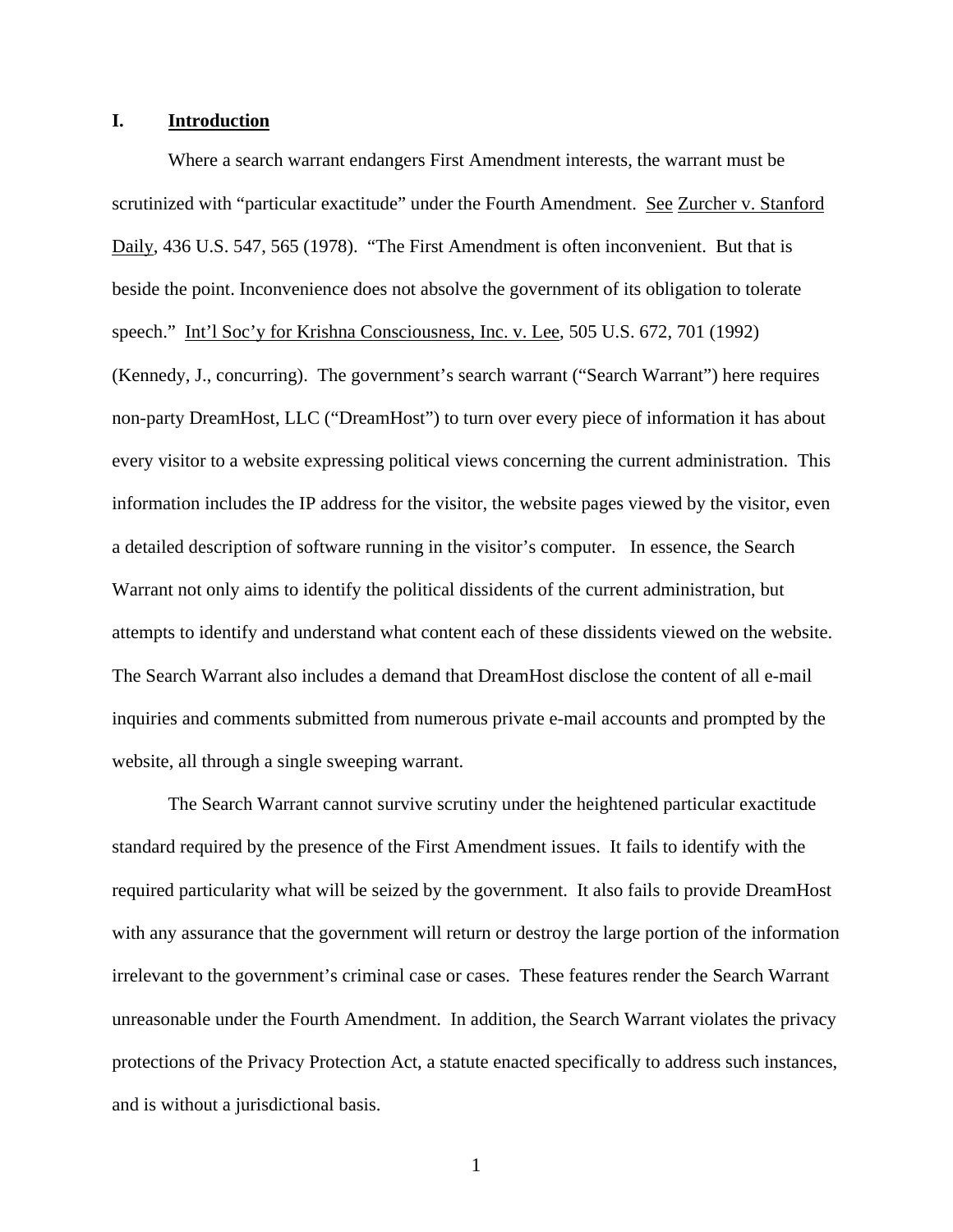### **I. Introduction**

Where a search warrant endangers First Amendment interests, the warrant must be scrutinized with "particular exactitude" under the Fourth Amendment. See Zurcher v. Stanford Daily, 436 U.S. 547, 565 (1978). "The First Amendment is often inconvenient. But that is beside the point. Inconvenience does not absolve the government of its obligation to tolerate speech." Int'l Soc'y for Krishna Consciousness, Inc. v. Lee, 505 U.S. 672, 701 (1992)

(Kennedy, J., concurring). The government's search warrant ("Search Warrant") here requires non-party DreamHost, LLC ("DreamHost") to turn over every piece of information it has about every visitor to a website expressing political views concerning the current administration. This information includes the IP address for the visitor, the website pages viewed by the visitor, even a detailed description of software running in the visitor's computer. In essence, the Search Warrant not only aims to identify the political dissidents of the current administration, but attempts to identify and understand what content each of these dissidents viewed on the website. The Search Warrant also includes a demand that DreamHost disclose the content of all e-mail inquiries and comments submitted from numerous private e-mail accounts and prompted by the website, all through a single sweeping warrant.

The Search Warrant cannot survive scrutiny under the heightened particular exactitude standard required by the presence of the First Amendment issues. It fails to identify with the required particularity what will be seized by the government. It also fails to provide DreamHost with any assurance that the government will return or destroy the large portion of the information irrelevant to the government's criminal case or cases. These features render the Search Warrant unreasonable under the Fourth Amendment. In addition, the Search Warrant violates the privacy protections of the Privacy Protection Act, a statute enacted specifically to address such instances, and is without a jurisdictional basis.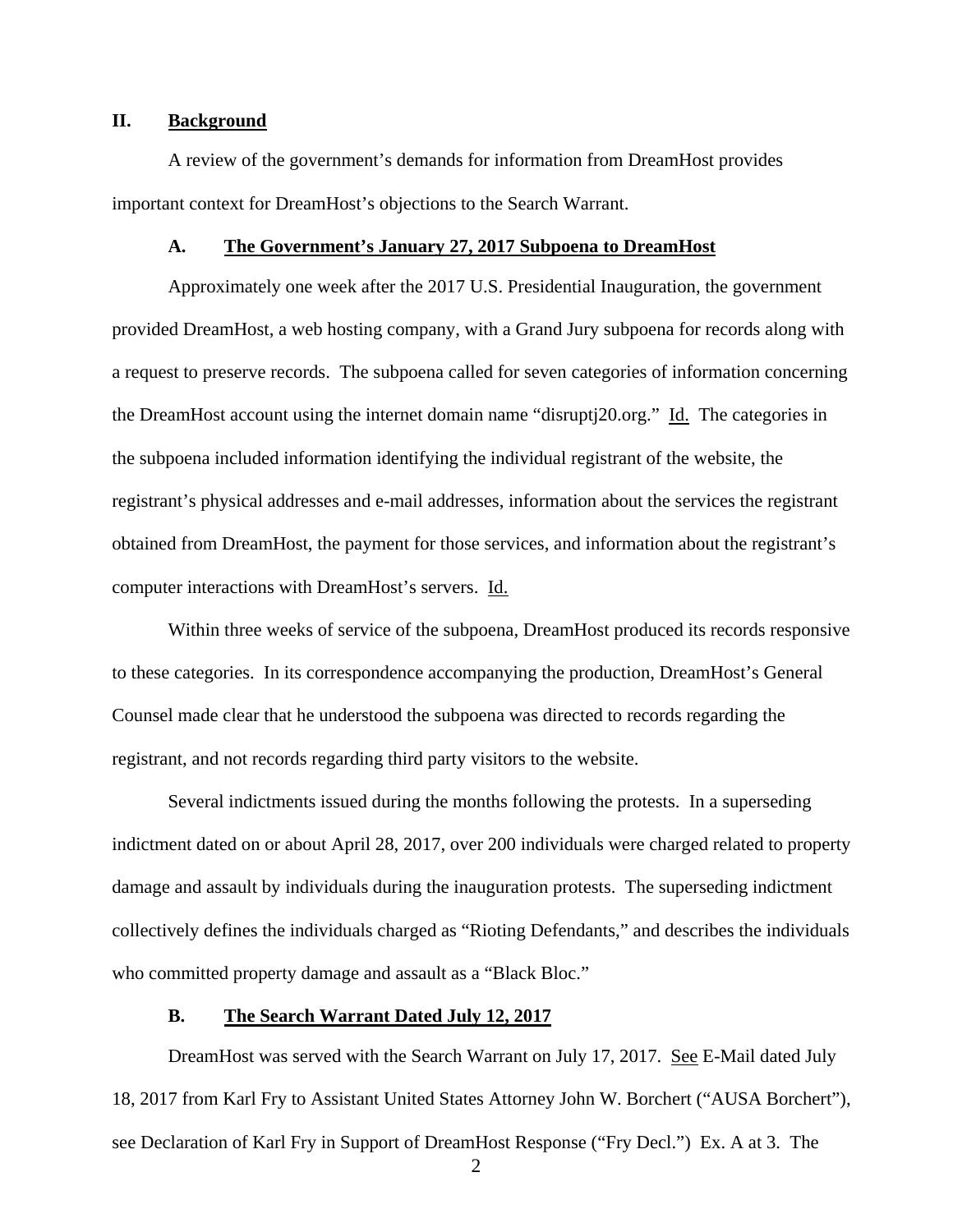## **II. Background**

A review of the government's demands for information from DreamHost provides important context for DreamHost's objections to the Search Warrant.

#### **A. The Government's January 27, 2017 Subpoena to DreamHost**

 Approximately one week after the 2017 U.S. Presidential Inauguration, the government provided DreamHost, a web hosting company, with a Grand Jury subpoena for records along with a request to preserve records. The subpoena called for seven categories of information concerning the DreamHost account using the internet domain name "disruptj20.org." Id. The categories in the subpoena included information identifying the individual registrant of the website, the registrant's physical addresses and e-mail addresses, information about the services the registrant obtained from DreamHost, the payment for those services, and information about the registrant's computer interactions with DreamHost's servers. Id.

 Within three weeks of service of the subpoena, DreamHost produced its records responsive to these categories. In its correspondence accompanying the production, DreamHost's General Counsel made clear that he understood the subpoena was directed to records regarding the registrant, and not records regarding third party visitors to the website.

 Several indictments issued during the months following the protests. In a superseding indictment dated on or about April 28, 2017, over 200 individuals were charged related to property damage and assault by individuals during the inauguration protests. The superseding indictment collectively defines the individuals charged as "Rioting Defendants," and describes the individuals who committed property damage and assault as a "Black Bloc."

#### **B. The Search Warrant Dated July 12, 2017**

DreamHost was served with the Search Warrant on July 17, 2017. See E-Mail dated July 18, 2017 from Karl Fry to Assistant United States Attorney John W. Borchert ("AUSA Borchert"), see Declaration of Karl Fry in Support of DreamHost Response ("Fry Decl.") Ex. A at 3. The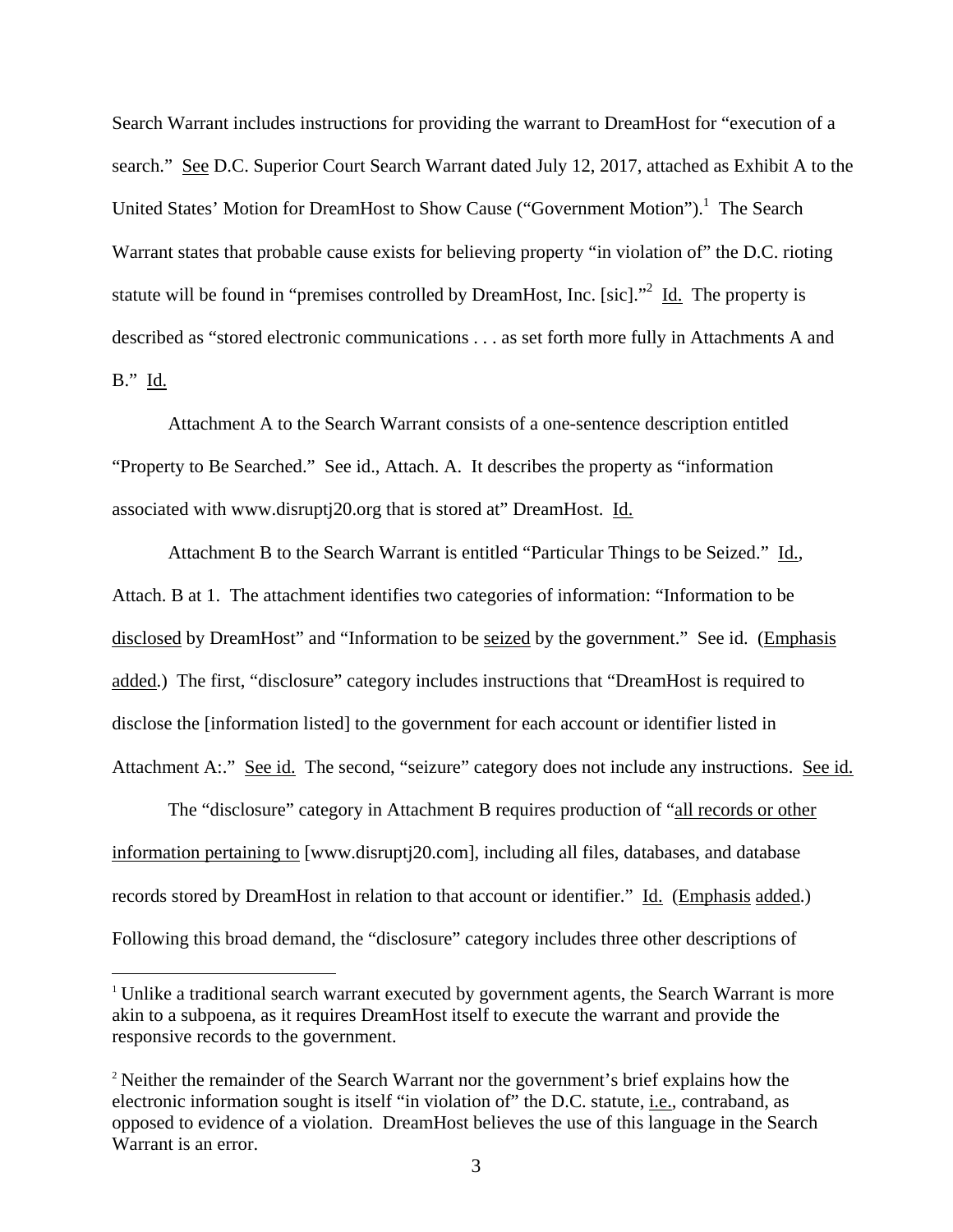Search Warrant includes instructions for providing the warrant to DreamHost for "execution of a search." See D.C. Superior Court Search Warrant dated July 12, 2017, attached as Exhibit A to the United States' Motion for DreamHost to Show Cause ("Government Motion").<sup>1</sup> The Search Warrant states that probable cause exists for believing property "in violation of" the D.C. rioting statute will be found in "premises controlled by DreamHost, Inc. [sic]."<sup>2</sup> Id. The property is described as "stored electronic communications . . . as set forth more fully in Attachments A and B." Id.

 Attachment A to the Search Warrant consists of a one-sentence description entitled "Property to Be Searched." See id., Attach. A. It describes the property as "information associated with www.disruptj20.org that is stored at" DreamHost. Id.

Attachment B to the Search Warrant is entitled "Particular Things to be Seized." Id., Attach. B at 1. The attachment identifies two categories of information: "Information to be disclosed by DreamHost" and "Information to be seized by the government." See id. (Emphasis added.) The first, "disclosure" category includes instructions that "DreamHost is required to disclose the [information listed] to the government for each account or identifier listed in Attachment A:." See id. The second, "seizure" category does not include any instructions. See id.

 The "disclosure" category in Attachment B requires production of "all records or other information pertaining to [www.disruptj20.com], including all files, databases, and database records stored by DreamHost in relation to that account or identifier." Id. (Emphasis added.) Following this broad demand, the "disclosure" category includes three other descriptions of

<sup>&</sup>lt;sup>1</sup> Unlike a traditional search warrant executed by government agents, the Search Warrant is more akin to a subpoena, as it requires DreamHost itself to execute the warrant and provide the responsive records to the government.

<sup>&</sup>lt;sup>2</sup> Neither the remainder of the Search Warrant nor the government's brief explains how the electronic information sought is itself "in violation of" the D.C. statute, i.e., contraband, as opposed to evidence of a violation. DreamHost believes the use of this language in the Search Warrant is an error.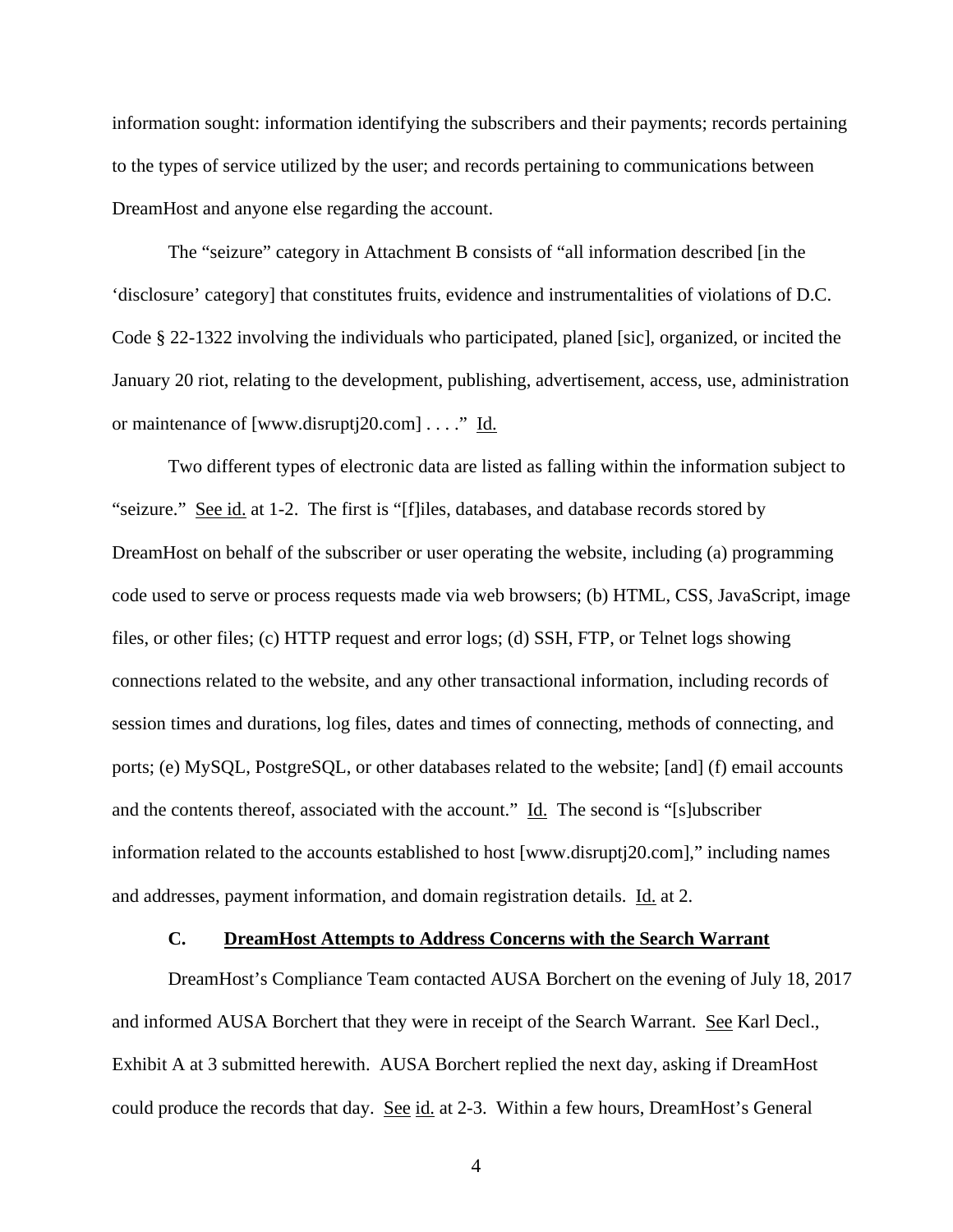information sought: information identifying the subscribers and their payments; records pertaining to the types of service utilized by the user; and records pertaining to communications between DreamHost and anyone else regarding the account.

 The "seizure" category in Attachment B consists of "all information described [in the 'disclosure' category] that constitutes fruits, evidence and instrumentalities of violations of D.C. Code § 22-1322 involving the individuals who participated, planed [sic], organized, or incited the January 20 riot, relating to the development, publishing, advertisement, access, use, administration or maintenance of [www.disruptj20.com] . . . ." Id.

Two different types of electronic data are listed as falling within the information subject to "seizure." See id. at 1-2. The first is "[f]iles, databases, and database records stored by DreamHost on behalf of the subscriber or user operating the website, including (a) programming code used to serve or process requests made via web browsers; (b) HTML, CSS, JavaScript, image files, or other files; (c) HTTP request and error logs; (d) SSH, FTP, or Telnet logs showing connections related to the website, and any other transactional information, including records of session times and durations, log files, dates and times of connecting, methods of connecting, and ports; (e) MySQL, PostgreSQL, or other databases related to the website; [and] (f) email accounts and the contents thereof, associated with the account." Id. The second is "[s]ubscriber information related to the accounts established to host [www.disruptj20.com]," including names and addresses, payment information, and domain registration details. Id. at 2.

### **C. DreamHost Attempts to Address Concerns with the Search Warrant**

DreamHost's Compliance Team contacted AUSA Borchert on the evening of July 18, 2017 and informed AUSA Borchert that they were in receipt of the Search Warrant. See Karl Decl., Exhibit A at 3 submitted herewith. AUSA Borchert replied the next day, asking if DreamHost could produce the records that day. See id. at 2-3. Within a few hours, DreamHost's General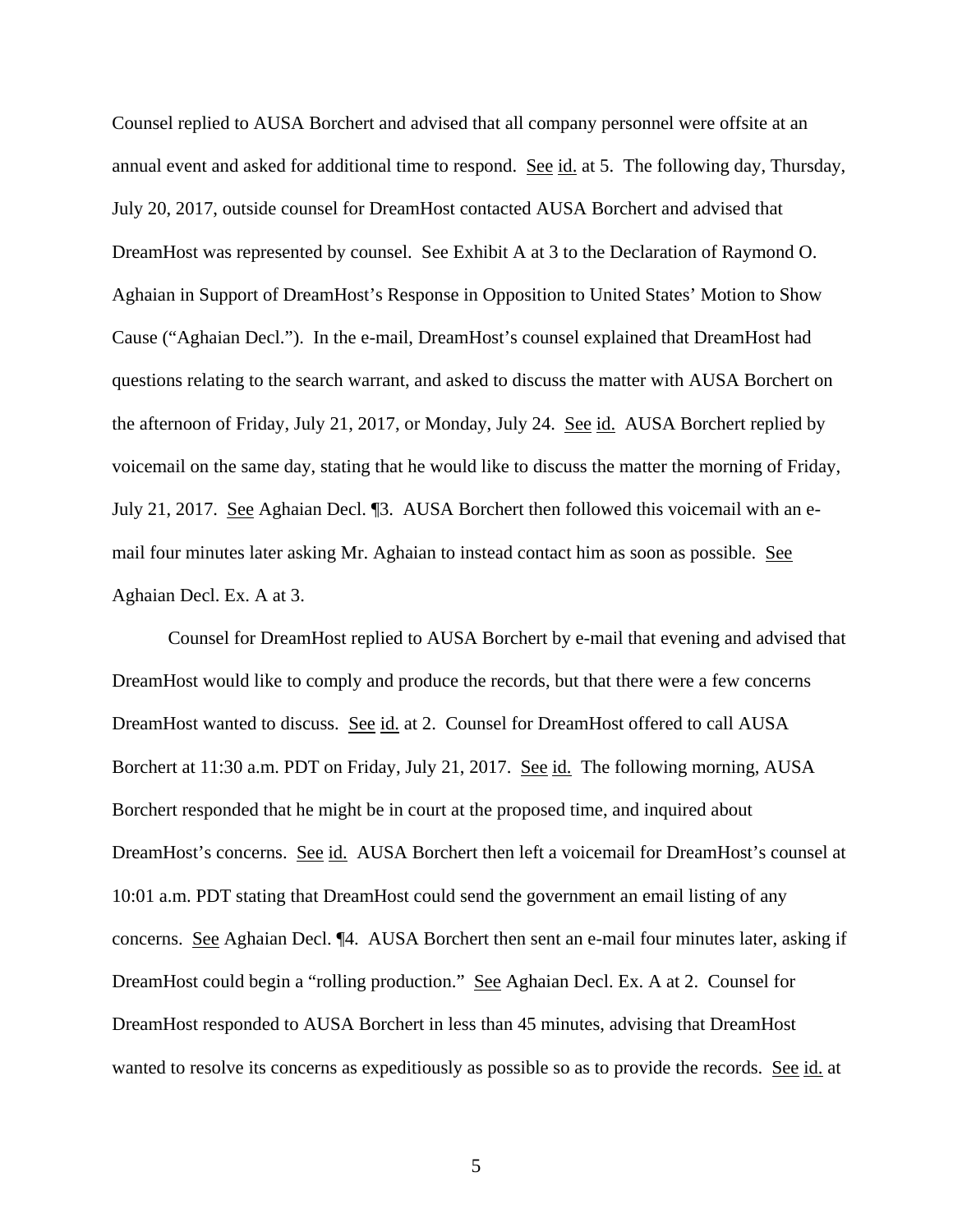Counsel replied to AUSA Borchert and advised that all company personnel were offsite at an annual event and asked for additional time to respond. See id. at 5. The following day, Thursday, July 20, 2017, outside counsel for DreamHost contacted AUSA Borchert and advised that DreamHost was represented by counsel. See Exhibit A at 3 to the Declaration of Raymond O. Aghaian in Support of DreamHost's Response in Opposition to United States' Motion to Show Cause ("Aghaian Decl."). In the e-mail, DreamHost's counsel explained that DreamHost had questions relating to the search warrant, and asked to discuss the matter with AUSA Borchert on the afternoon of Friday, July 21, 2017, or Monday, July 24. See id. AUSA Borchert replied by voicemail on the same day, stating that he would like to discuss the matter the morning of Friday, July 21, 2017. See Aghaian Decl. ¶3. AUSA Borchert then followed this voicemail with an email four minutes later asking Mr. Aghaian to instead contact him as soon as possible. See Aghaian Decl. Ex. A at 3.

 Counsel for DreamHost replied to AUSA Borchert by e-mail that evening and advised that DreamHost would like to comply and produce the records, but that there were a few concerns DreamHost wanted to discuss. See id. at 2. Counsel for DreamHost offered to call AUSA Borchert at 11:30 a.m. PDT on Friday, July 21, 2017. See id. The following morning, AUSA Borchert responded that he might be in court at the proposed time, and inquired about DreamHost's concerns. See id. AUSA Borchert then left a voicemail for DreamHost's counsel at 10:01 a.m. PDT stating that DreamHost could send the government an email listing of any concerns. See Aghaian Decl. ¶4. AUSA Borchert then sent an e-mail four minutes later, asking if DreamHost could begin a "rolling production." See Aghaian Decl. Ex. A at 2. Counsel for DreamHost responded to AUSA Borchert in less than 45 minutes, advising that DreamHost wanted to resolve its concerns as expeditiously as possible so as to provide the records. See id. at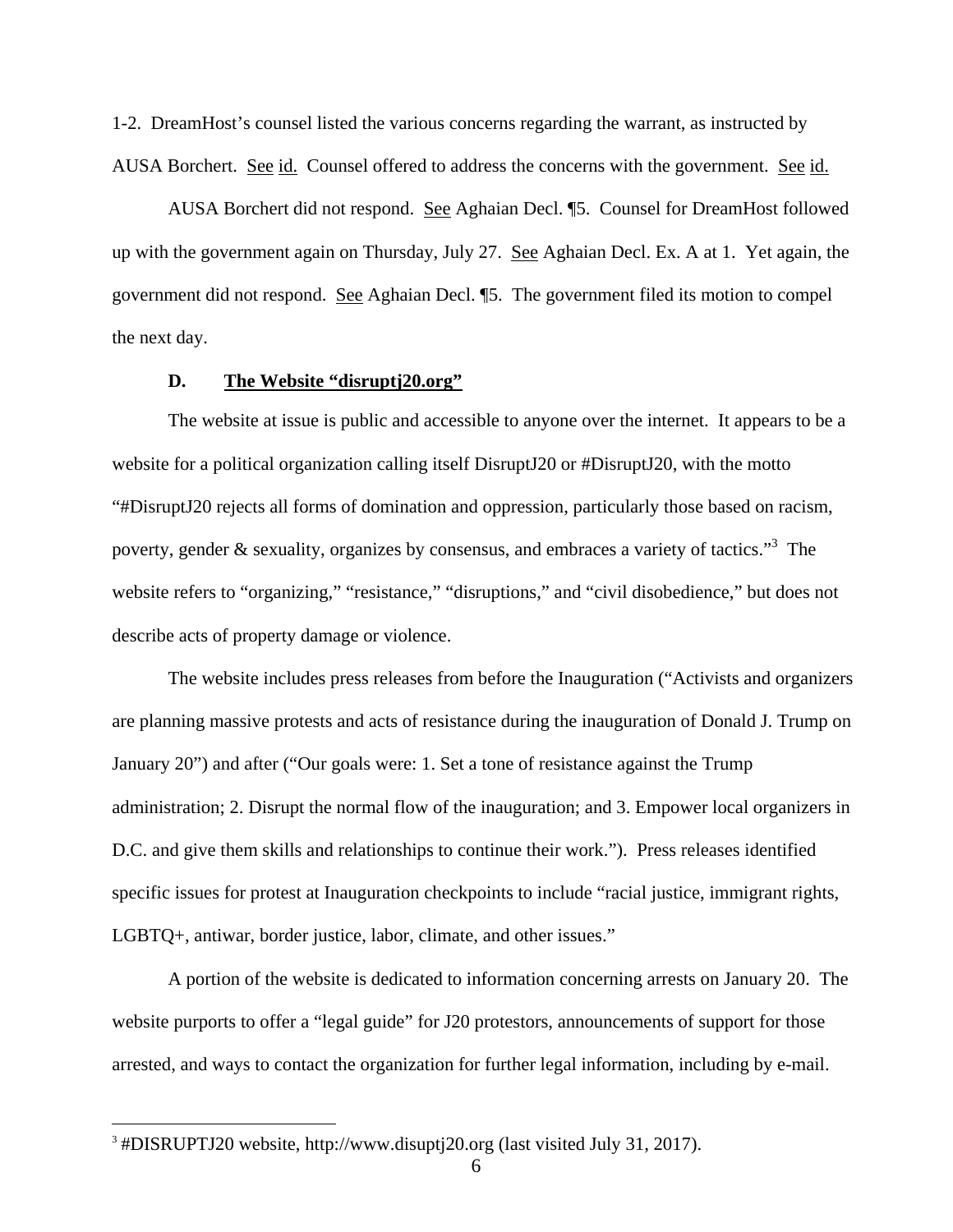1-2. DreamHost's counsel listed the various concerns regarding the warrant, as instructed by AUSA Borchert. See id. Counsel offered to address the concerns with the government. See id.

AUSA Borchert did not respond. See Aghaian Decl. ¶5. Counsel for DreamHost followed up with the government again on Thursday, July 27. See Aghaian Decl. Ex. A at 1. Yet again, the government did not respond. See Aghaian Decl. ¶5. The government filed its motion to compel the next day.

## **D. The Website "disruptj20.org"**

The website at issue is public and accessible to anyone over the internet. It appears to be a website for a political organization calling itself DisruptJ20 or #DisruptJ20, with the motto "#DisruptJ20 rejects all forms of domination and oppression, particularly those based on racism, poverty, gender & sexuality, organizes by consensus, and embraces a variety of tactics."<sup>3</sup> The website refers to "organizing," "resistance," "disruptions," and "civil disobedience," but does not describe acts of property damage or violence.

The website includes press releases from before the Inauguration ("Activists and organizers are planning massive protests and acts of resistance during the inauguration of Donald J. Trump on January 20") and after ("Our goals were: 1. Set a tone of resistance against the Trump administration; 2. Disrupt the normal flow of the inauguration; and 3. Empower local organizers in D.C. and give them skills and relationships to continue their work."). Press releases identified specific issues for protest at Inauguration checkpoints to include "racial justice, immigrant rights, LGBTQ+, antiwar, border justice, labor, climate, and other issues."

 A portion of the website is dedicated to information concerning arrests on January 20. The website purports to offer a "legal guide" for J20 protestors, announcements of support for those arrested, and ways to contact the organization for further legal information, including by e-mail.

 $\overline{a}$ 

<sup>3</sup> #DISRUPTJ20 website, http://www.disuptj20.org (last visited July 31, 2017).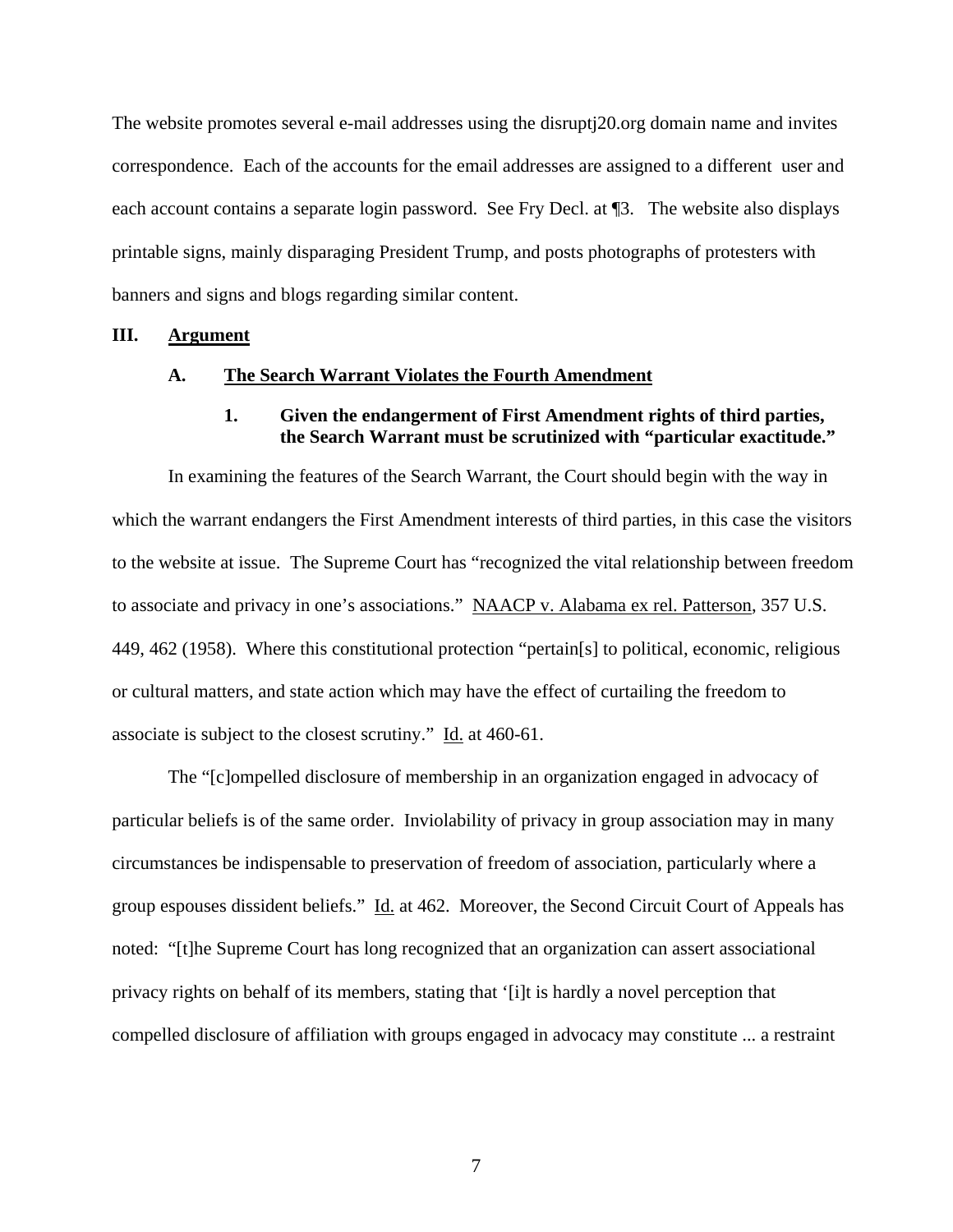The website promotes several e-mail addresses using the disruptj20.org domain name and invites correspondence. Each of the accounts for the email addresses are assigned to a different user and each account contains a separate login password. See Fry Decl. at ¶3. The website also displays printable signs, mainly disparaging President Trump, and posts photographs of protesters with banners and signs and blogs regarding similar content.

#### **III. Argument**

#### **A. The Search Warrant Violates the Fourth Amendment**

## **1. Given the endangerment of First Amendment rights of third parties, the Search Warrant must be scrutinized with "particular exactitude."**

In examining the features of the Search Warrant, the Court should begin with the way in which the warrant endangers the First Amendment interests of third parties, in this case the visitors to the website at issue. The Supreme Court has "recognized the vital relationship between freedom to associate and privacy in one's associations." NAACP v. Alabama ex rel. Patterson, 357 U.S. 449, 462 (1958). Where this constitutional protection "pertain[s] to political, economic, religious or cultural matters, and state action which may have the effect of curtailing the freedom to associate is subject to the closest scrutiny." Id. at 460-61.

The "[c]ompelled disclosure of membership in an organization engaged in advocacy of particular beliefs is of the same order. Inviolability of privacy in group association may in many circumstances be indispensable to preservation of freedom of association, particularly where a group espouses dissident beliefs." Id. at 462. Moreover, the Second Circuit Court of Appeals has noted: "[t]he Supreme Court has long recognized that an organization can assert associational privacy rights on behalf of its members, stating that '[i]t is hardly a novel perception that compelled disclosure of affiliation with groups engaged in advocacy may constitute ... a restraint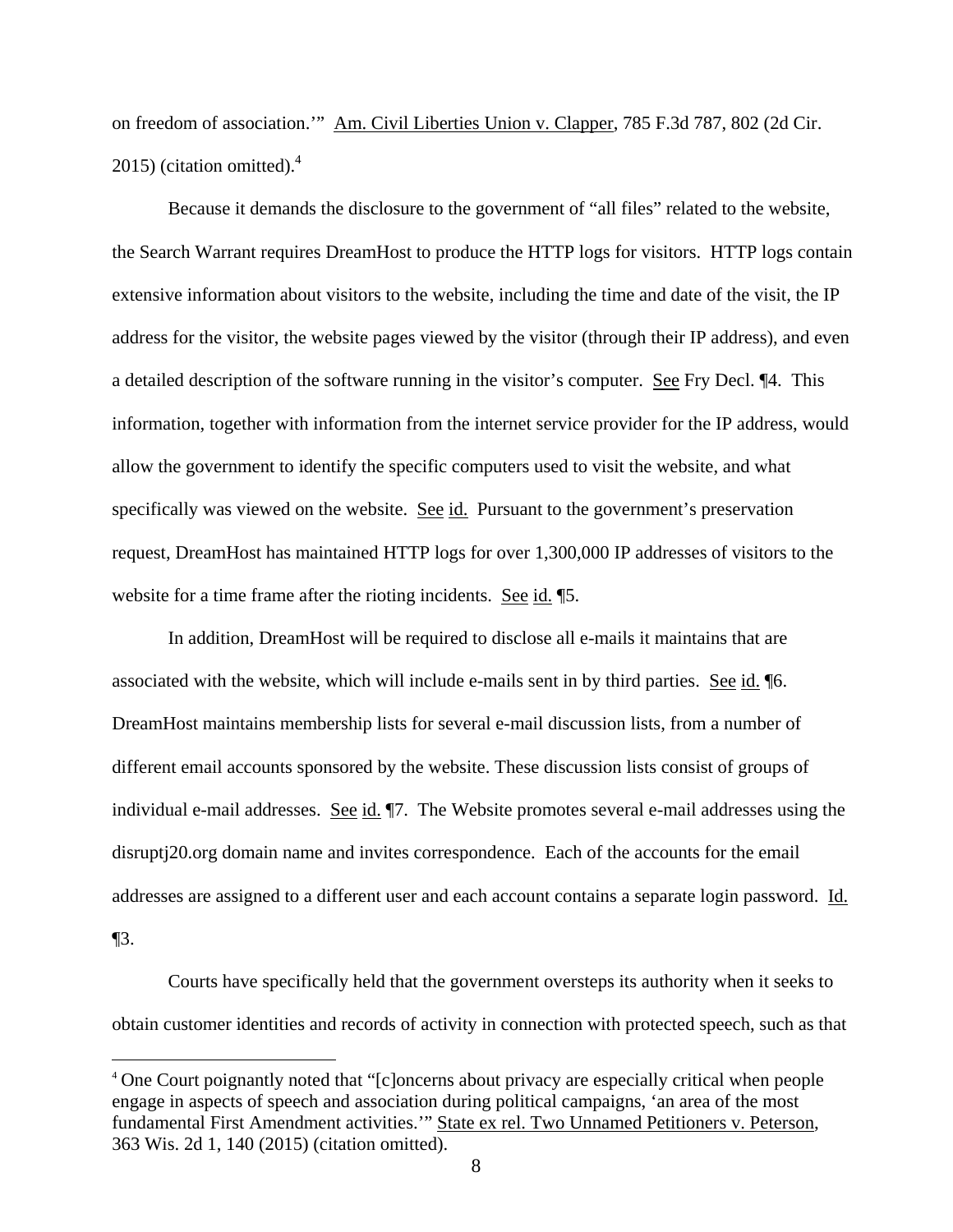on freedom of association.'" Am. Civil Liberties Union v. Clapper, 785 F.3d 787, 802 (2d Cir. 2015) (citation omitted). $4$ 

Because it demands the disclosure to the government of "all files" related to the website, the Search Warrant requires DreamHost to produce the HTTP logs for visitors. HTTP logs contain extensive information about visitors to the website, including the time and date of the visit, the IP address for the visitor, the website pages viewed by the visitor (through their IP address), and even a detailed description of the software running in the visitor's computer. See Fry Decl. ¶4. This information, together with information from the internet service provider for the IP address, would allow the government to identify the specific computers used to visit the website, and what specifically was viewed on the website. See id. Pursuant to the government's preservation request, DreamHost has maintained HTTP logs for over 1,300,000 IP addresses of visitors to the website for a time frame after the rioting incidents. See id. ¶5.

In addition, DreamHost will be required to disclose all e-mails it maintains that are associated with the website, which will include e-mails sent in by third parties. See id. ¶6. DreamHost maintains membership lists for several e-mail discussion lists, from a number of different email accounts sponsored by the website. These discussion lists consist of groups of individual e-mail addresses. See id. ¶7. The Website promotes several e-mail addresses using the disruptj20.org domain name and invites correspondence. Each of the accounts for the email addresses are assigned to a different user and each account contains a separate login password. Id. ¶3.

Courts have specifically held that the government oversteps its authority when it seeks to obtain customer identities and records of activity in connection with protected speech, such as that

l

<sup>&</sup>lt;sup>4</sup> One Court poignantly noted that "[c]oncerns about privacy are especially critical when people engage in aspects of speech and association during political campaigns, 'an area of the most fundamental First Amendment activities.'" State ex rel. Two Unnamed Petitioners v. Peterson, 363 Wis. 2d 1, 140 (2015) (citation omitted).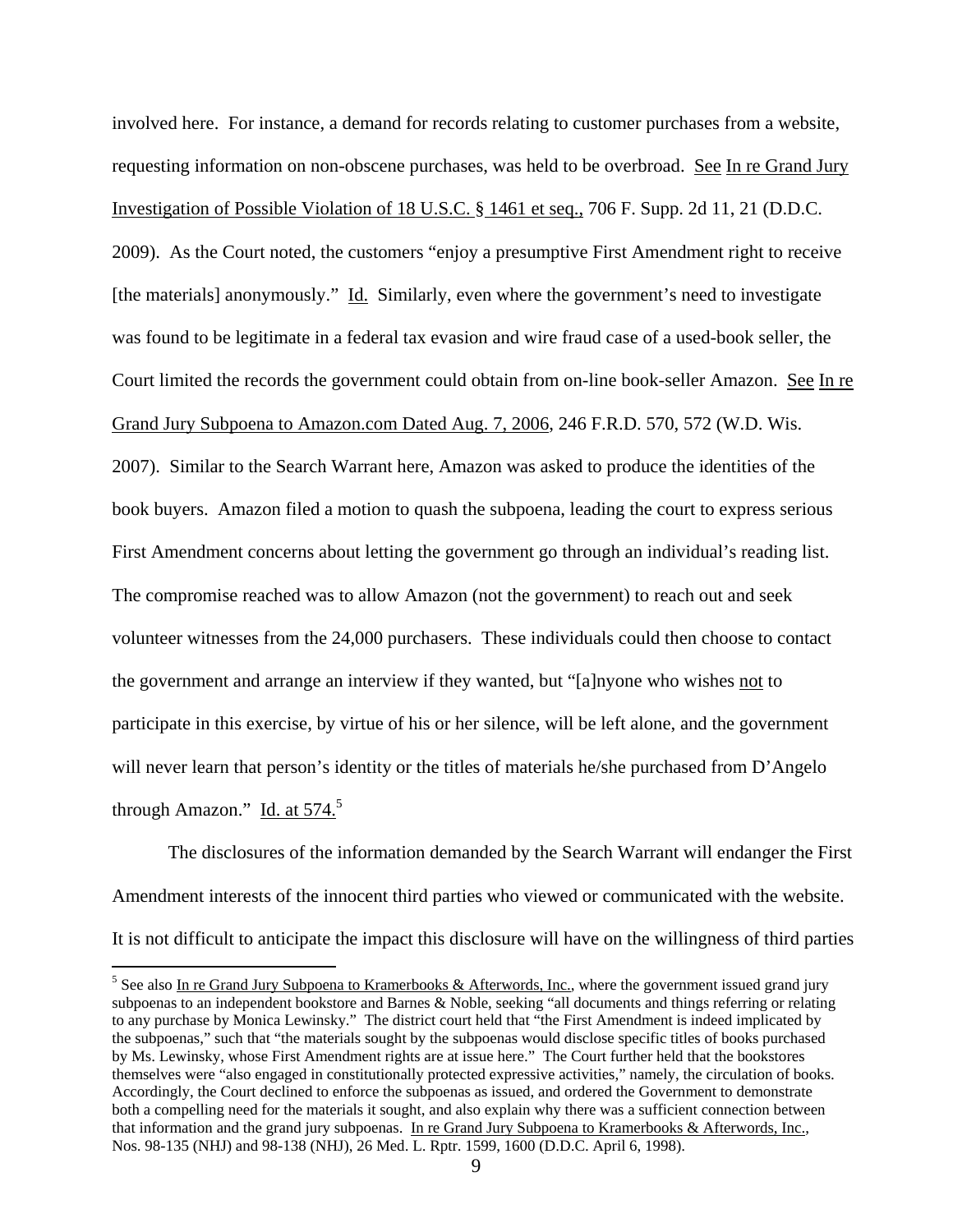involved here. For instance, a demand for records relating to customer purchases from a website, requesting information on non-obscene purchases, was held to be overbroad. See In re Grand Jury Investigation of Possible Violation of 18 U.S.C. § 1461 et seq., 706 F. Supp. 2d 11, 21 (D.D.C. 2009). As the Court noted, the customers "enjoy a presumptive First Amendment right to receive [the materials] anonymously." Id. Similarly, even where the government's need to investigate was found to be legitimate in a federal tax evasion and wire fraud case of a used-book seller, the Court limited the records the government could obtain from on-line book-seller Amazon. See In re Grand Jury Subpoena to Amazon.com Dated Aug. 7, 2006, 246 F.R.D. 570, 572 (W.D. Wis. 2007). Similar to the Search Warrant here, Amazon was asked to produce the identities of the book buyers. Amazon filed a motion to quash the subpoena, leading the court to express serious First Amendment concerns about letting the government go through an individual's reading list. The compromise reached was to allow Amazon (not the government) to reach out and seek volunteer witnesses from the 24,000 purchasers. These individuals could then choose to contact the government and arrange an interview if they wanted, but "[a]nyone who wishes not to participate in this exercise, by virtue of his or her silence, will be left alone, and the government will never learn that person's identity or the titles of materials he/she purchased from D'Angelo

through Amazon." Id. at 574.<sup>5</sup>

The disclosures of the information demanded by the Search Warrant will endanger the First Amendment interests of the innocent third parties who viewed or communicated with the website. It is not difficult to anticipate the impact this disclosure will have on the willingness of third parties

<sup>&</sup>lt;sup>5</sup> See also In re Grand Jury Subpoena to Kramerbooks & Afterwords, Inc., where the government issued grand jury subpoenas to an independent bookstore and Barnes & Noble, seeking "all documents and things referring or relating to any purchase by Monica Lewinsky." The district court held that "the First Amendment is indeed implicated by the subpoenas," such that "the materials sought by the subpoenas would disclose specific titles of books purchased by Ms. Lewinsky, whose First Amendment rights are at issue here." The Court further held that the bookstores themselves were "also engaged in constitutionally protected expressive activities," namely, the circulation of books. Accordingly, the Court declined to enforce the subpoenas as issued, and ordered the Government to demonstrate both a compelling need for the materials it sought, and also explain why there was a sufficient connection between that information and the grand jury subpoenas. In re Grand Jury Subpoena to Kramerbooks & Afterwords, Inc., Nos. 98-135 (NHJ) and 98-138 (NHJ), 26 Med. L. Rptr. 1599, 1600 (D.D.C. April 6, 1998).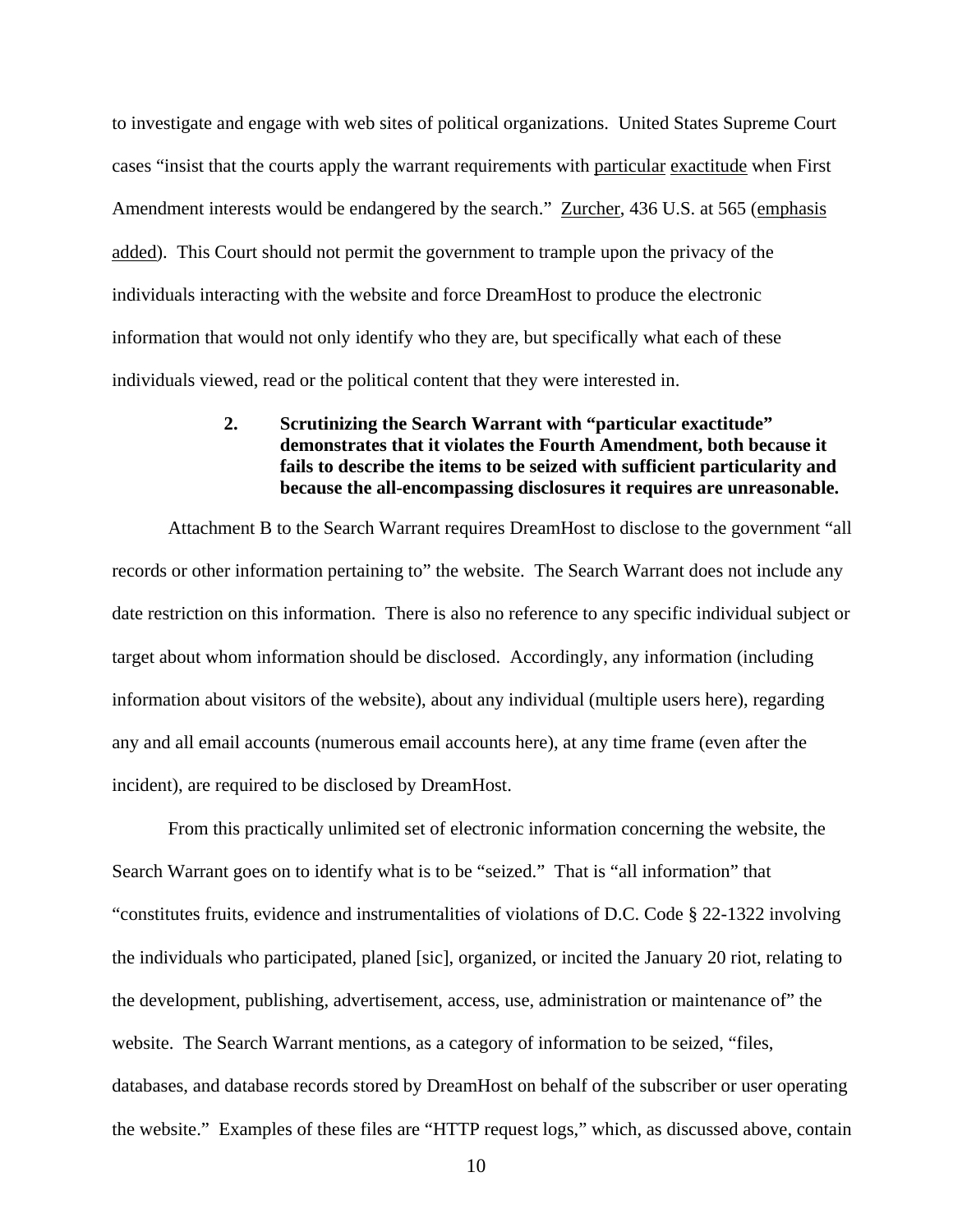to investigate and engage with web sites of political organizations. United States Supreme Court cases "insist that the courts apply the warrant requirements with particular exactitude when First Amendment interests would be endangered by the search." Zurcher, 436 U.S. at 565 (emphasis added). This Court should not permit the government to trample upon the privacy of the individuals interacting with the website and force DreamHost to produce the electronic information that would not only identify who they are, but specifically what each of these individuals viewed, read or the political content that they were interested in.

## **2. Scrutinizing the Search Warrant with "particular exactitude" demonstrates that it violates the Fourth Amendment, both because it fails to describe the items to be seized with sufficient particularity and because the all-encompassing disclosures it requires are unreasonable.**

 Attachment B to the Search Warrant requires DreamHost to disclose to the government "all records or other information pertaining to" the website. The Search Warrant does not include any date restriction on this information. There is also no reference to any specific individual subject or target about whom information should be disclosed. Accordingly, any information (including information about visitors of the website), about any individual (multiple users here), regarding any and all email accounts (numerous email accounts here), at any time frame (even after the incident), are required to be disclosed by DreamHost.

 From this practically unlimited set of electronic information concerning the website, the Search Warrant goes on to identify what is to be "seized." That is "all information" that "constitutes fruits, evidence and instrumentalities of violations of D.C. Code § 22-1322 involving the individuals who participated, planed [sic], organized, or incited the January 20 riot, relating to the development, publishing, advertisement, access, use, administration or maintenance of" the website. The Search Warrant mentions, as a category of information to be seized, "files, databases, and database records stored by DreamHost on behalf of the subscriber or user operating the website." Examples of these files are "HTTP request logs," which, as discussed above, contain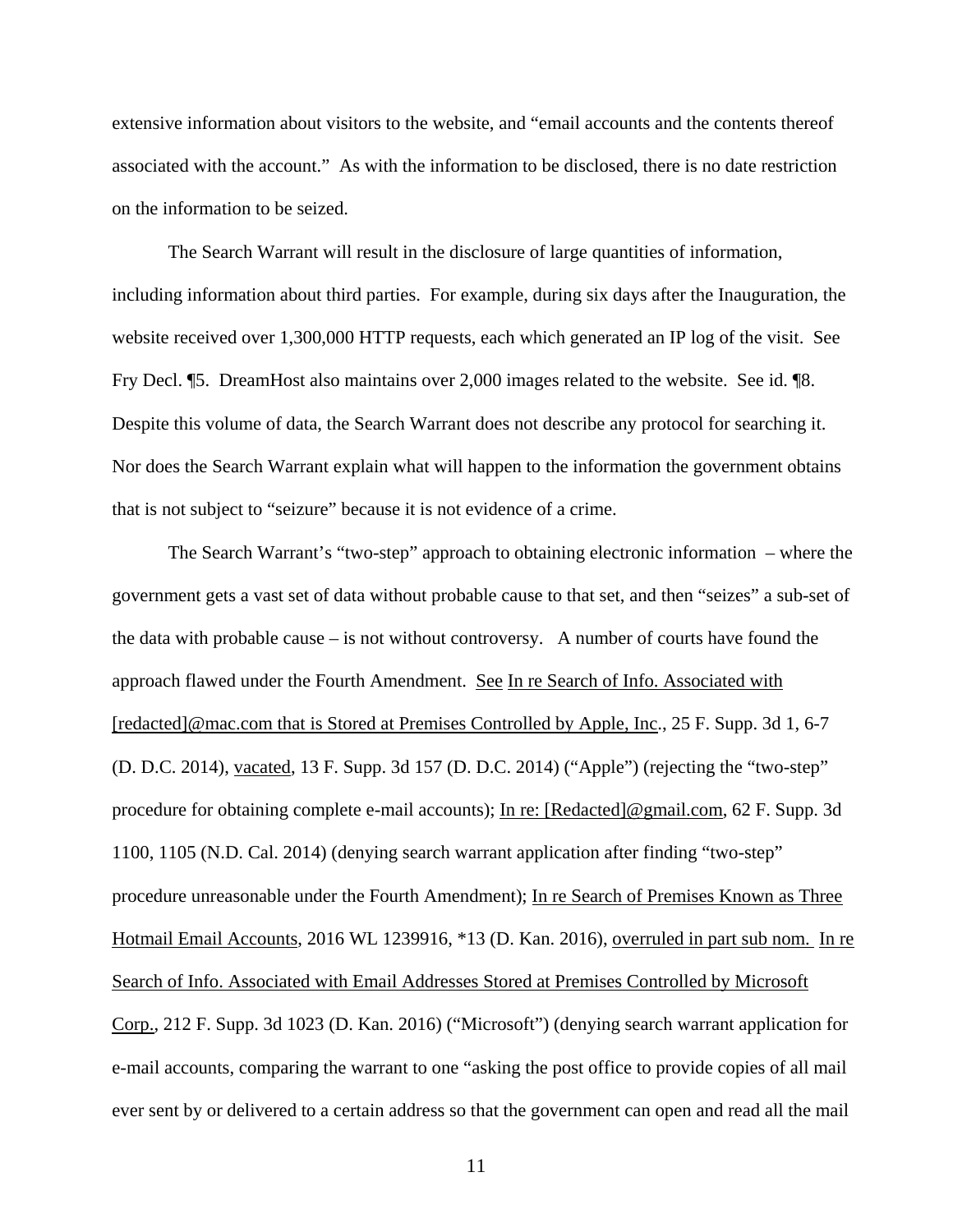extensive information about visitors to the website, and "email accounts and the contents thereof associated with the account." As with the information to be disclosed, there is no date restriction on the information to be seized.

 The Search Warrant will result in the disclosure of large quantities of information, including information about third parties. For example, during six days after the Inauguration, the website received over 1,300,000 HTTP requests, each which generated an IP log of the visit. See Fry Decl. ¶5. DreamHost also maintains over 2,000 images related to the website. See id. ¶8. Despite this volume of data, the Search Warrant does not describe any protocol for searching it. Nor does the Search Warrant explain what will happen to the information the government obtains that is not subject to "seizure" because it is not evidence of a crime.

 The Search Warrant's "two-step" approach to obtaining electronic information – where the government gets a vast set of data without probable cause to that set, and then "seizes" a sub-set of the data with probable cause – is not without controversy. A number of courts have found the approach flawed under the Fourth Amendment. See In re Search of Info. Associated with [redacted]@mac.com that is Stored at Premises Controlled by Apple, Inc., 25 F. Supp. 3d 1, 6-7 (D. D.C. 2014), vacated, 13 F. Supp. 3d 157 (D. D.C. 2014) ("Apple") (rejecting the "two-step" procedure for obtaining complete e-mail accounts); In re: [Redacted]@gmail.com, 62 F. Supp. 3d 1100, 1105 (N.D. Cal. 2014) (denying search warrant application after finding "two-step" procedure unreasonable under the Fourth Amendment); In re Search of Premises Known as Three Hotmail Email Accounts, 2016 WL 1239916, \*13 (D. Kan. 2016), overruled in part sub nom. In re Search of Info. Associated with Email Addresses Stored at Premises Controlled by Microsoft Corp., 212 F. Supp. 3d 1023 (D. Kan. 2016) ("Microsoft") (denying search warrant application for e-mail accounts, comparing the warrant to one "asking the post office to provide copies of all mail ever sent by or delivered to a certain address so that the government can open and read all the mail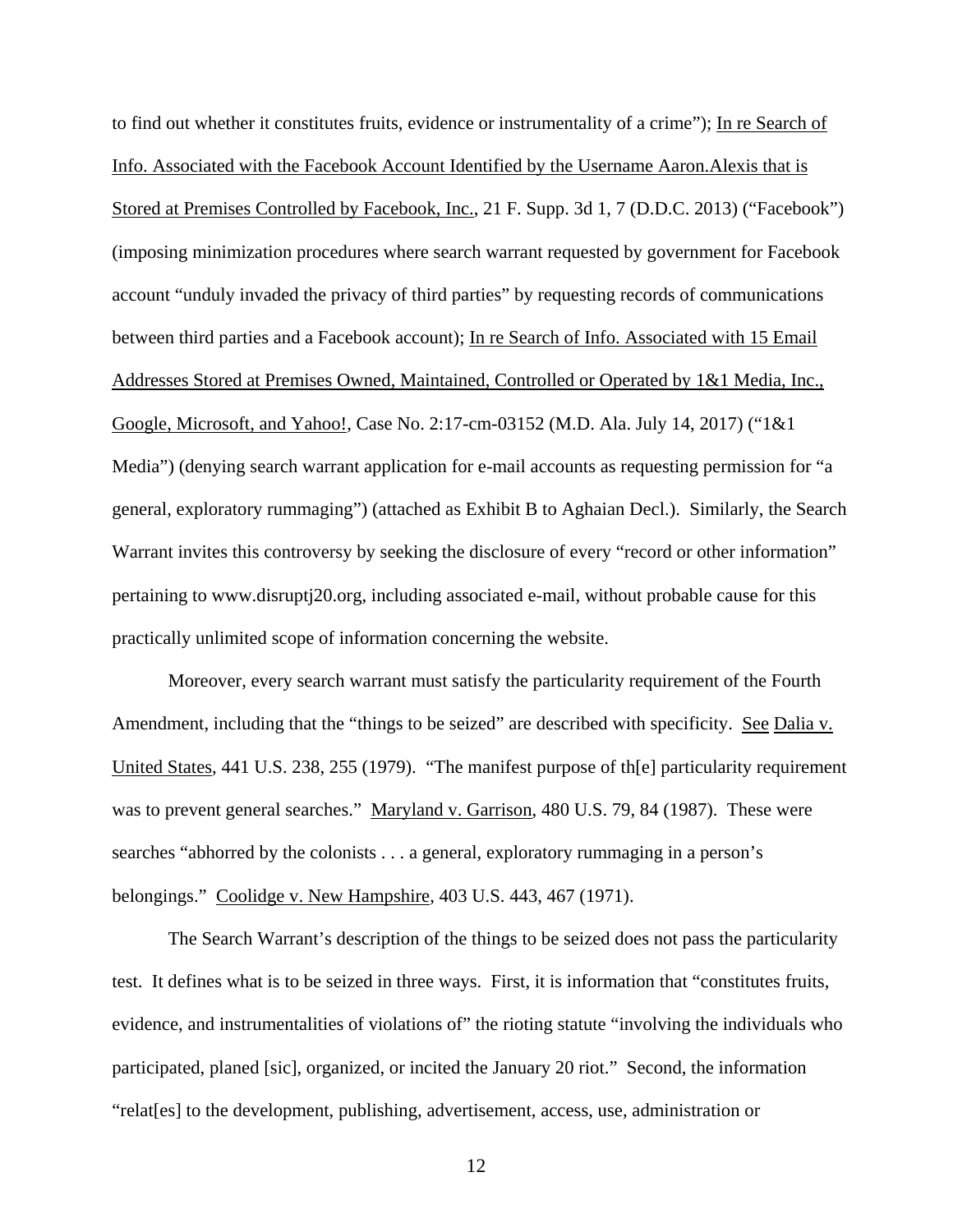to find out whether it constitutes fruits, evidence or instrumentality of a crime"); In re Search of Info. Associated with the Facebook Account Identified by the Username Aaron.Alexis that is Stored at Premises Controlled by Facebook, Inc., 21 F. Supp. 3d 1, 7 (D.D.C. 2013) ("Facebook") (imposing minimization procedures where search warrant requested by government for Facebook account "unduly invaded the privacy of third parties" by requesting records of communications between third parties and a Facebook account); In re Search of Info. Associated with 15 Email Addresses Stored at Premises Owned, Maintained, Controlled or Operated by 1&1 Media, Inc., Google, Microsoft, and Yahoo!, Case No. 2:17-cm-03152 (M.D. Ala. July 14, 2017) ("1&1 Media") (denying search warrant application for e-mail accounts as requesting permission for "a general, exploratory rummaging") (attached as Exhibit B to Aghaian Decl.). Similarly, the Search Warrant invites this controversy by seeking the disclosure of every "record or other information" pertaining to www.disruptj20.org, including associated e-mail, without probable cause for this practically unlimited scope of information concerning the website.

 Moreover, every search warrant must satisfy the particularity requirement of the Fourth Amendment, including that the "things to be seized" are described with specificity. See Dalia v. United States, 441 U.S. 238, 255 (1979). "The manifest purpose of th[e] particularity requirement was to prevent general searches." Maryland v. Garrison, 480 U.S. 79, 84 (1987). These were searches "abhorred by the colonists . . . a general, exploratory rummaging in a person's belongings." Coolidge v. New Hampshire, 403 U.S. 443, 467 (1971).

 The Search Warrant's description of the things to be seized does not pass the particularity test. It defines what is to be seized in three ways. First, it is information that "constitutes fruits, evidence, and instrumentalities of violations of" the rioting statute "involving the individuals who participated, planed [sic], organized, or incited the January 20 riot." Second, the information "relat[es] to the development, publishing, advertisement, access, use, administration or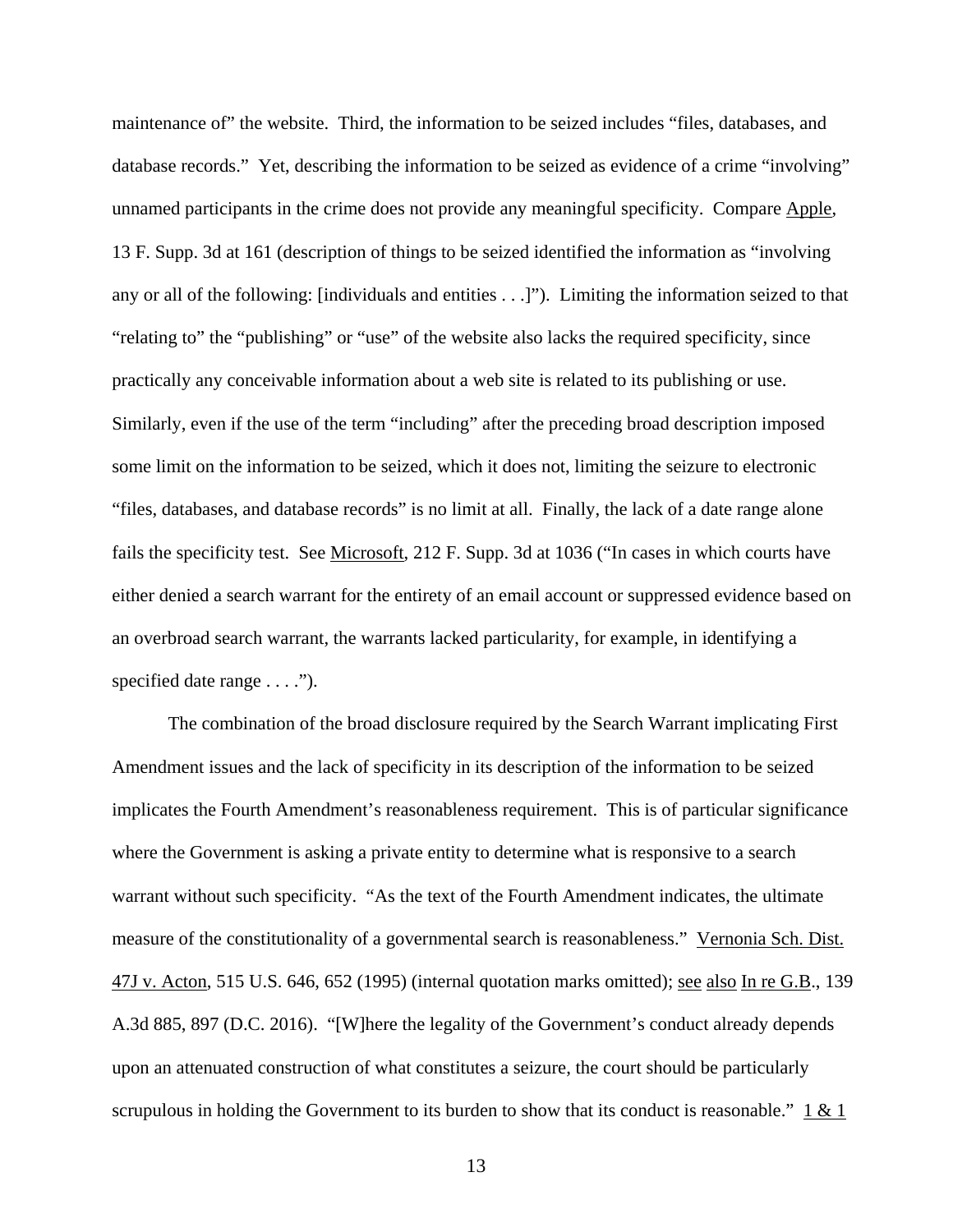maintenance of" the website. Third, the information to be seized includes "files, databases, and database records." Yet, describing the information to be seized as evidence of a crime "involving" unnamed participants in the crime does not provide any meaningful specificity. Compare Apple, 13 F. Supp. 3d at 161 (description of things to be seized identified the information as "involving any or all of the following: [individuals and entities . . .]"). Limiting the information seized to that "relating to" the "publishing" or "use" of the website also lacks the required specificity, since practically any conceivable information about a web site is related to its publishing or use. Similarly, even if the use of the term "including" after the preceding broad description imposed some limit on the information to be seized, which it does not, limiting the seizure to electronic "files, databases, and database records" is no limit at all. Finally, the lack of a date range alone fails the specificity test. See Microsoft, 212 F. Supp. 3d at 1036 ("In cases in which courts have either denied a search warrant for the entirety of an email account or suppressed evidence based on an overbroad search warrant, the warrants lacked particularity, for example, in identifying a specified date range  $\dots$ .").

 The combination of the broad disclosure required by the Search Warrant implicating First Amendment issues and the lack of specificity in its description of the information to be seized implicates the Fourth Amendment's reasonableness requirement. This is of particular significance where the Government is asking a private entity to determine what is responsive to a search warrant without such specificity. "As the text of the Fourth Amendment indicates, the ultimate measure of the constitutionality of a governmental search is reasonableness." Vernonia Sch. Dist. 47J v. Acton, 515 U.S. 646, 652 (1995) (internal quotation marks omitted); see also In re G.B., 139 A.3d 885, 897 (D.C. 2016). "[W]here the legality of the Government's conduct already depends upon an attenuated construction of what constitutes a seizure, the court should be particularly scrupulous in holding the Government to its burden to show that its conduct is reasonable."  $1 & 1 \& 1$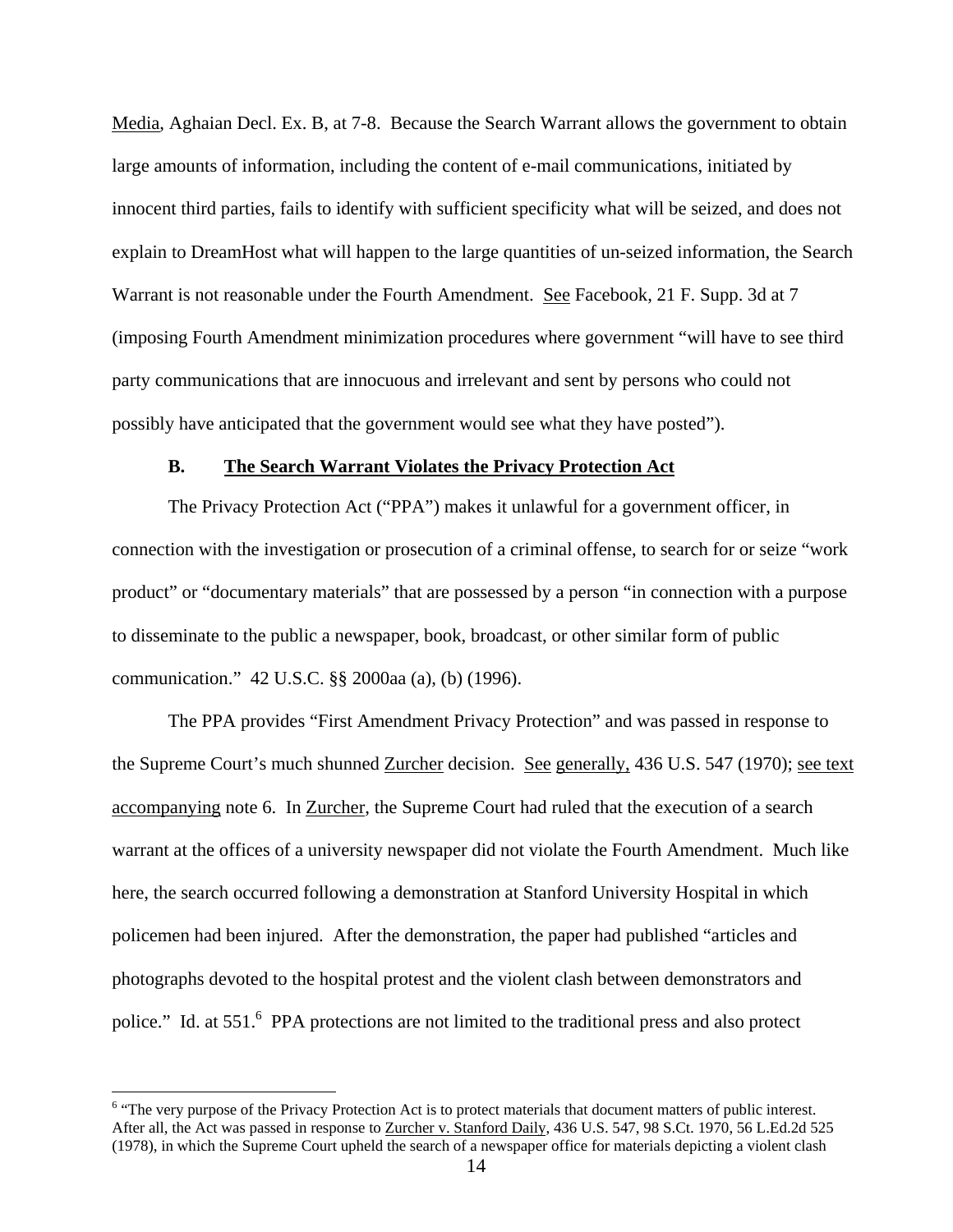Media, Aghaian Decl. Ex. B, at 7-8. Because the Search Warrant allows the government to obtain large amounts of information, including the content of e-mail communications, initiated by innocent third parties, fails to identify with sufficient specificity what will be seized, and does not explain to DreamHost what will happen to the large quantities of un-seized information, the Search Warrant is not reasonable under the Fourth Amendment. See Facebook, 21 F. Supp. 3d at 7 (imposing Fourth Amendment minimization procedures where government "will have to see third party communications that are innocuous and irrelevant and sent by persons who could not possibly have anticipated that the government would see what they have posted").

#### **B. The Search Warrant Violates the Privacy Protection Act**

The Privacy Protection Act ("PPA") makes it unlawful for a government officer, in connection with the investigation or prosecution of a criminal offense, to search for or seize "work product" or "documentary materials" that are possessed by a person "in connection with a purpose to disseminate to the public a newspaper, book, broadcast, or other similar form of public communication." 42 U.S.C. §§ 2000aa (a), (b) (1996).

The PPA provides "First Amendment Privacy Protection" and was passed in response to the Supreme Court's much shunned Zurcher decision. See generally, 436 U.S. 547 (1970); see text accompanying note 6. In Zurcher, the Supreme Court had ruled that the execution of a search warrant at the offices of a university newspaper did not violate the Fourth Amendment. Much like here, the search occurred following a demonstration at Stanford University Hospital in which policemen had been injured. After the demonstration, the paper had published "articles and photographs devoted to the hospital protest and the violent clash between demonstrators and police." Id. at 551.<sup>6</sup> PPA protections are not limited to the traditional press and also protect

 $\overline{a}$ 

<sup>&</sup>lt;sup>6</sup> "The very purpose of the Privacy Protection Act is to protect materials that document matters of public interest. After all, the Act was passed in response to Zurcher v. Stanford Daily, 436 U.S. 547, 98 S.Ct. 1970, 56 L.Ed.2d 525 (1978), in which the Supreme Court upheld the search of a newspaper office for materials depicting a violent clash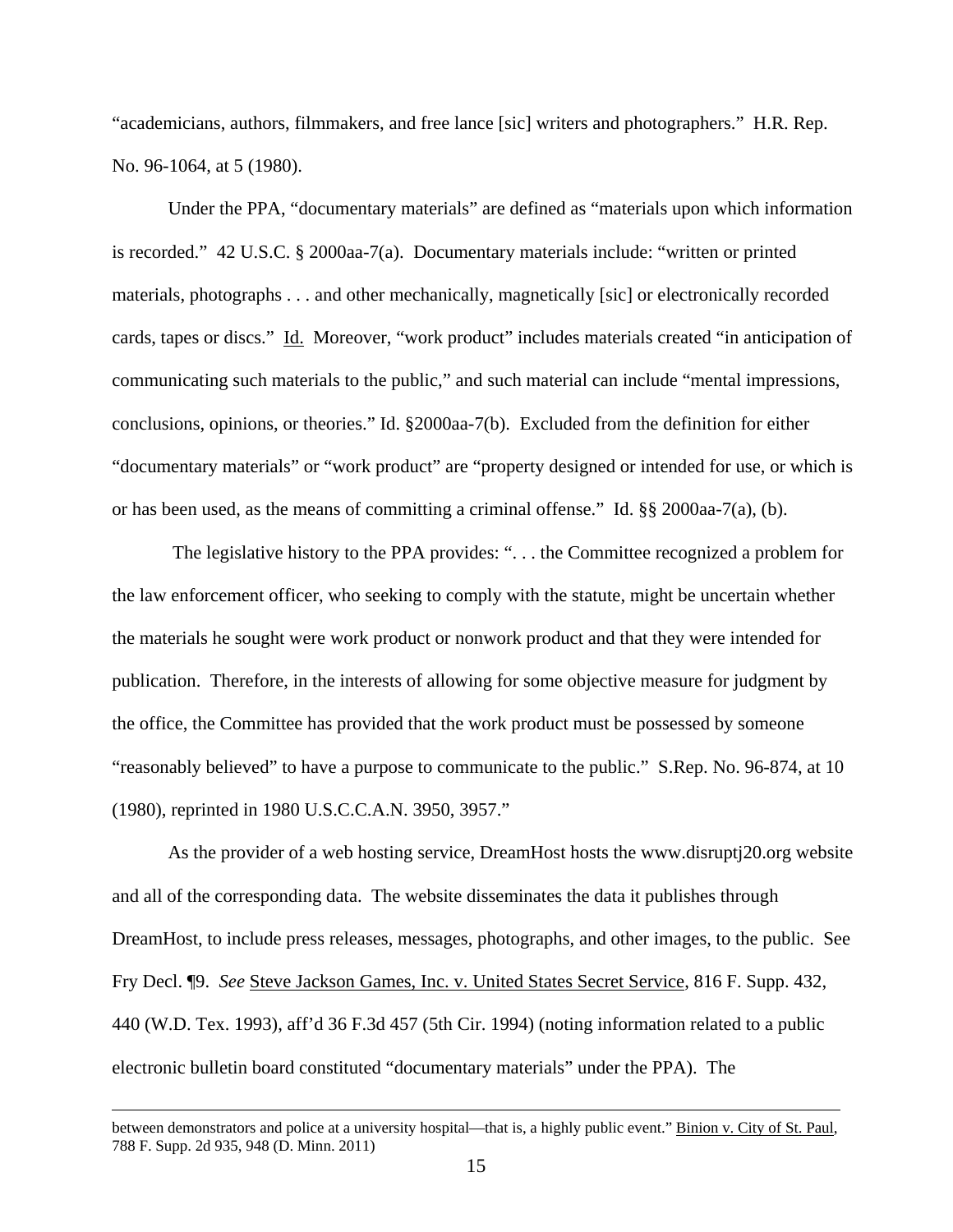"academicians, authors, filmmakers, and free lance [sic] writers and photographers." H.R. Rep. No. 96-1064, at 5 (1980).

Under the PPA, "documentary materials" are defined as "materials upon which information is recorded." 42 U.S.C. § 2000aa-7(a). Documentary materials include: "written or printed materials, photographs . . . and other mechanically, magnetically [sic] or electronically recorded cards, tapes or discs." Id. Moreover, "work product" includes materials created "in anticipation of communicating such materials to the public," and such material can include "mental impressions, conclusions, opinions, or theories." Id. §2000aa-7(b). Excluded from the definition for either "documentary materials" or "work product" are "property designed or intended for use, or which is or has been used, as the means of committing a criminal offense." Id. §§ 2000aa-7(a), (b).

 The legislative history to the PPA provides: ". . . the Committee recognized a problem for the law enforcement officer, who seeking to comply with the statute, might be uncertain whether the materials he sought were work product or nonwork product and that they were intended for publication. Therefore, in the interests of allowing for some objective measure for judgment by the office, the Committee has provided that the work product must be possessed by someone "reasonably believed" to have a purpose to communicate to the public." S.Rep. No. 96-874, at 10 (1980), reprinted in 1980 U.S.C.C.A.N. 3950, 3957."

 As the provider of a web hosting service, DreamHost hosts the www.disruptj20.org website and all of the corresponding data. The website disseminates the data it publishes through DreamHost, to include press releases, messages, photographs, and other images, to the public. See Fry Decl. ¶9. *See* Steve Jackson Games, Inc. v. United States Secret Service, 816 F. Supp. 432, 440 (W.D. Tex. 1993), aff'd 36 F.3d 457 (5th Cir. 1994) (noting information related to a public electronic bulletin board constituted "documentary materials" under the PPA). The

between demonstrators and police at a university hospital—that is, a highly public event." Binion v. City of St. Paul, 788 F. Supp. 2d 935, 948 (D. Minn. 2011)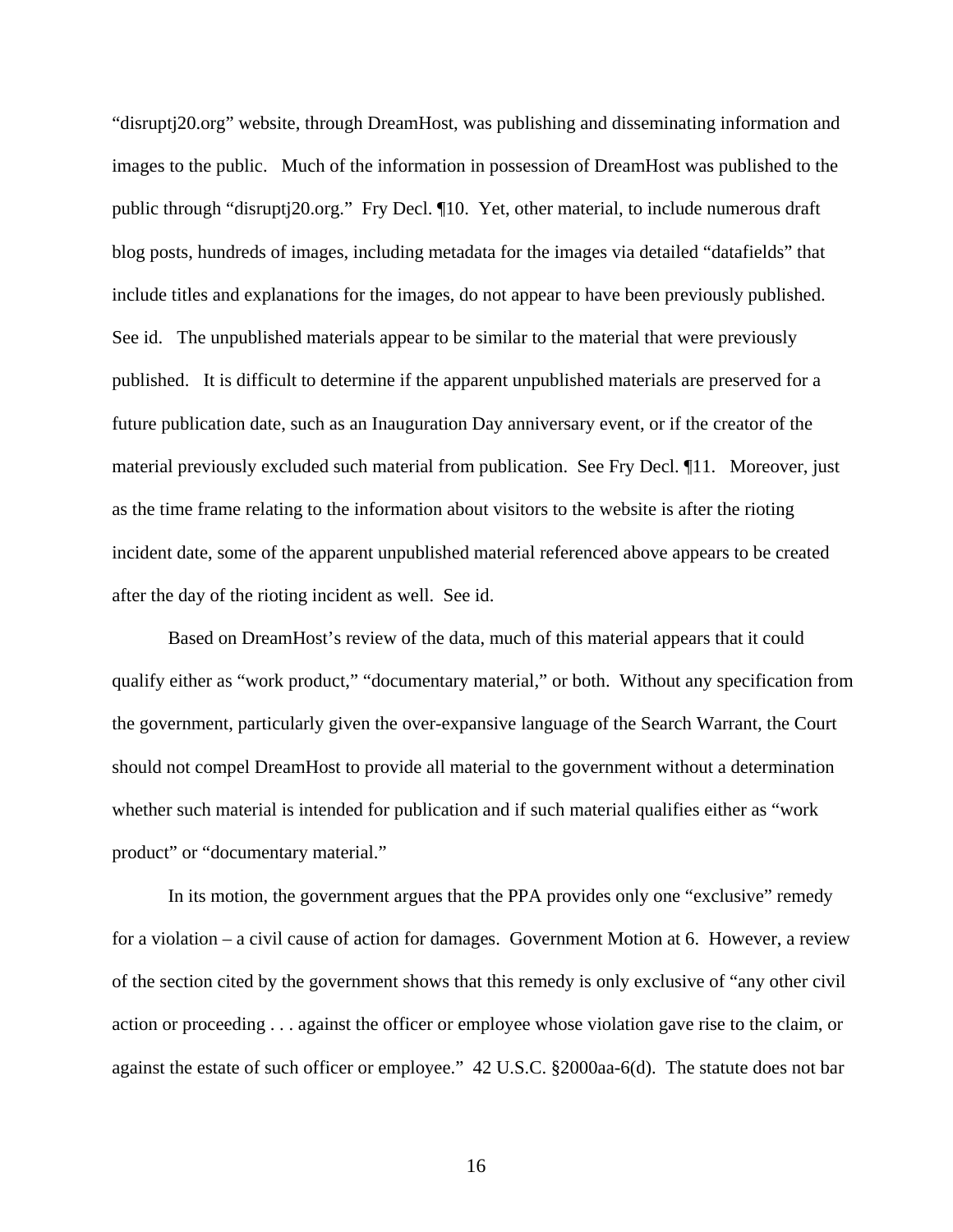"disruptj20.org" website, through DreamHost, was publishing and disseminating information and images to the public. Much of the information in possession of DreamHost was published to the public through "disruptj20.org." Fry Decl. ¶10. Yet, other material, to include numerous draft blog posts, hundreds of images, including metadata for the images via detailed "datafields" that include titles and explanations for the images, do not appear to have been previously published. See id. The unpublished materials appear to be similar to the material that were previously published. It is difficult to determine if the apparent unpublished materials are preserved for a future publication date, such as an Inauguration Day anniversary event, or if the creator of the material previously excluded such material from publication. See Fry Decl. ¶11. Moreover, just as the time frame relating to the information about visitors to the website is after the rioting incident date, some of the apparent unpublished material referenced above appears to be created after the day of the rioting incident as well. See id.

Based on DreamHost's review of the data, much of this material appears that it could qualify either as "work product," "documentary material," or both. Without any specification from the government, particularly given the over-expansive language of the Search Warrant, the Court should not compel DreamHost to provide all material to the government without a determination whether such material is intended for publication and if such material qualifies either as "work product" or "documentary material."

In its motion, the government argues that the PPA provides only one "exclusive" remedy for a violation – a civil cause of action for damages. Government Motion at 6. However, a review of the section cited by the government shows that this remedy is only exclusive of "any other civil action or proceeding . . . against the officer or employee whose violation gave rise to the claim, or against the estate of such officer or employee." 42 U.S.C. §2000aa-6(d). The statute does not bar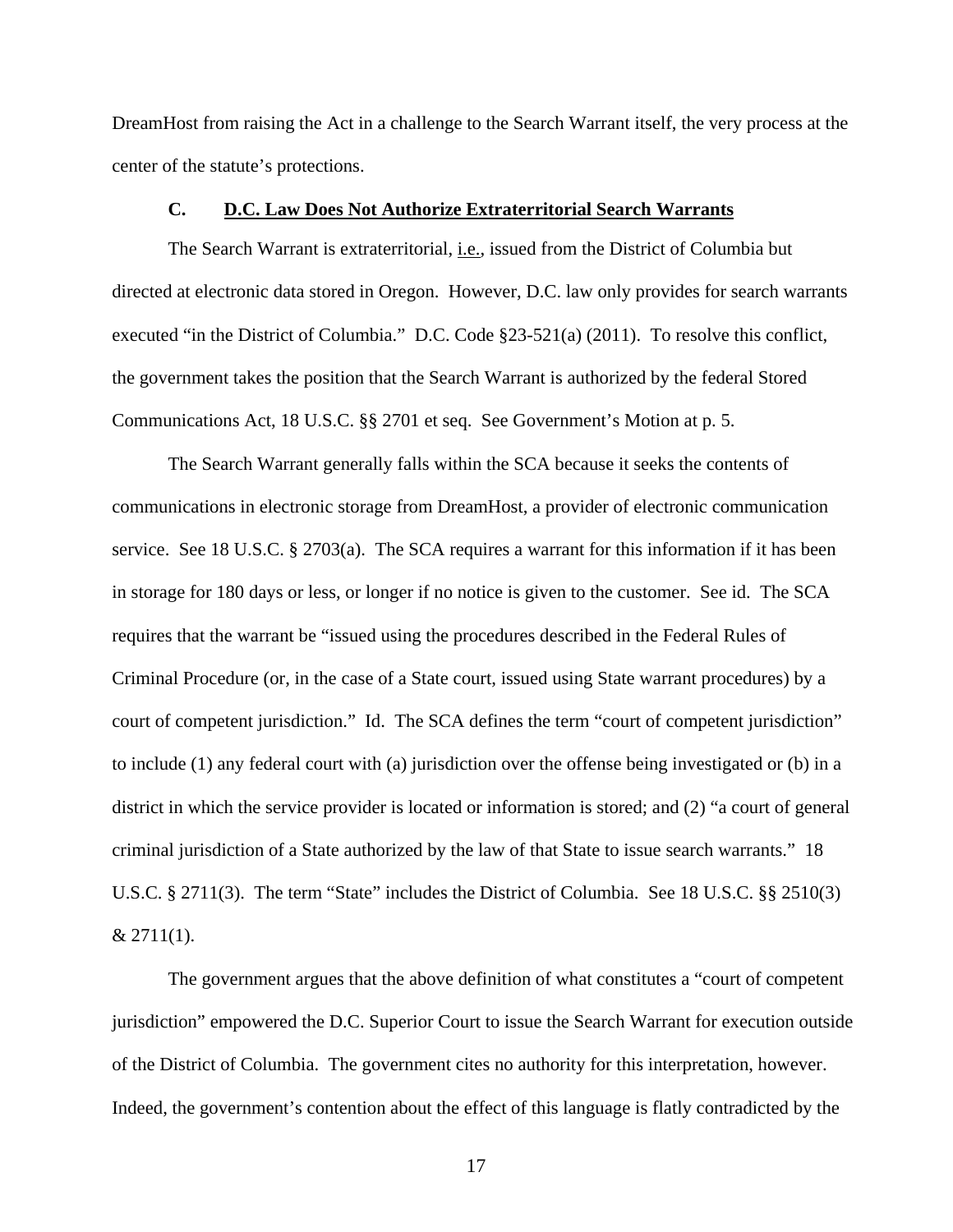DreamHost from raising the Act in a challenge to the Search Warrant itself, the very process at the center of the statute's protections.

## **C. D.C. Law Does Not Authorize Extraterritorial Search Warrants**

The Search Warrant is extraterritorial, i.e., issued from the District of Columbia but directed at electronic data stored in Oregon. However, D.C. law only provides for search warrants executed "in the District of Columbia." D.C. Code §23-521(a) (2011). To resolve this conflict, the government takes the position that the Search Warrant is authorized by the federal Stored Communications Act, 18 U.S.C. §§ 2701 et seq. See Government's Motion at p. 5.

 The Search Warrant generally falls within the SCA because it seeks the contents of communications in electronic storage from DreamHost, a provider of electronic communication service. See 18 U.S.C. § 2703(a). The SCA requires a warrant for this information if it has been in storage for 180 days or less, or longer if no notice is given to the customer. See id. The SCA requires that the warrant be "issued using the procedures described in the Federal Rules of Criminal Procedure (or, in the case of a State court, issued using State warrant procedures) by a court of competent jurisdiction." Id. The SCA defines the term "court of competent jurisdiction" to include (1) any federal court with (a) jurisdiction over the offense being investigated or (b) in a district in which the service provider is located or information is stored; and (2) "a court of general criminal jurisdiction of a State authorized by the law of that State to issue search warrants." 18 U.S.C. § 2711(3). The term "State" includes the District of Columbia. See 18 U.S.C. §§ 2510(3)  $& 2711(1).$ 

 The government argues that the above definition of what constitutes a "court of competent jurisdiction" empowered the D.C. Superior Court to issue the Search Warrant for execution outside of the District of Columbia. The government cites no authority for this interpretation, however. Indeed, the government's contention about the effect of this language is flatly contradicted by the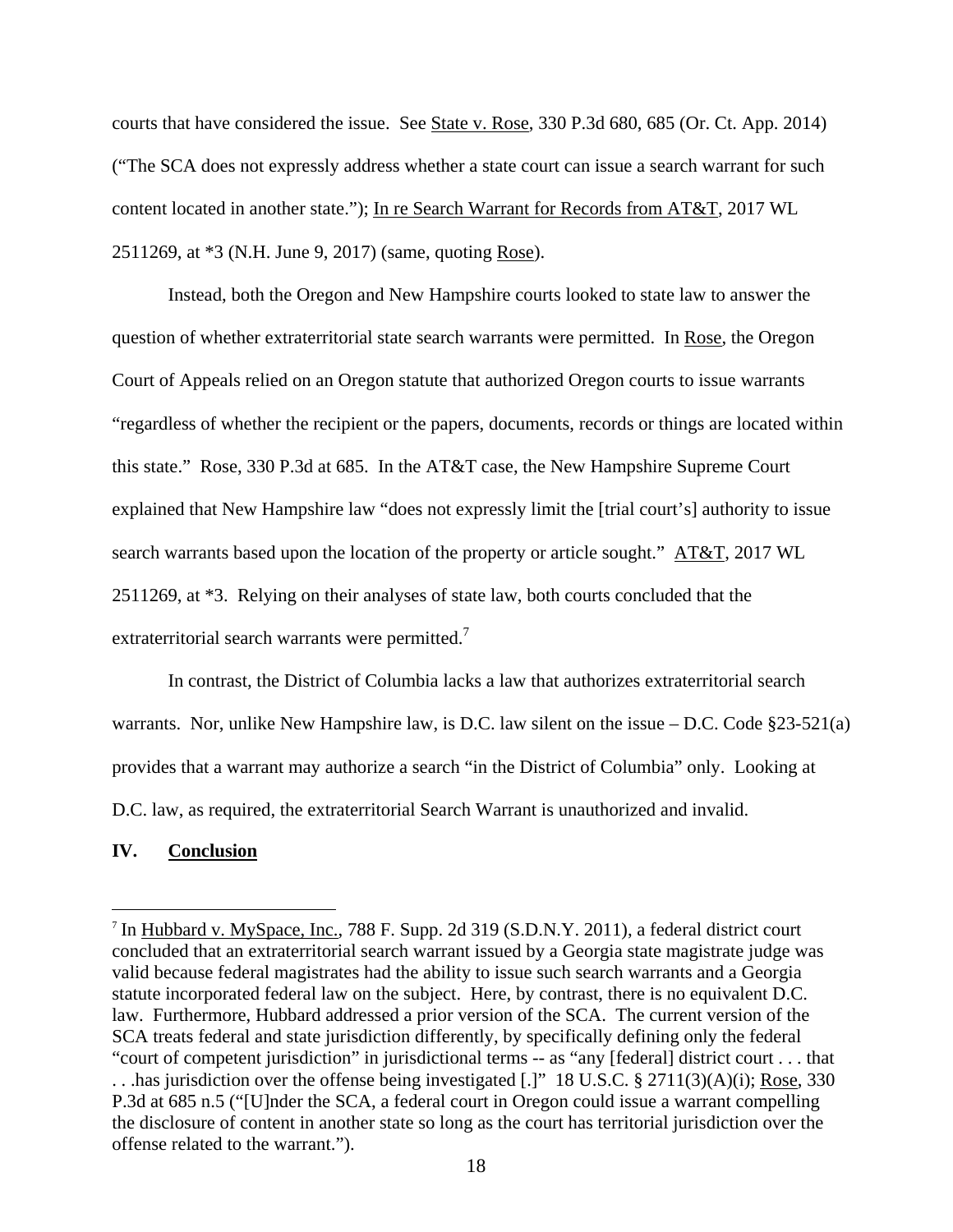courts that have considered the issue. See State v. Rose, 330 P.3d 680, 685 (Or. Ct. App. 2014) ("The SCA does not expressly address whether a state court can issue a search warrant for such content located in another state."); In re Search Warrant for Records from AT&T, 2017 WL 2511269, at \*3 (N.H. June 9, 2017) (same, quoting Rose).

 Instead, both the Oregon and New Hampshire courts looked to state law to answer the question of whether extraterritorial state search warrants were permitted. In Rose, the Oregon Court of Appeals relied on an Oregon statute that authorized Oregon courts to issue warrants "regardless of whether the recipient or the papers, documents, records or things are located within this state." Rose, 330 P.3d at 685. In the AT&T case, the New Hampshire Supreme Court explained that New Hampshire law "does not expressly limit the [trial court's] authority to issue search warrants based upon the location of the property or article sought." AT&T, 2017 WL 2511269, at \*3. Relying on their analyses of state law, both courts concluded that the extraterritorial search warrants were permitted.<sup>7</sup>

In contrast, the District of Columbia lacks a law that authorizes extraterritorial search warrants. Nor, unlike New Hampshire law, is D.C. law silent on the issue – D.C. Code §23-521(a) provides that a warrant may authorize a search "in the District of Columbia" only. Looking at D.C. law, as required, the extraterritorial Search Warrant is unauthorized and invalid.

## **IV. Conclusion**

<sup>&</sup>lt;sup>7</sup> In Hubbard v. MySpace, Inc., 788 F. Supp. 2d 319 (S.D.N.Y. 2011), a federal district court concluded that an extraterritorial search warrant issued by a Georgia state magistrate judge was valid because federal magistrates had the ability to issue such search warrants and a Georgia statute incorporated federal law on the subject. Here, by contrast, there is no equivalent D.C. law. Furthermore, Hubbard addressed a prior version of the SCA. The current version of the SCA treats federal and state jurisdiction differently, by specifically defining only the federal "court of competent jurisdiction" in jurisdictional terms -- as "any [federal] district court . . . that . . .has jurisdiction over the offense being investigated [.]" 18 U.S.C. § 2711(3)(A)(i); Rose, 330 P.3d at 685 n.5 ("[U]nder the SCA, a federal court in Oregon could issue a warrant compelling the disclosure of content in another state so long as the court has territorial jurisdiction over the offense related to the warrant.").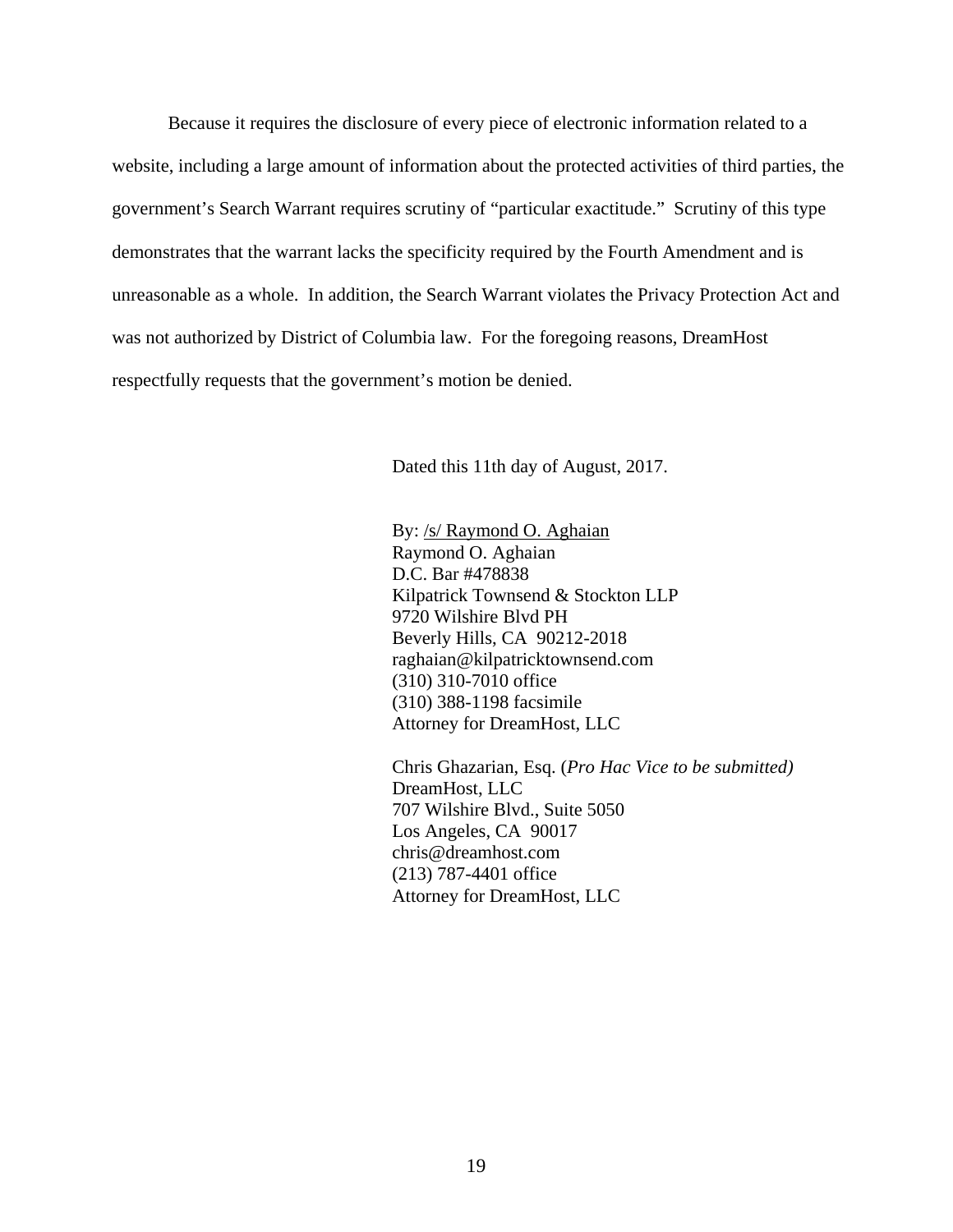Because it requires the disclosure of every piece of electronic information related to a website, including a large amount of information about the protected activities of third parties, the government's Search Warrant requires scrutiny of "particular exactitude." Scrutiny of this type demonstrates that the warrant lacks the specificity required by the Fourth Amendment and is unreasonable as a whole. In addition, the Search Warrant violates the Privacy Protection Act and was not authorized by District of Columbia law. For the foregoing reasons, DreamHost respectfully requests that the government's motion be denied.

Dated this 11th day of August, 2017.

 By: /s/ Raymond O. Aghaian Raymond O. Aghaian D.C. Bar #478838 Kilpatrick Townsend & Stockton LLP 9720 Wilshire Blvd PH Beverly Hills, CA 90212-2018 raghaian@kilpatricktownsend.com (310) 310-7010 office (310) 388-1198 facsimile Attorney for DreamHost, LLC

 Chris Ghazarian, Esq. (*Pro Hac Vice to be submitted)*  DreamHost, LLC 707 Wilshire Blvd., Suite 5050 Los Angeles, CA 90017 chris@dreamhost.com (213) 787-4401 office Attorney for DreamHost, LLC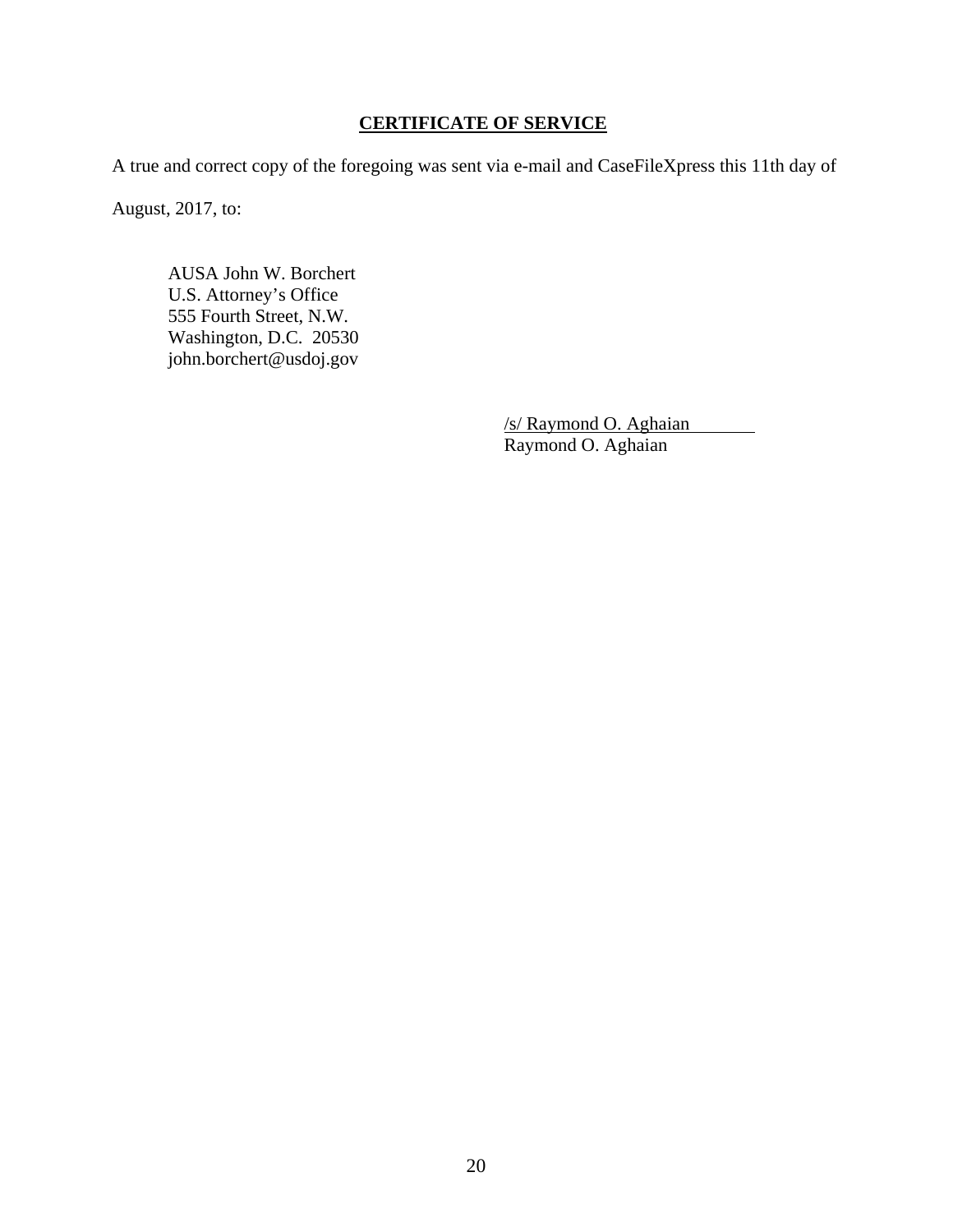## **CERTIFICATE OF SERVICE**

A true and correct copy of the foregoing was sent via e-mail and CaseFileXpress this 11th day of

August, 2017, to:

 AUSA John W. Borchert U.S. Attorney's Office 555 Fourth Street, N.W. Washington, D.C. 20530 john.borchert@usdoj.gov

> /s/ Raymond O. Aghaian Raymond O. Aghaian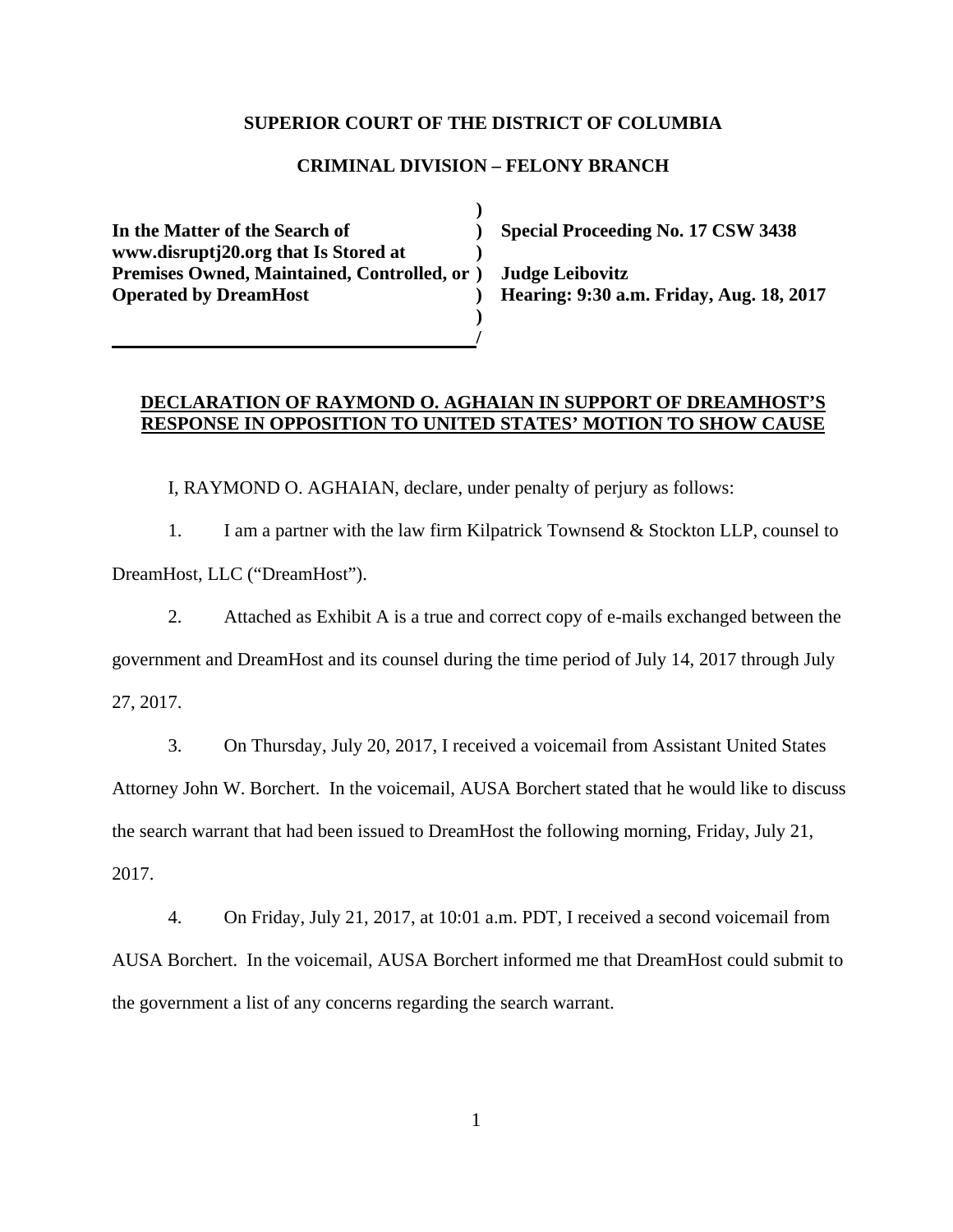#### **SUPERIOR COURT OF THE DISTRICT OF COLUMBIA**

## **CRIMINAL DIVISION – FELONY BRANCH**

 **) In the Matter of the Search of ) Special Proceeding No. 17 CSW 3438 www.disruptj20.org that Is Stored at ) Premises Owned, Maintained, Controlled, or ) Judge Leibovitz Operated by DreamHost ) Hearing: 9:30 a.m. Friday, Aug. 18, 2017 )** 

 **/** 

## **DECLARATION OF RAYMOND O. AGHAIAN IN SUPPORT OF DREAMHOST'S RESPONSE IN OPPOSITION TO UNITED STATES' MOTION TO SHOW CAUSE**

I, RAYMOND O. AGHAIAN, declare, under penalty of perjury as follows:

1. I am a partner with the law firm Kilpatrick Townsend & Stockton LLP, counsel to DreamHost, LLC ("DreamHost").

2. Attached as Exhibit A is a true and correct copy of e-mails exchanged between the

government and DreamHost and its counsel during the time period of July 14, 2017 through July

27, 2017.

3. On Thursday, July 20, 2017, I received a voicemail from Assistant United States

Attorney John W. Borchert. In the voicemail, AUSA Borchert stated that he would like to discuss the search warrant that had been issued to DreamHost the following morning, Friday, July 21,

2017.

4. On Friday, July 21, 2017, at 10:01 a.m. PDT, I received a second voicemail from AUSA Borchert. In the voicemail, AUSA Borchert informed me that DreamHost could submit to the government a list of any concerns regarding the search warrant.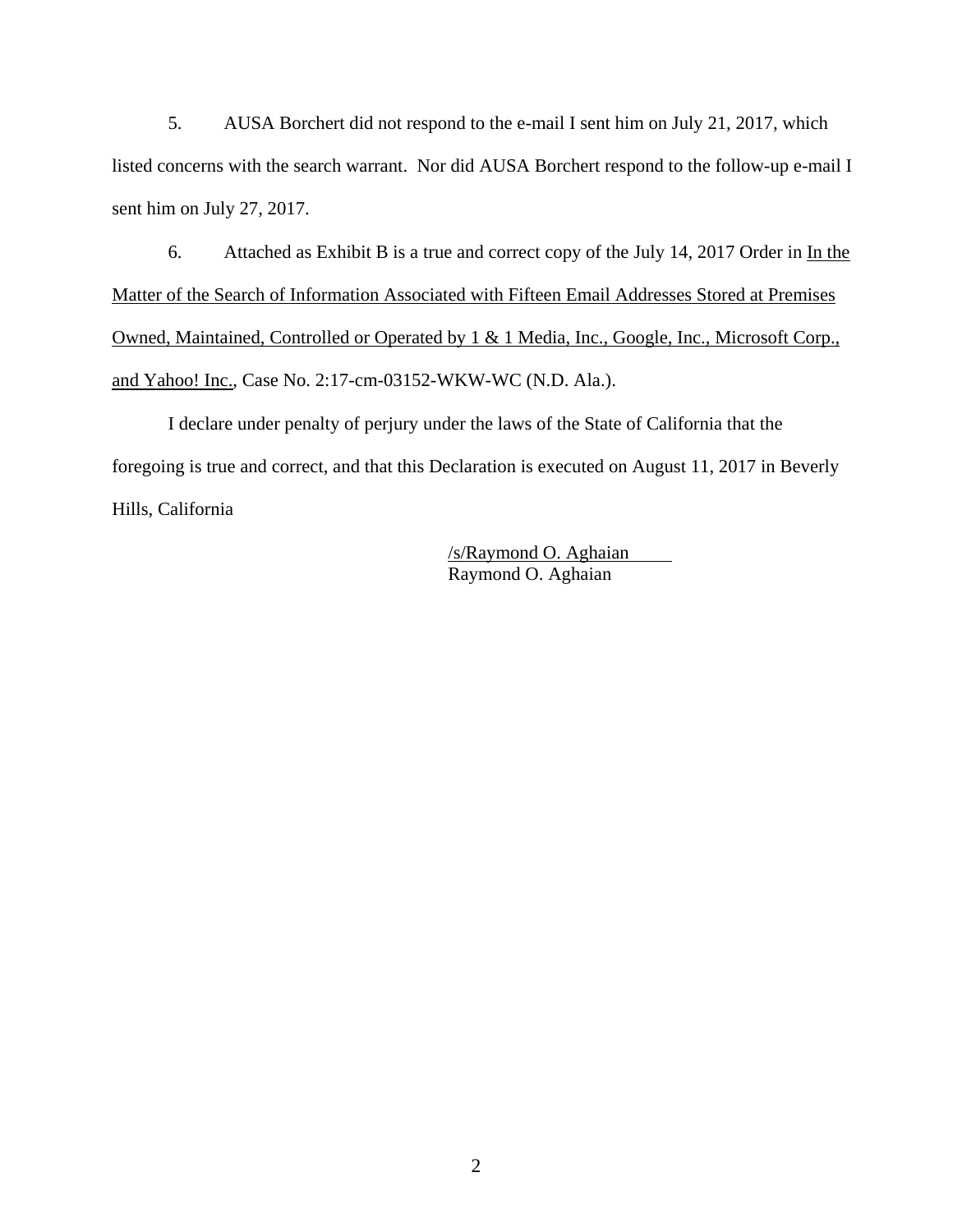5. AUSA Borchert did not respond to the e-mail I sent him on July 21, 2017, which listed concerns with the search warrant. Nor did AUSA Borchert respond to the follow-up e-mail I sent him on July 27, 2017.

6. Attached as Exhibit B is a true and correct copy of the July 14, 2017 Order in In the Matter of the Search of Information Associated with Fifteen Email Addresses Stored at Premises Owned, Maintained, Controlled or Operated by 1 & 1 Media, Inc., Google, Inc., Microsoft Corp., and Yahoo! Inc., Case No. 2:17-cm-03152-WKW-WC (N.D. Ala.).

I declare under penalty of perjury under the laws of the State of California that the foregoing is true and correct, and that this Declaration is executed on August 11, 2017 in Beverly Hills, California

> /s/Raymond O. Aghaian Raymond O. Aghaian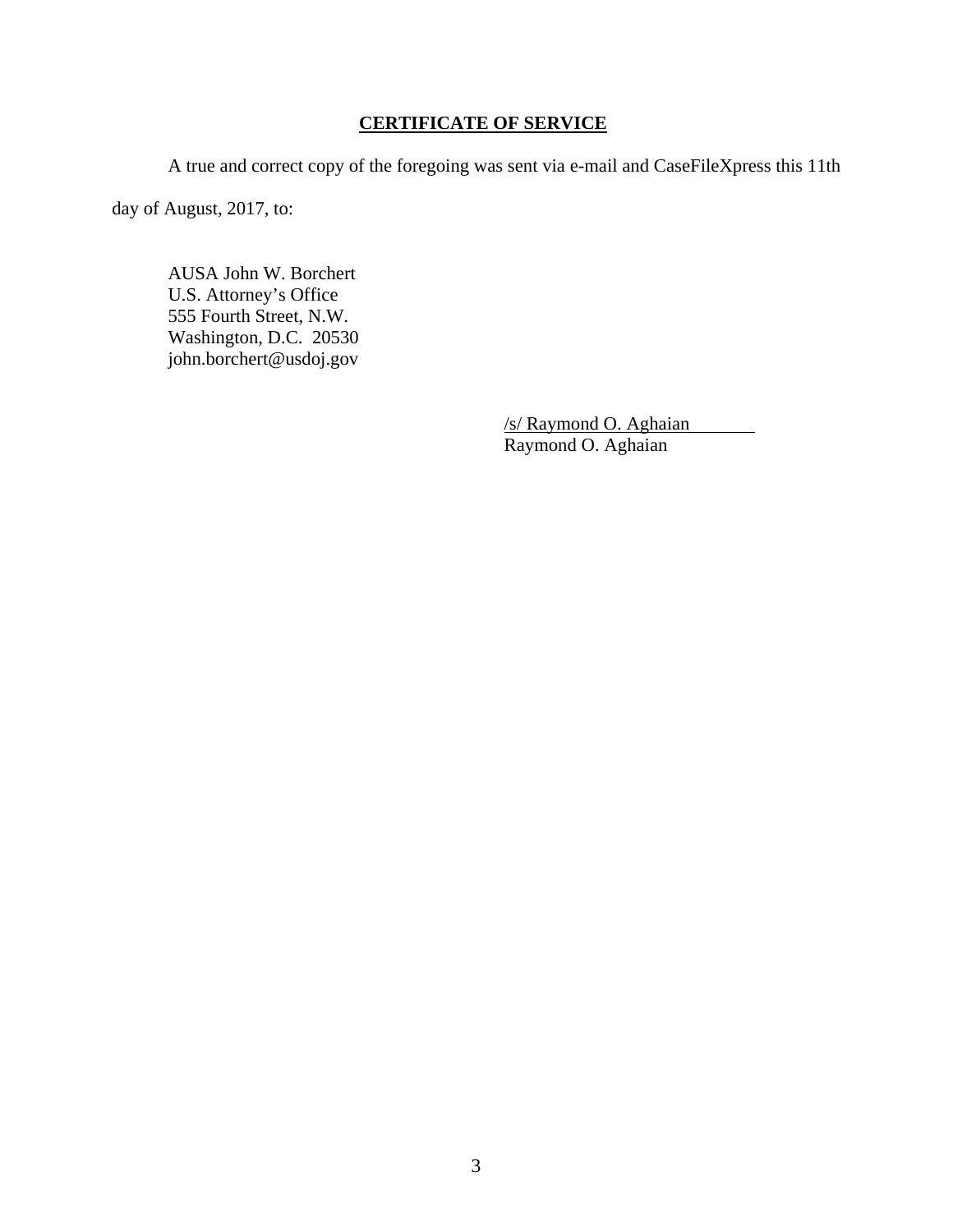## **CERTIFICATE OF SERVICE**

A true and correct copy of the foregoing was sent via e-mail and CaseFileXpress this 11th

day of August, 2017, to:

 AUSA John W. Borchert U.S. Attorney's Office 555 Fourth Street, N.W. Washington, D.C. 20530 john.borchert@usdoj.gov

> /s/ Raymond O. Aghaian Raymond O. Aghaian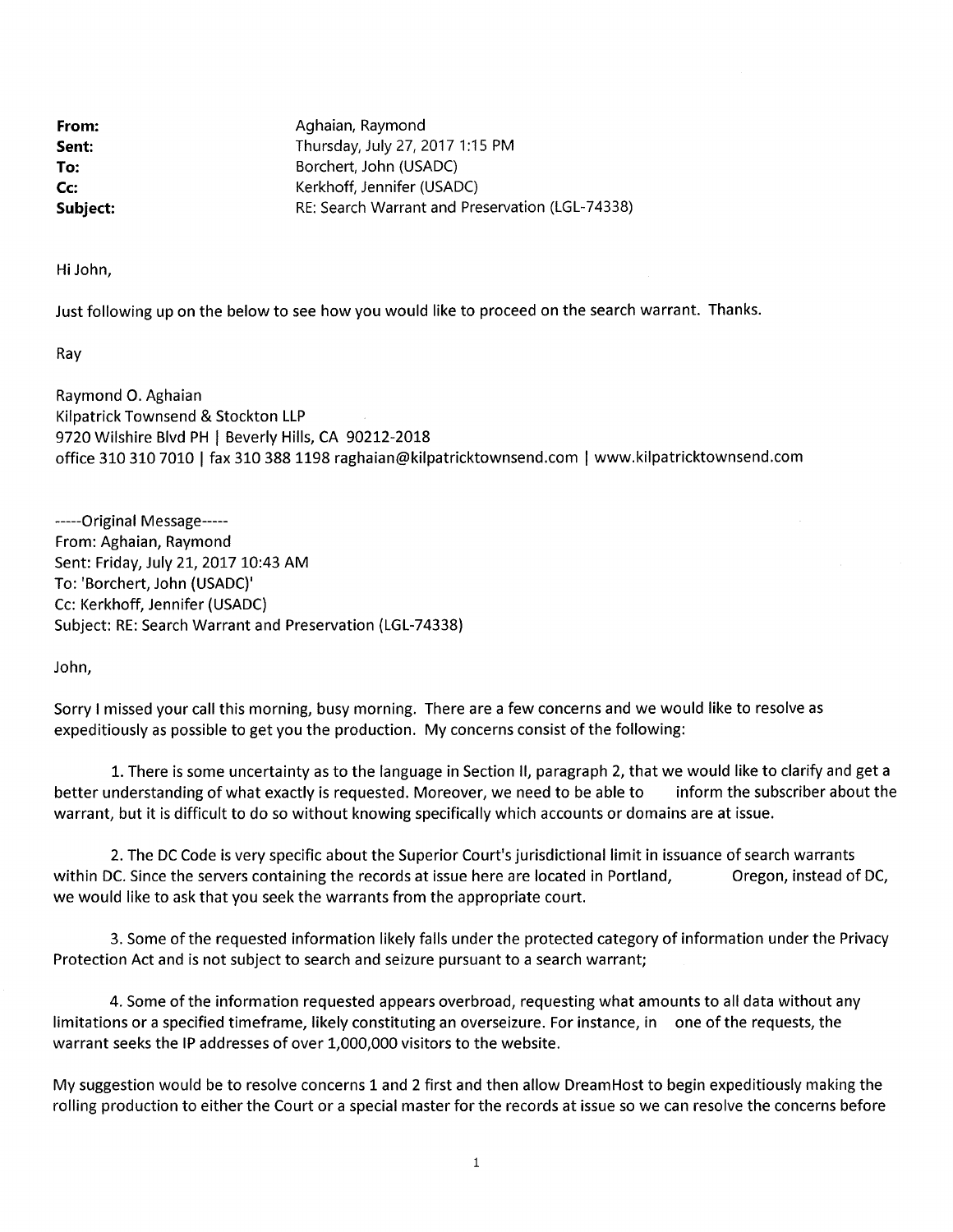From: Sent: To: Cc: Subject: Aghaian, Raymond Thursday, July 27, 2017 1:15 PM Borchert, John (USADC) Kerkhoff, Jennifer (USADC) RE: Search Warrant and Preservation (LGL-74338)

Hi John,

Just following up on the below to see how you would like to proceed on the search warrant. Thanks.

Ray

Raymond O. Aghaian Kilpatrick Townsend & Stockton LLP 9720 Wilshire Blvd PH | Beverly Hills, CA 90212-2018 office 310 310 7010 | fax 310 388 1198 raghaian@kilpatricktownsend.com | www.kilpatricktownsend.com

-----Original Message-----From: Aghaian, Raymond Sent: Friday, July 21, 2017 10:43 AM To: 'Borchert, John (USADC)' Cc: Kerkhoff, Jennifer (USADC) Subject: RE: Search Warrant and Preservation (LGL-74338)

John,

Sorry I missed your call this morning, busy morning. There are a few concerns and we would like to resolve as expeditiously as possible to get you the production. My concerns consist of the following:

1. There is some uncertainty as to the language in Section II, paragraph 2, that we would like to clarify and get a inform the subscriber about the better understanding of what exactly is requested. Moreover, we need to be able to warrant, but it is difficult to do so without knowing specifically which accounts or domains are at issue.

2. The DC Code is very specific about the Superior Court's jurisdictional limit in issuance of search warrants within DC. Since the servers containing the records at issue here are located in Portland, Oregon, instead of DC, we would like to ask that you seek the warrants from the appropriate court.

3. Some of the requested information likely falls under the protected category of information under the Privacy Protection Act and is not subject to search and seizure pursuant to a search warrant;

4. Some of the information requested appears overbroad, requesting what amounts to all data without any limitations or a specified timeframe, likely constituting an overseizure. For instance, in one of the requests, the warrant seeks the IP addresses of over 1,000,000 visitors to the website.

My suggestion would be to resolve concerns 1 and 2 first and then allow DreamHost to begin expeditiously making the rolling production to either the Court or a special master for the records at issue so we can resolve the concerns before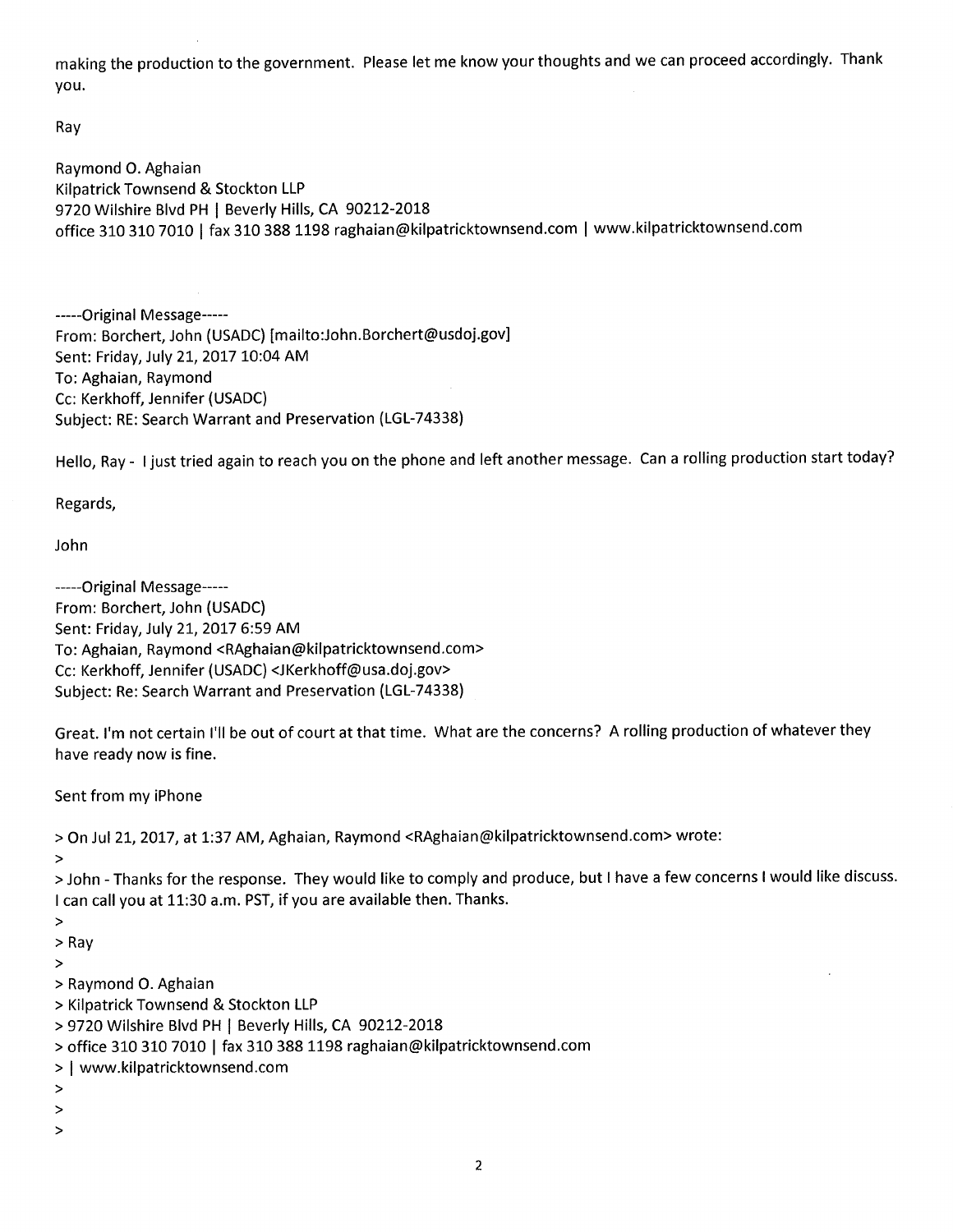making the production to the government. Please let me know your thoughts and we can proceed accordingly. Thank you.

Ray

Raymond O. Aghaian Kilpatrick Townsend & Stockton LLP 9720 Wilshire Blvd PH | Beverly Hills, CA 90212-2018 office 310 310 7010 | fax 310 388 1198 raghaian@kilpatricktownsend.com | www.kilpatricktownsend.com

-----Original Message-----From: Borchert, John (USADC) [mailto:John.Borchert@usdoj.gov] Sent: Friday, July 21, 2017 10:04 AM To: Aghaian, Raymond Cc: Kerkhoff, Jennifer (USADC) Subject: RE: Search Warrant and Preservation (LGL-74338)

Hello, Ray - I just tried again to reach you on the phone and left another message. Can a rolling production start today?

Regards,

John

-----Original Message-----From: Borchert, John (USADC) Sent: Friday, July 21, 2017 6:59 AM To: Aghaian, Raymond <RAghaian@kilpatricktownsend.com> Cc: Kerkhoff, Jennifer (USADC) <JKerkhoff@usa.doj.gov> Subject: Re: Search Warrant and Preservation (LGL-74338)

Great. I'm not certain I'll be out of court at that time. What are the concerns? A rolling production of whatever they have ready now is fine.

Sent from my iPhone

> On Jul 21, 2017, at 1:37 AM, Aghaian, Raymond <RAghaian@kilpatricktownsend.com> wrote:

 $\geq$ 

> John - Thanks for the response. They would like to comply and produce, but I have a few concerns I would like discuss. I can call you at 11:30 a.m. PST, if you are available then. Thanks.

 $\geq$ 

 $>$  Ray

 $\geq$ 

- > Raymond O. Aghaian
- > Kilpatrick Townsend & Stockton LLP
- > 9720 Wilshire Blvd PH | Beverly Hills, CA 90212-2018
- > office 310 310 7010 | fax 310 388 1198 raghaian@kilpatricktownsend.com
- > | www.kilpatricktownsend.com
- $\,$
- $\,>$
- $\geq$

 $\overline{2}$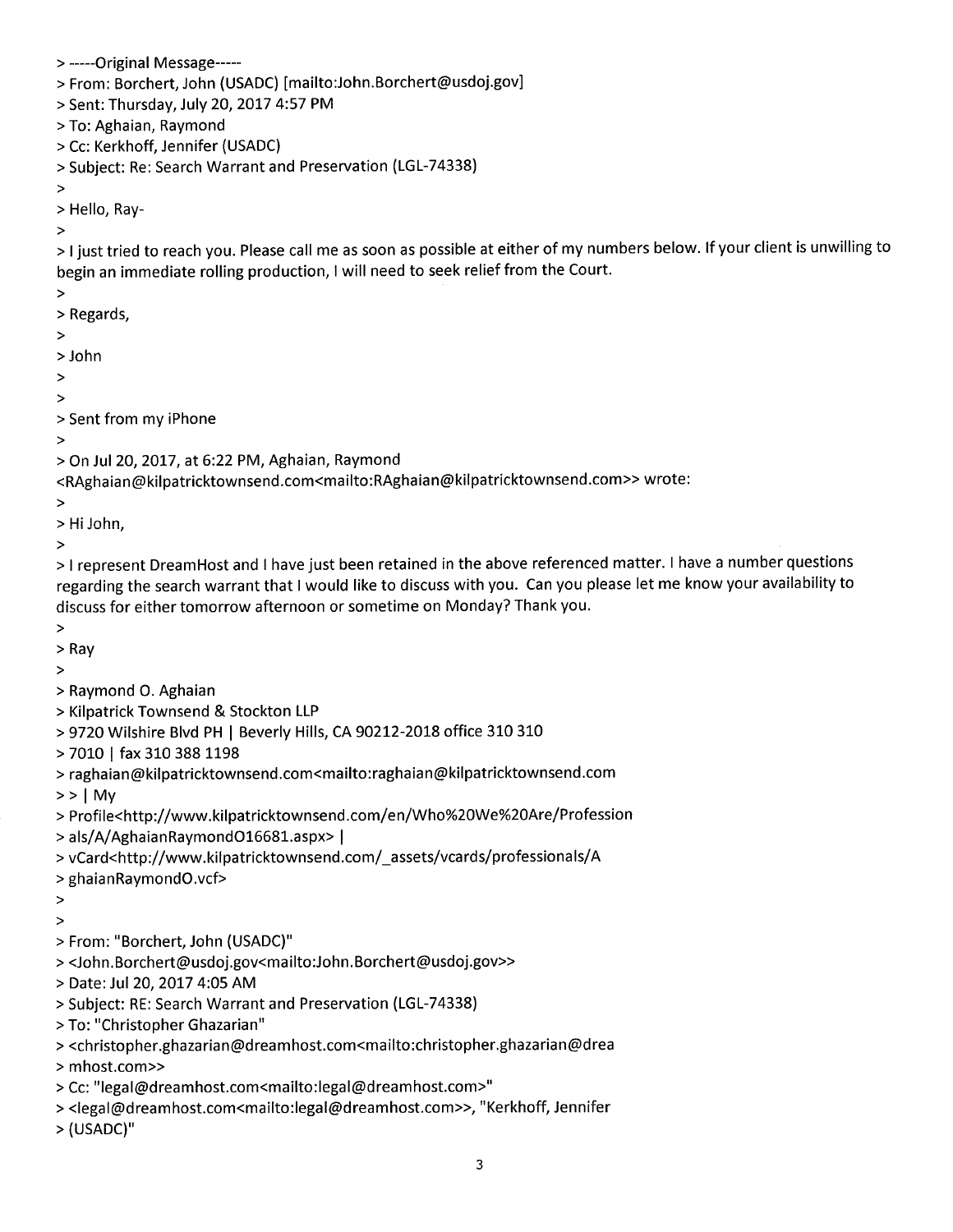> -----Original Message-----> From: Borchert, John (USADC) [mailto:John.Borchert@usdoj.gov] > Sent: Thursday, July 20, 2017 4:57 PM > To: Aghaian, Raymond > Cc: Kerkhoff, Jennifer (USADC) > Subject: Re: Search Warrant and Preservation (LGL-74338)  $\geq$ > Hello, Ray- $\geq$ > I just tried to reach you. Please call me as soon as possible at either of my numbers below. If your client is unwilling to begin an immediate rolling production, I will need to seek relief from the Court.  $\geq$ > Regards,  $\,>$ > John  $\overline{\phantom{1}}$  $\geq$ > Sent from my iPhone  $\geq$ > On Jul 20, 2017, at 6:22 PM, Aghaian, Raymond <RAghaian@kilpatricktownsend.com<mailto:RAghaian@kilpatricktownsend.com>> wrote:  $\, >$ > Hi John,  $\geq$ > I represent DreamHost and I have just been retained in the above referenced matter. I have a number questions regarding the search warrant that I would like to discuss with you. Can you please let me know your availability to discuss for either tomorrow afternoon or sometime on Monday? Thank you.  $\geq$  $>$  Ray  $\geq$ > Raymond O. Aghaian > Kilpatrick Townsend & Stockton LLP > 9720 Wilshire Blvd PH | Beverly Hills, CA 90212-2018 office 310 310 > 7010 | fax 310 388 1198 > raghaian@kilpatricktownsend.com<mailto:raghaian@kilpatricktownsend.com  $>>$  | My > Profile<http://www.kilpatricktownsend.com/en/Who%20We%20Are/Profession > als/A/AghaianRaymondO16681.aspx> | > vCard<http://www.kilpatricktownsend.com/\_assets/vcards/professionals/A > ghaianRaymondO.vcf>  $\geq$  $\geq$ > From: "Borchert, John (USADC)" ><John.Borchert@usdoj.gov<mailto:John.Borchert@usdoj.gov>> > Date: Jul 20, 2017 4:05 AM > Subject: RE: Search Warrant and Preservation (LGL-74338) > To: "Christopher Ghazarian" > <christopher.ghazarian@dreamhost.com<mailto:christopher.ghazarian@drea

- > mhost.com>>
- > Cc: "legal@dreamhost.com<mailto:legal@dreamhost.com>"
- > <legal@dreamhost.com<mailto:legal@dreamhost.com>>, "Kerkhoff, Jennifer
- > (USADC)"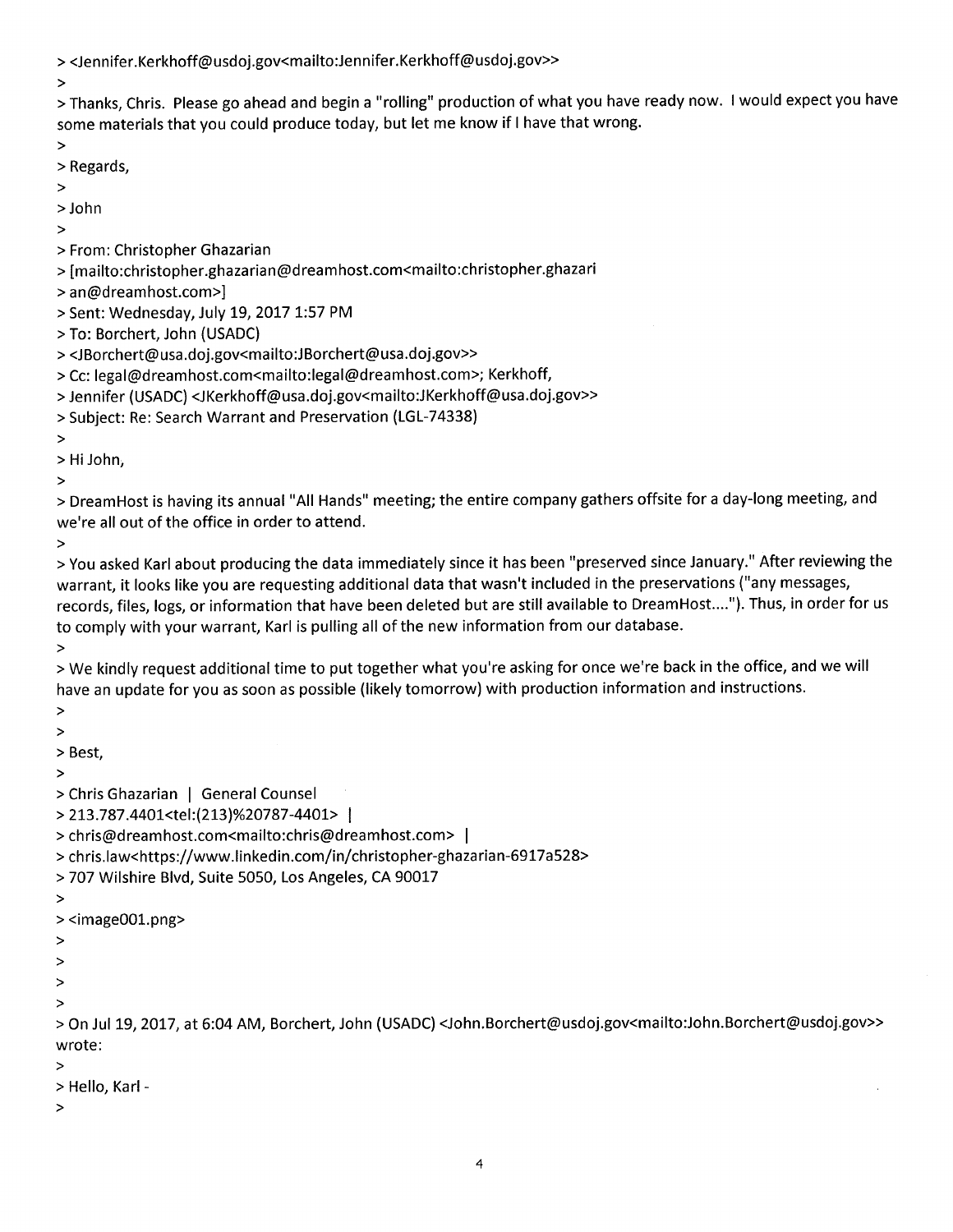><Jennifer.Kerkhoff@usdoj.gov<mailto:Jennifer.Kerkhoff@usdoj.gov>>

> Thanks, Chris. Please go ahead and begin a "rolling" production of what you have ready now. I would expect you have some materials that you could produce today, but let me know if I have that wrong.

 $\geq$ 

 $\geq$ 

- > Regards,
- $\geq$
- $>$  John
- $\geq$
- > From: Christopher Ghazarian
- > [mailto:christopher.ghazarian@dreamhost.com<mailto:christopher.ghazari
- > an@dreamhost.com>]
- > Sent: Wednesday, July 19, 2017 1:57 PM
- > To: Borchert, John (USADC)
- ><JBorchert@usa.doj.gov<mailto:JBorchert@usa.doj.gov>>
- > Cc: legal@dreamhost.com<mailto:legal@dreamhost.com>; Kerkhoff,
- > Jennifer (USADC) <JKerkhoff@usa.doj.gov<mailto:JKerkhoff@usa.doj.gov>>
- > Subject: Re: Search Warrant and Preservation (LGL-74338)
- $\, >$
- > Hi John,
- $\geq$

> DreamHost is having its annual "All Hands" meeting; the entire company gathers offsite for a day-long meeting, and we're all out of the office in order to attend.

 $\geq$ 

> You asked Karl about producing the data immediately since it has been "preserved since January." After reviewing the warrant, it looks like you are requesting additional data that wasn't included in the preservations ("any messages, records, files, logs, or information that have been deleted but are still available to DreamHost...."). Thus, in order for us to comply with your warrant, Karl is pulling all of the new information from our database.

 $\geq$ 

> We kindly request additional time to put together what you're asking for once we're back in the office, and we will have an update for you as soon as possible (likely tomorrow) with production information and instructions.

 $\geq$ 

 $\geq$ 

> Best,

 $\geq$ 

> Chris Ghazarian | General Counsel

> 213.787.4401<tel:(213)%20787-4401> |

> chris@dreamhost.com<mailto:chris@dreamhost.com> |

> chris.law<https://www.linkedin.com/in/christopher-ghazarian-6917a528>

> 707 Wilshire Blvd, Suite 5050, Los Angeles, CA 90017

 $\, >$ 

- $>$  <image001.png $>$
- $\geq$
- $\geq$
- $\,>$
- $\geq$

> On Jul 19, 2017, at 6:04 AM, Borchert, John (USADC) <John.Borchert@usdoj.gov<mailto:John.Borchert@usdoj.gov>> wrote:

 $\geq$ 

- > Hello, Karl -
- $\geq$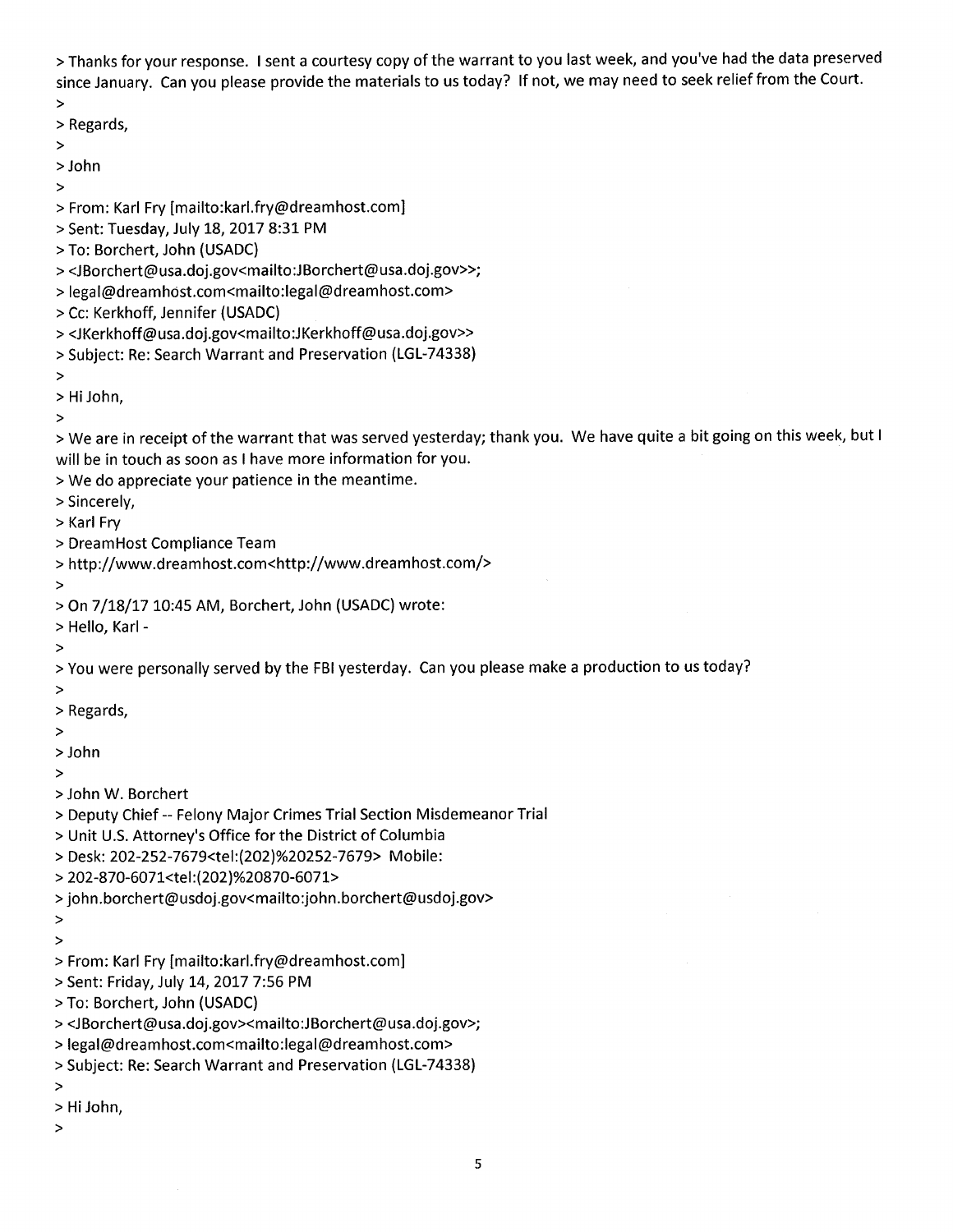> Thanks for your response. I sent a courtesy copy of the warrant to you last week, and you've had the data preserved since January. Can you please provide the materials to us today? If not, we may need to seek relief from the Court.

 $\, >$ 

- > Regards,
- $\, >$
- > John  $\geq$
- > From: Karl Fry [mailto:karl.fry@dreamhost.com]
- > Sent: Tuesday, July 18, 2017 8:31 PM
- > To: Borchert, John (USADC)
- ><JBorchert@usa.doj.gov<mailto:JBorchert@usa.doj.gov>>;
- > legal@dreamhost.com<mailto:legal@dreamhost.com>
- > Cc: Kerkhoff, Jennifer (USADC)
- ><JKerkhoff@usa.doj.gov<mailto:JKerkhoff@usa.doj.gov>>
- > Subject: Re: Search Warrant and Preservation (LGL-74338)
- $\, >$
- > Hi John,
- $\geq$

> We are in receipt of the warrant that was served yesterday; thank you. We have quite a bit going on this week, but I will be in touch as soon as I have more information for you.

- > We do appreciate your patience in the meantime.
- > Sincerely,
- > Karl Fry
- > DreamHost Compliance Team
- > http://www.dreamhost.com<http://www.dreamhost.com/>
- $\geq$
- > On 7/18/17 10:45 AM, Borchert, John (USADC) wrote:
- > Hello, Karl -
- $\, >$

> You were personally served by the FBI yesterday. Can you please make a production to us today?

- $\geq$
- > Regards,
- $\geq$
- > John
- $\geq$
- > John W. Borchert
- > Deputy Chief -- Felony Major Crimes Trial Section Misdemeanor Trial
- > Unit U.S. Attorney's Office for the District of Columbia
- > Desk: 202-252-7679<tel:(202)%20252-7679> Mobile:
- > 202-870-6071<tel:(202)%20870-6071>
- >john.borchert@usdoj.gov<mailto:john.borchert@usdoj.gov>
- $\geq$
- $\geq$
- > From: Karl Fry [mailto:karl.fry@dreamhost.com]
- > Sent: Friday, July 14, 2017 7:56 PM
- > To: Borchert, John (USADC)
- ><JBorchert@usa.doj.gov><mailto:JBorchert@usa.doj.gov>;
- > legal@dreamhost.com<mailto:legal@dreamhost.com>
- > Subject: Re: Search Warrant and Preservation (LGL-74338)
- $\geq$
- > Hi John,
- $\,>$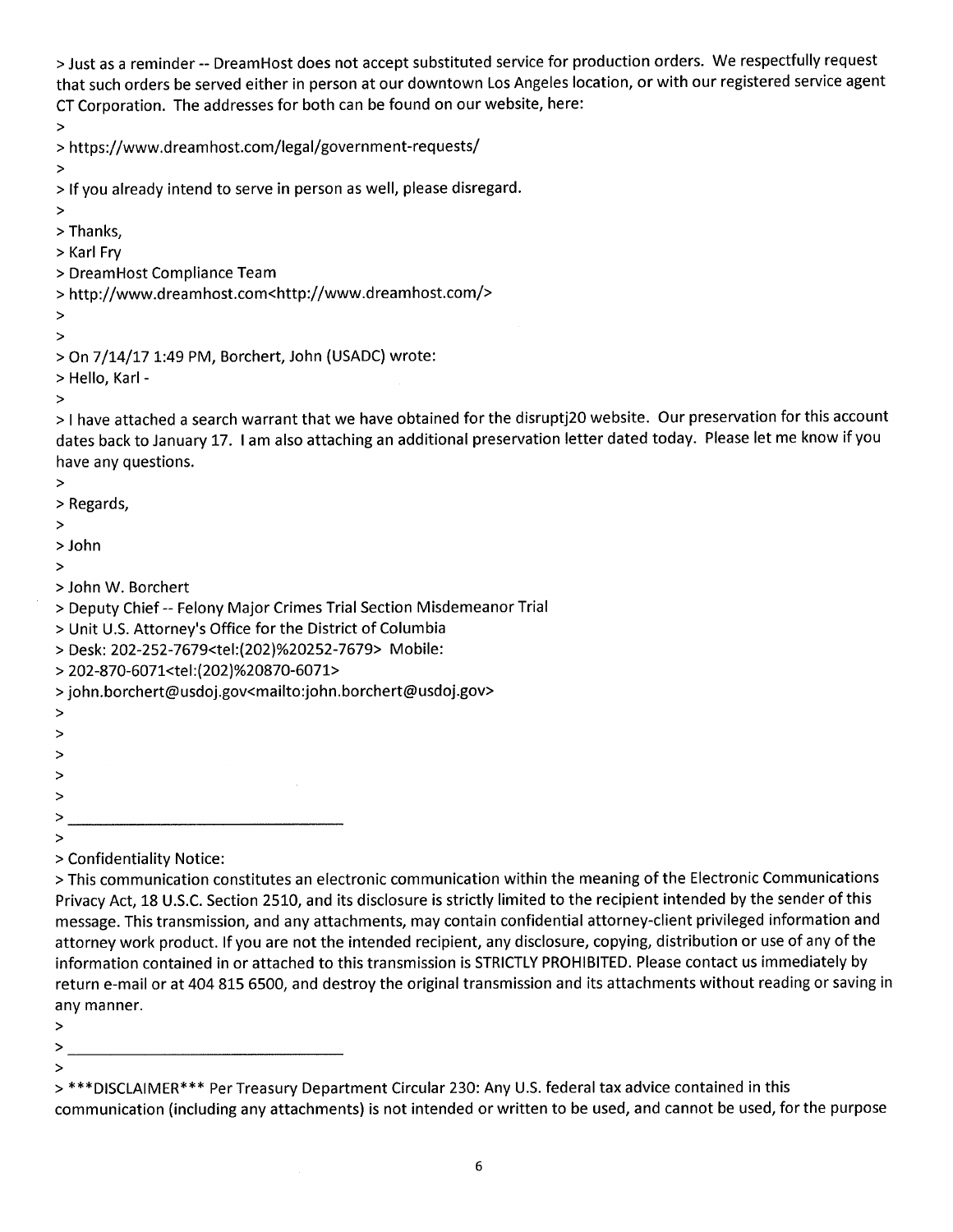> Just as a reminder -- DreamHost does not accept substituted service for production orders. We respectfully request that such orders be served either in person at our downtown Los Angeles location, or with our registered service agent CT Corporation. The addresses for both can be found on our website, here:

 $\geq$ 

> https://www.dreamhost.com/legal/government-requests/

 $\geq$ 

> If you already intend to serve in person as well, please disregard.

- $\geq$
- > Thanks,
- > Karl Fry
- > DreamHost Compliance Team
- > http://www.dreamhost.com<http://www.dreamhost.com/>
- $\geq$  $\, >$

```
> On 7/14/17 1:49 PM, Borchert, John (USADC) wrote:
```
> Hello, Karl -

 $\,>$ 

> I have attached a search warrant that we have obtained for the disruptj20 website. Our preservation for this account dates back to January 17. I am also attaching an additional preservation letter dated today. Please let me know if you have any questions.

 $\, >$ 

- > Regards,
- $\, > \,$
- > John
- $\, >$
- > John W. Borchert
- > Deputy Chief -- Felony Major Crimes Trial Section Misdemeanor Trial
- > Unit U.S. Attorney's Office for the District of Columbia
- > Desk: 202-252-7679<tel:(202)%20252-7679> Mobile:
- > 202-870-6071<tel:(202)%20870-6071>
- >john.borchert@usdoj.gov<mailto:john.borchert@usdoj.gov>
- $\, >$
- 
- $\, >$
- $\geq$
- $\geq$  $\geq$
- >
- 
- > Confidentiality Notice:

> This communication constitutes an electronic communication within the meaning of the Electronic Communications Privacy Act, 18 U.S.C. Section 2510, and its disclosure is strictly limited to the recipient intended by the sender of this message. This transmission, and any attachments, may contain confidential attorney-client privileged information and attorney work product. If you are not the intended recipient, any disclosure, copying, distribution or use of any of the information contained in or attached to this transmission is STRICTLY PROHIBITED. Please contact us immediately by return e-mail or at 404 815 6500, and destroy the original transmission and its attachments without reading or saving in any manner.

- $\geq$
- $>$
- 

<sup>&</sup>gt; \*\*\* DISCLAIMER\*\*\* Per Treasury Department Circular 230: Any U.S. federal tax advice contained in this communication (including any attachments) is not intended or written to be used, and cannot be used, for the purpose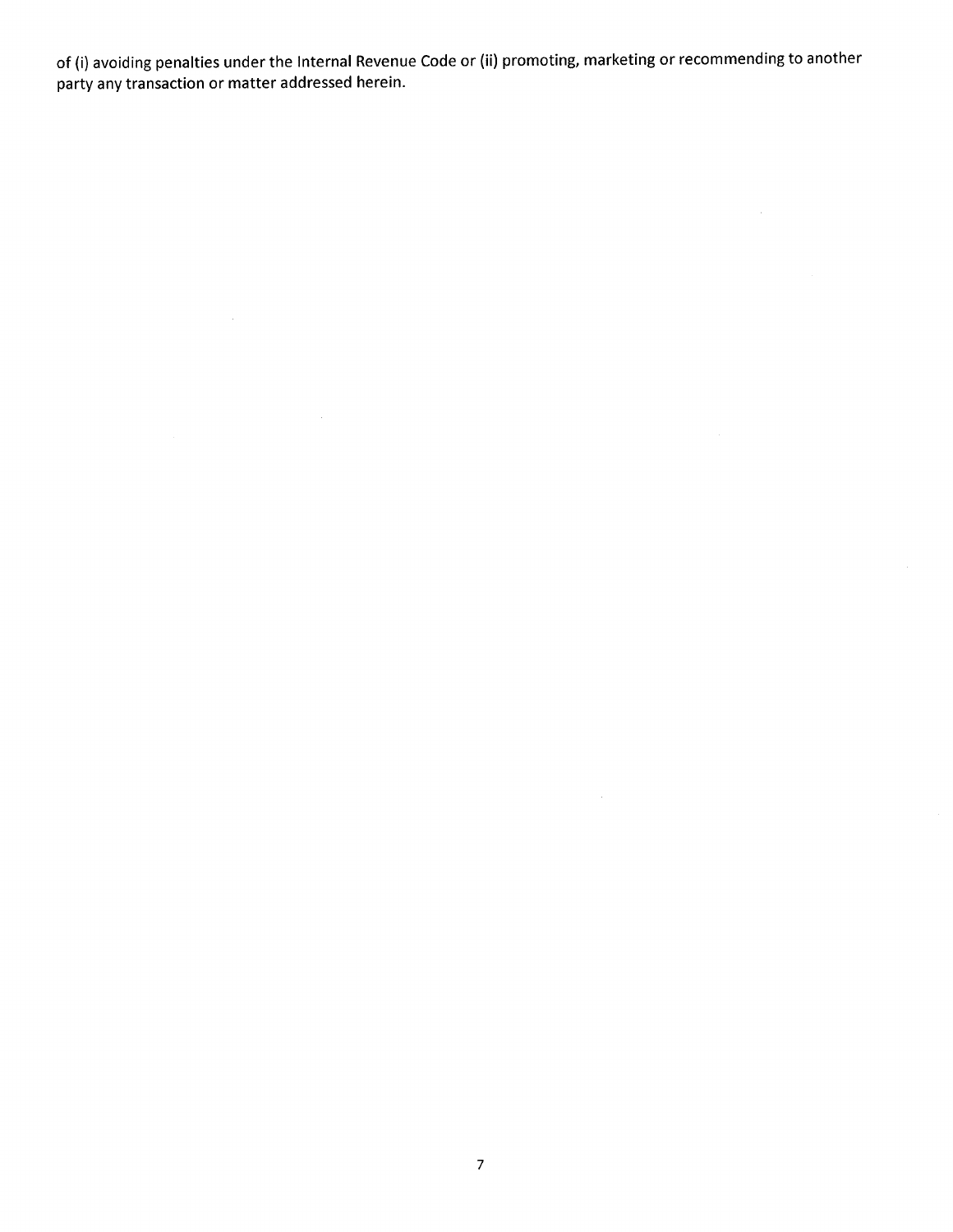of (i) avoiding penalties under the Internal Revenue Code or (ii) promoting, marketing or recommending to another party any transaction or matter addressed herein.

 $\sim 10^{-1}$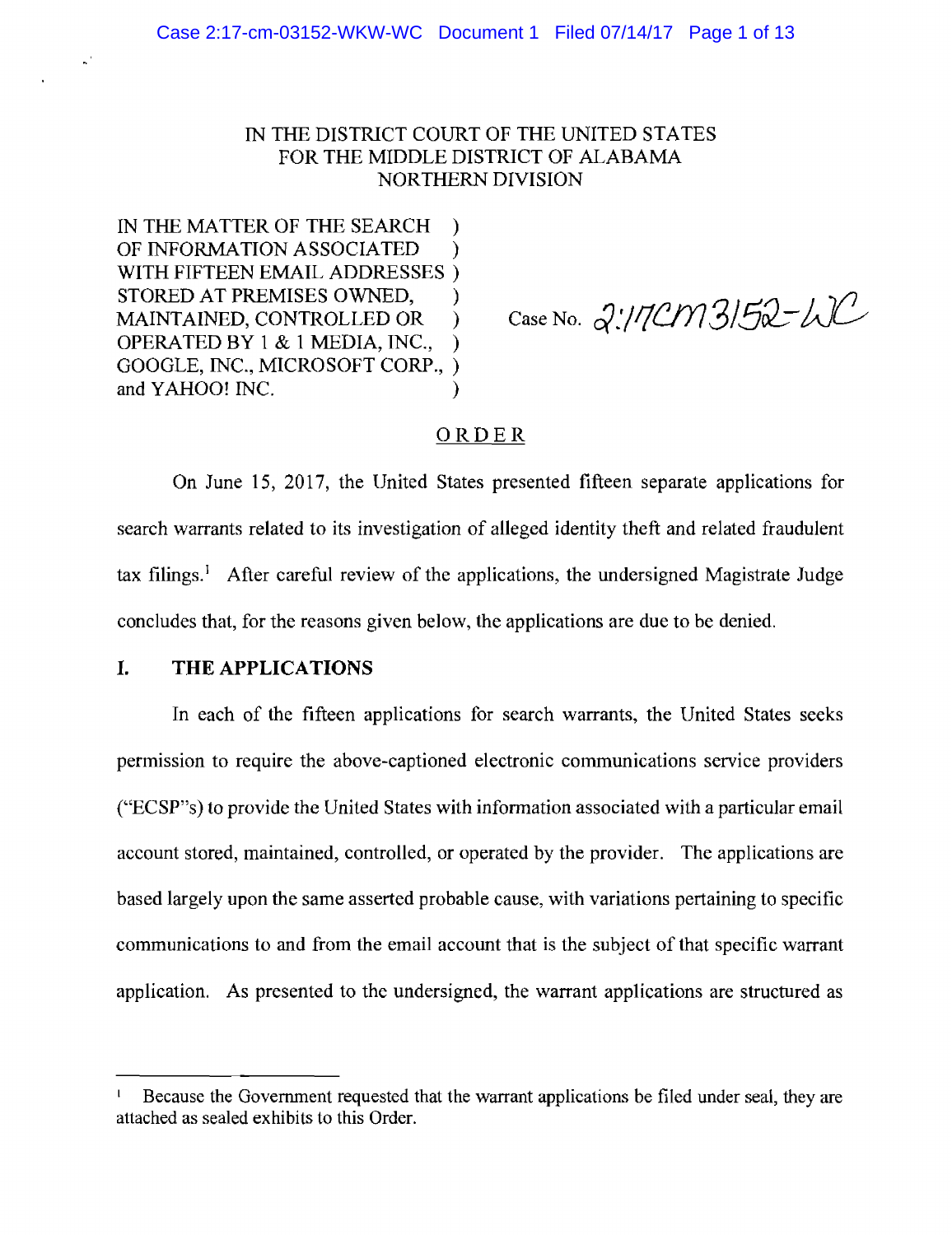## IN THE DISTRICT COURT OF THE UNITED STATES FOR THE MIDDLE DISTRICT OF ALABAMA NORTHERN DIVISION

IN THE MATTER OF THE SEARCH OF INFORMATION ASSOCIATED  $\lambda$ WITH FIFTEEN EMAIL ADDRESSES) STORED AT PREMISES OWNED, MAINTAINED, CONTROLLED OR  $\lambda$ OPERATED BY 1 & 1 MEDIA, INC.,  $\mathcal{E}$ GOOGLE, INC., MICROSOFT CORP., ) and YAHOO! INC.

Case No. 2:17CM3152-WC

## $ORDER$

On June 15, 2017, the United States presented fifteen separate applications for search warrants related to its investigation of alleged identity theft and related fraudulent tax filings.<sup>1</sup> After careful review of the applications, the undersigned Magistrate Judge concludes that, for the reasons given below, the applications are due to be denied.

#### THE APPLICATIONS

In each of the fifteen applications for search warrants, the United States seeks permission to require the above-captioned electronic communications service providers ("ECSP"s) to provide the United States with information associated with a particular email account stored, maintained, controlled, or operated by the provider. The applications are based largely upon the same asserted probable cause, with variations pertaining to specific communications to and from the email account that is the subject of that specific warrant application. As presented to the undersigned, the warrant applications are structured as

Because the Government requested that the warrant applications be filed under seal, they are attached as sealed exhibits to this Order.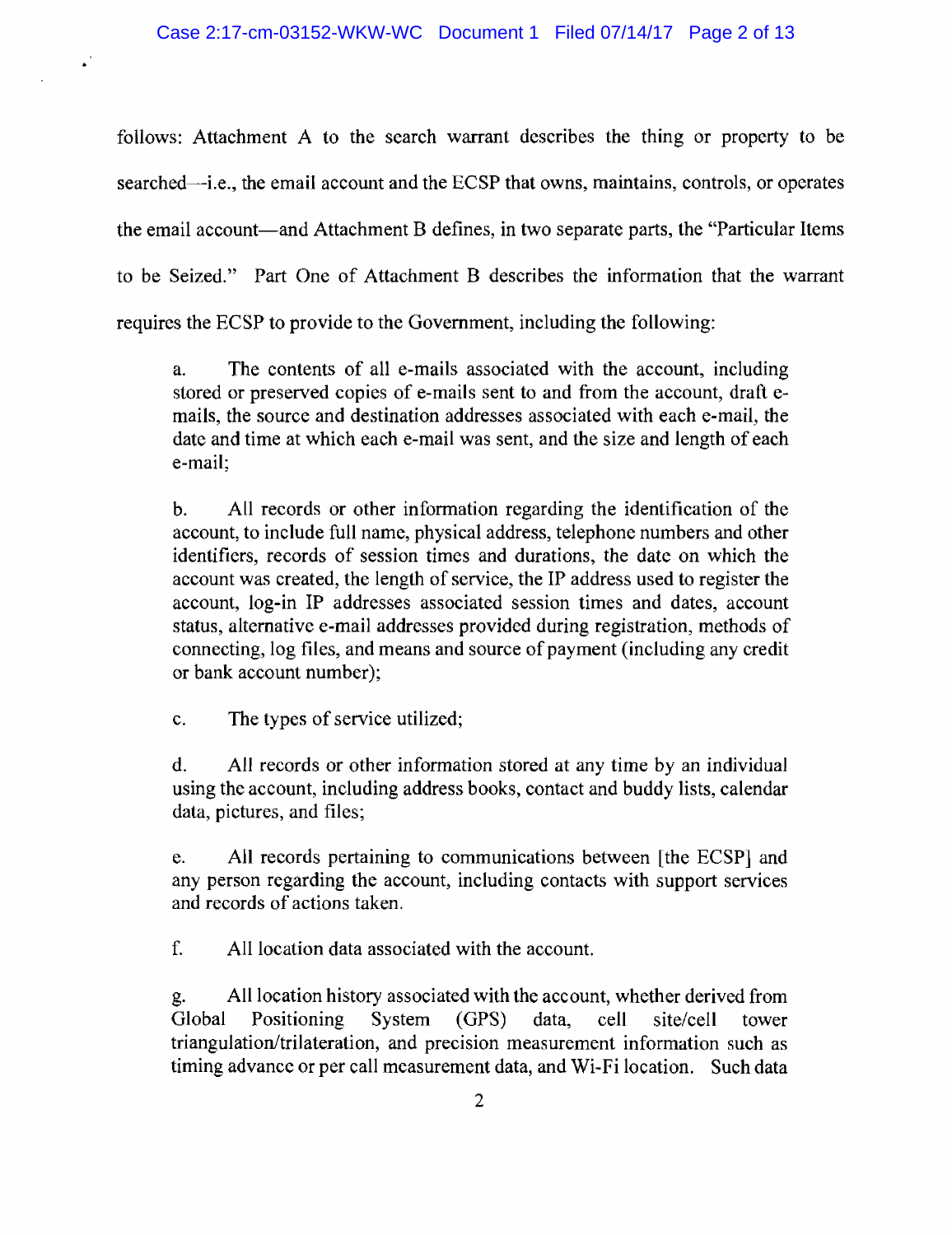follows: Attachment A to the search warrant describes the thing or property to be searched—i.e., the email account and the ECSP that owns, maintains, controls, or operates the email account—and Attachment B defines, in two separate parts, the "Particular Items" to be Seized." Part One of Attachment B describes the information that the warrant requires the ECSP to provide to the Government, including the following:

The contents of all e-mails associated with the account, including a. stored or preserved copies of e-mails sent to and from the account, draft emails, the source and destination addresses associated with each e-mail, the date and time at which each e-mail was sent, and the size and length of each e-mail;

 $b<sub>1</sub>$ All records or other information regarding the identification of the account, to include full name, physical address, telephone numbers and other identifiers, records of session times and durations, the date on which the account was created, the length of service, the IP address used to register the account, log-in IP addresses associated session times and dates, account status, alternative e-mail addresses provided during registration, methods of connecting, log files, and means and source of payment (including any credit or bank account number);

 $\mathbf{c}$ . The types of service utilized;

 $\ddot{\phantom{a}}$ 

All records or other information stored at any time by an individual  $\mathbf{d}$ . using the account, including address books, contact and buddy lists, calendar data, pictures, and files;

e. All records pertaining to communications between [the ECSP] and any person regarding the account, including contacts with support services and records of actions taken.

 $f_{\cdot}$ All location data associated with the account.

All location history associated with the account, whether derived from g. Global **Positioning** System  $(GPS)$ data. cell site/cell tower triangulation/trilateration, and precision measurement information such as timing advance or per call measurement data, and Wi-Fi location. Such data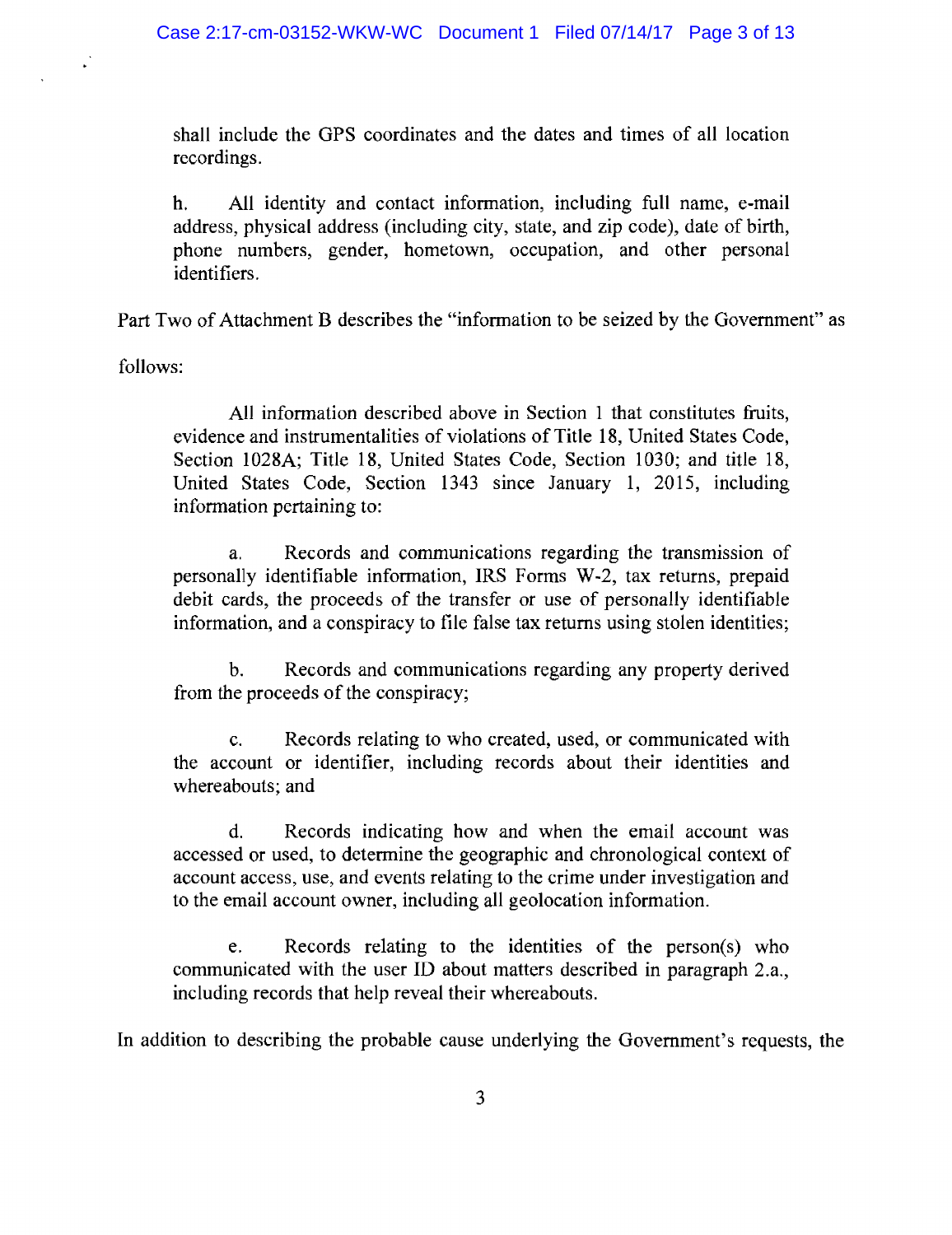shall include the GPS coordinates and the dates and times of all location recordings.

All identity and contact information, including full name, e-mail  $h_{\cdot}$ address, physical address (including city, state, and zip code), date of birth, phone numbers, gender, hometown, occupation, and other personal identifiers.

Part Two of Attachment B describes the "information to be seized by the Government" as

follows:

All information described above in Section 1 that constitutes fruits, evidence and instrumentalities of violations of Title 18, United States Code, Section 1028A; Title 18, United States Code, Section 1030; and title 18, United States Code, Section 1343 since January 1, 2015, including information pertaining to:

Records and communications regarding the transmission of a. personally identifiable information, IRS Forms W-2, tax returns, prepaid debit cards, the proceeds of the transfer or use of personally identifiable information, and a conspiracy to file false tax returns using stolen identities;

 $<sub>b</sub>$ .</sub> Records and communications regarding any property derived from the proceeds of the conspiracy;

 $\mathbf{c}$ . Records relating to who created, used, or communicated with the account or identifier, including records about their identities and whereabouts; and

Records indicating how and when the email account was d. accessed or used, to determine the geographic and chronological context of account access, use, and events relating to the crime under investigation and to the email account owner, including all geolocation information.

Records relating to the identities of the person(s) who e. communicated with the user ID about matters described in paragraph 2.a., including records that help reveal their whereabouts.

In addition to describing the probable cause underlying the Government's requests, the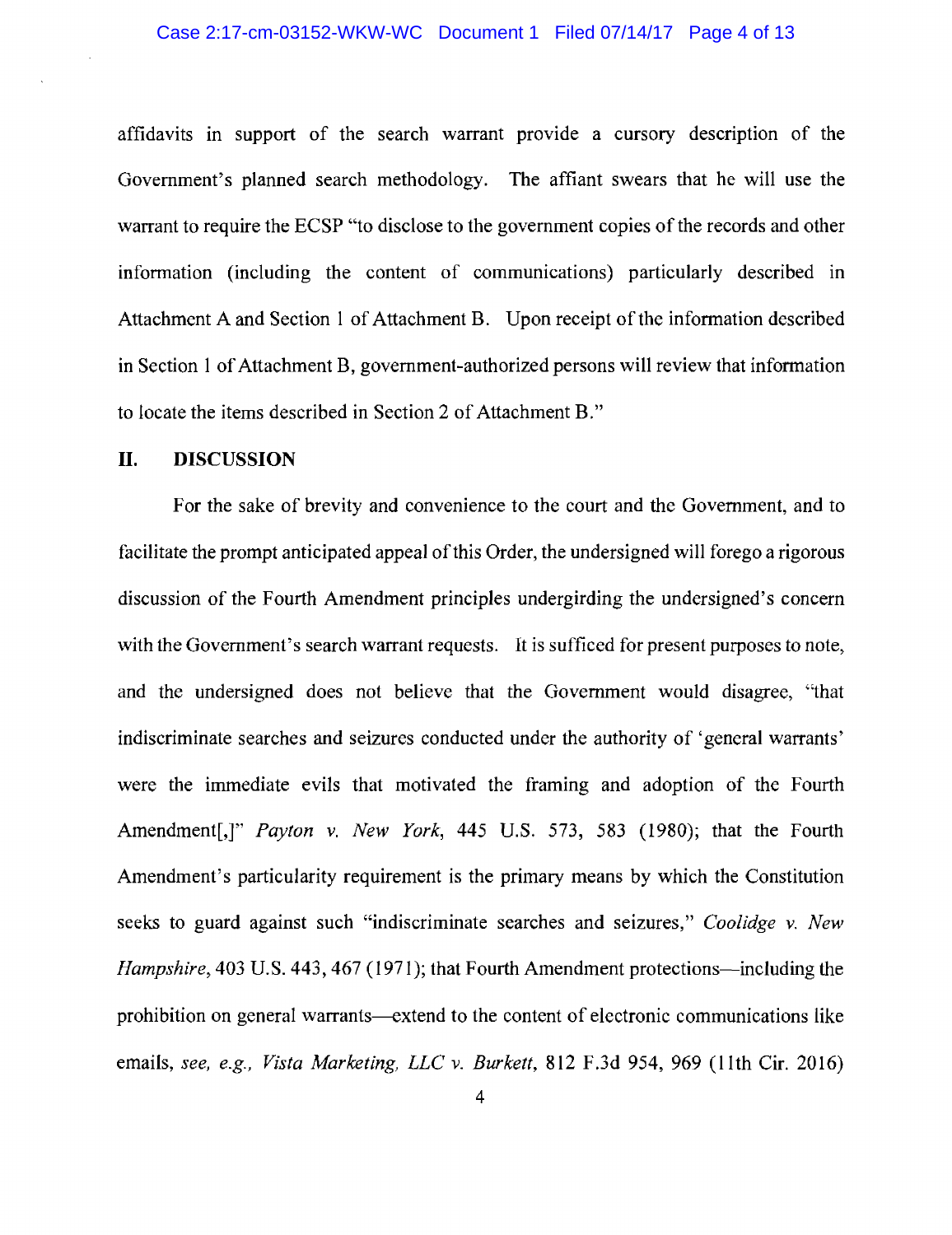affidavits in support of the search warrant provide a cursory description of the Government's planned search methodology. The affiant swears that he will use the warrant to require the ECSP "to disclose to the government copies of the records and other information (including the content of communications) particularly described in Attachment A and Section 1 of Attachment B. Upon receipt of the information described in Section 1 of Attachment B, government-authorized persons will review that information to locate the items described in Section 2 of Attachment B."

#### II. **DISCUSSION**

For the sake of brevity and convenience to the court and the Government, and to facilitate the prompt anticipated appeal of this Order, the undersigned will forego a rigorous discussion of the Fourth Amendment principles undergirding the undersigned's concern with the Government's search warrant requests. It is sufficed for present purposes to note. and the undersigned does not believe that the Government would disagree, "that indiscriminate searches and seizures conducted under the authority of 'general warrants' were the immediate evils that motivated the framing and adoption of the Fourth Amendment<sup>[1]</sup>" *Payton v. New York*, 445 U.S. 573, 583 (1980); that the Fourth Amendment's particularity requirement is the primary means by which the Constitution seeks to guard against such "indiscriminate searches and seizures," Coolidge v. New *Hampshire*, 403 U.S. 443, 467 (1971); that Fourth Amendment protections—including the prohibition on general warrants—extend to the content of electronic communications like emails, see, e.g., *Vista Marketing, LLC v. Burkett*, 812 F.3d 954, 969 (11th Cir. 2016)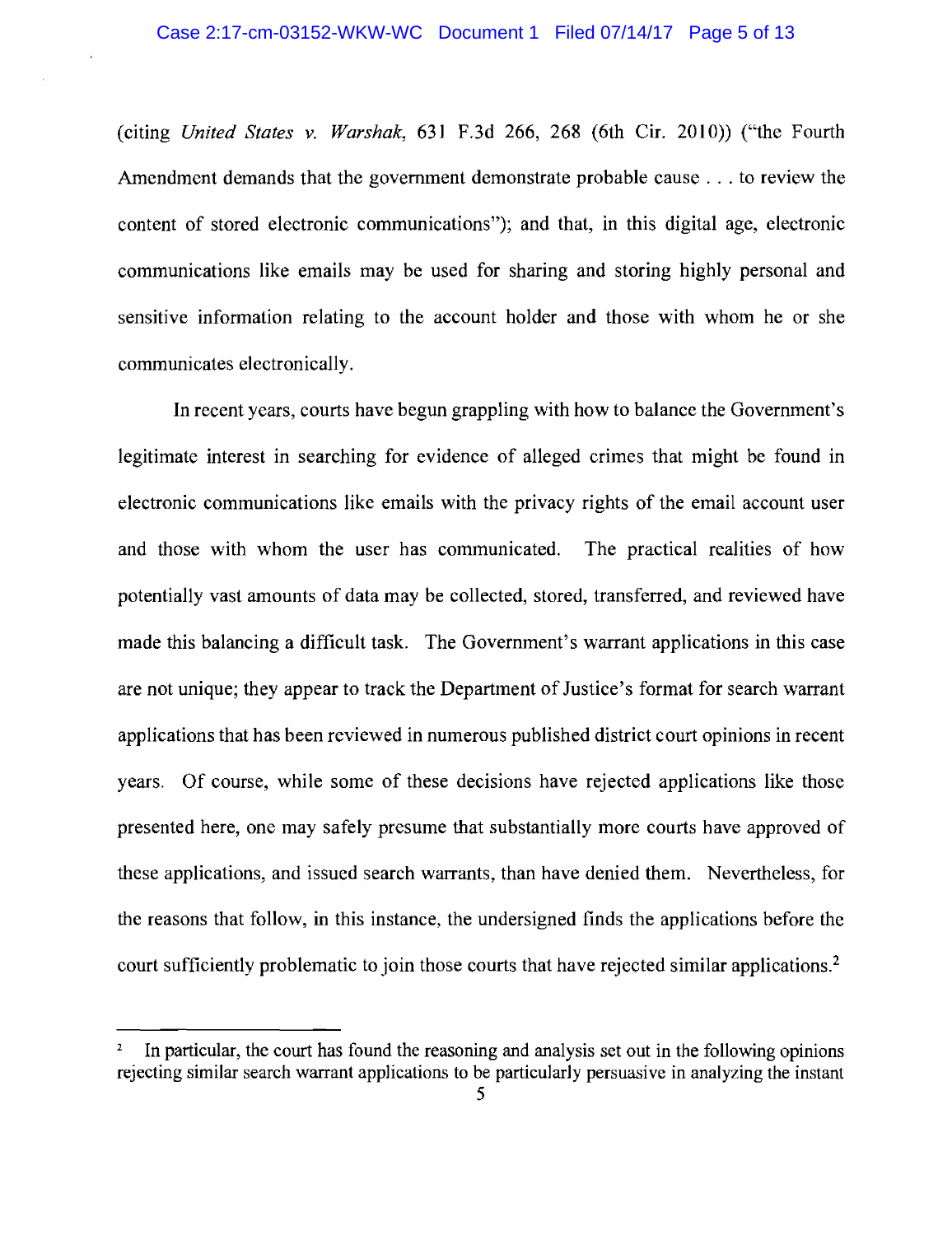$(citing United States v. Warshak, 631 F.3d 266, 268 (6th Cir. 2010))$  ("the Fourth" Amendment demands that the government demonstrate probable cause . . . to review the content of stored electronic communications"); and that, in this digital age, electronic communications like emails may be used for sharing and storing highly personal and sensitive information relating to the account holder and those with whom he or she communicates electronically.

In recent years, courts have begun grappling with how to balance the Government's legitimate interest in searching for evidence of alleged crimes that might be found in electronic communications like emails with the privacy rights of the email account user and those with whom the user has communicated. The practical realities of how potentially vast amounts of data may be collected, stored, transferred, and reviewed have made this balancing a difficult task. The Government's warrant applications in this case are not unique; they appear to track the Department of Justice's format for search warrant applications that has been reviewed in numerous published district court opinions in recent years. Of course, while some of these decisions have rejected applications like those presented here, one may safely presume that substantially more courts have approved of these applications, and issued search warrants, than have denied them. Nevertheless, for the reasons that follow, in this instance, the undersigned finds the applications before the court sufficiently problematic to join those courts that have rejected similar applications.<sup>2</sup>

In particular, the court has found the reasoning and analysis set out in the following opinions rejecting similar search warrant applications to be particularly persuasive in analyzing the instant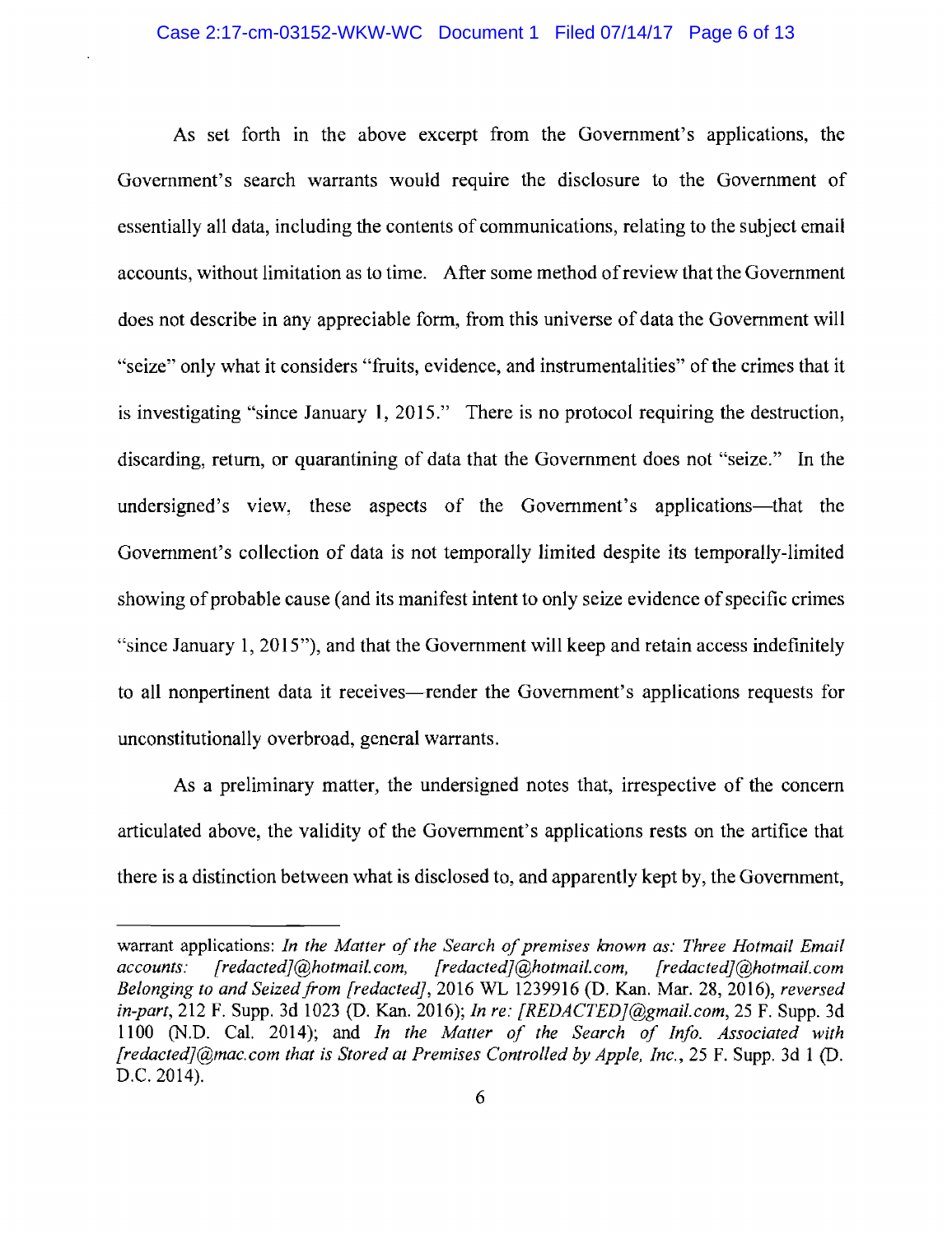As set forth in the above excerpt from the Government's applications, the Government's search warrants would require the disclosure to the Government of essentially all data, including the contents of communications, relating to the subject email accounts, without limitation as to time. After some method of review that the Government does not describe in any appreciable form, from this universe of data the Government will "seize" only what it considers "fruits, evidence, and instrumentalities" of the crimes that it is investigating "since January 1, 2015." There is no protocol requiring the destruction, discarding, return, or quarantining of data that the Government does not "seize." In the undersigned's view, these aspects of the Government's applications—that the Government's collection of data is not temporally limited despite its temporally-limited showing of probable cause (and its manifest intent to only seize evidence of specific crimes "since January 1, 2015"), and that the Government will keep and retain access indefinitely to all nonpertinent data it receives—render the Government's applications requests for unconstitutionally overbroad, general warrants.

As a preliminary matter, the undersigned notes that, irrespective of the concern articulated above, the validity of the Government's applications rests on the artifice that there is a distinction between what is disclosed to, and apparently kept by, the Government,

warrant applications: In the Matter of the Search of premises known as: Three Hotmail Email accounts:  $[reduced]$ @hotmail.com, [redacted]@hotmail.com,  $[reduced]$ @hotmail.com Belonging to and Seized from [redacted], 2016 WL 1239916 (D. Kan. Mar. 28, 2016), reversed in-part, 212 F. Supp. 3d 1023 (D. Kan. 2016); *In re: [REDACTED]@gmail.com*, 25 F. Supp. 3d 1100 (N.D. Cal. 2014); and In the Matter of the Search of Info. Associated with *[redacted]*(@mac.com that is Stored at Premises Controlled by Apple, Inc., 25 F. Supp. 3d 1 (D. D.C. 2014).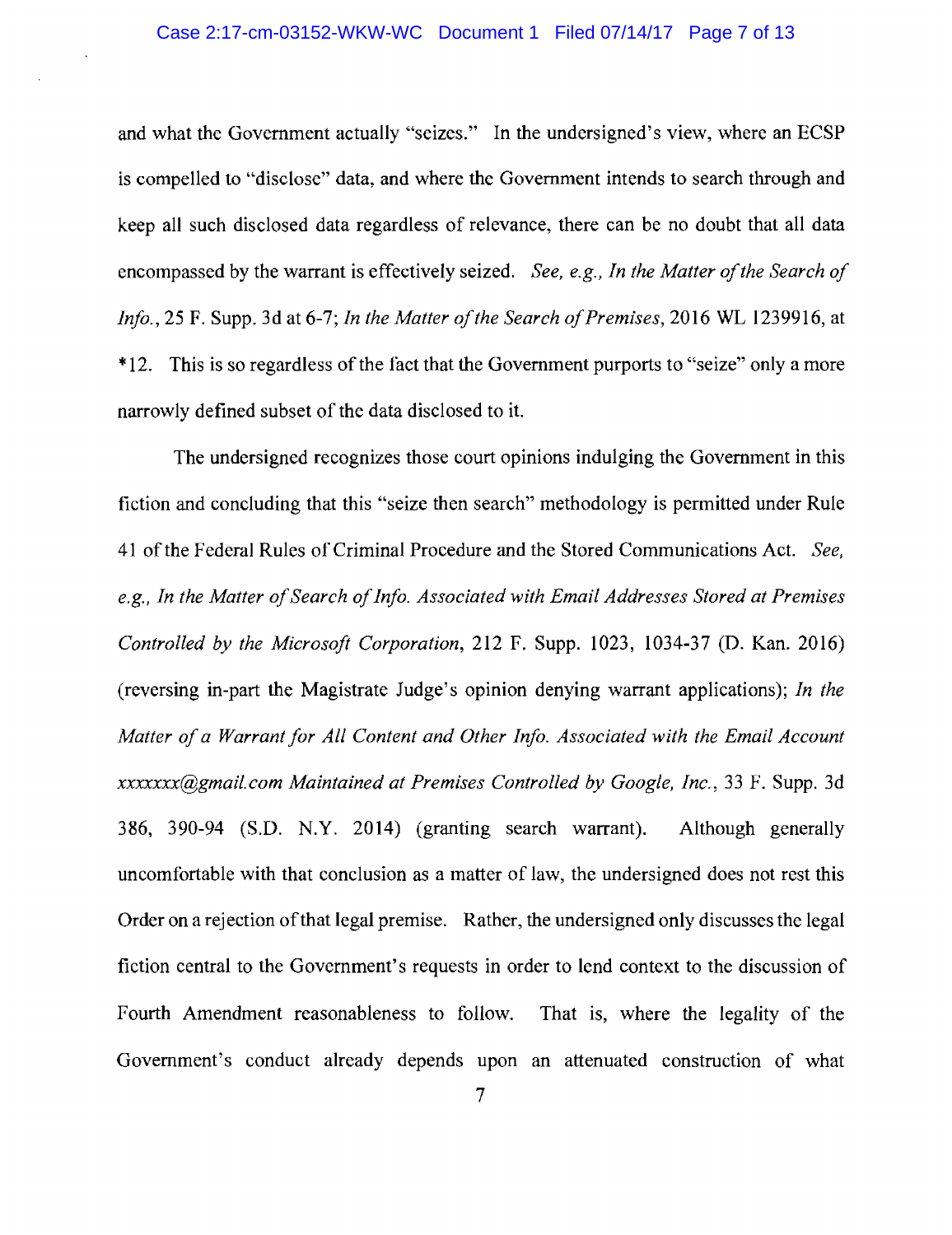and what the Government actually "seizes." In the undersigned's view, where an ECSP is compelled to "disclose" data, and where the Government intends to search through and keep all such disclosed data regardless of relevance, there can be no doubt that all data encompassed by the warrant is effectively seized. See, e.g., In the Matter of the Search of Info., 25 F. Supp. 3d at 6-7; In the Matter of the Search of Premises, 2016 WL 1239916, at \*12. This is so regardless of the fact that the Government purports to "seize" only a more narrowly defined subset of the data disclosed to it.

The undersigned recognizes those court opinions indulging the Government in this fiction and concluding that this "seize then search" methodology is permitted under Rule 41 of the Federal Rules of Criminal Procedure and the Stored Communications Act. See, e.g., In the Matter of Search of Info. Associated with Email Addresses Stored at Premises Controlled by the Microsoft Corporation, 212 F. Supp. 1023, 1034-37 (D. Kan. 2016) (reversing in-part the Magistrate Judge's opinion denying warrant applications); In the Matter of a Warrant for All Content and Other Info. Associated with the Email Account *xxxxxx(a)gmail.com Maintained at Premises Controlled by Google, Inc., 33 F. Supp. 3d* 386, 390-94 (S.D. N.Y. 2014) (granting search warrant). Although generally uncomfortable with that conclusion as a matter of law, the undersigned does not rest this Order on a rejection of that legal premise. Rather, the undersigned only discusses the legal fiction central to the Government's requests in order to lend context to the discussion of Fourth Amendment reasonableness to follow. That is, where the legality of the Government's conduct already depends upon an attenuated construction of what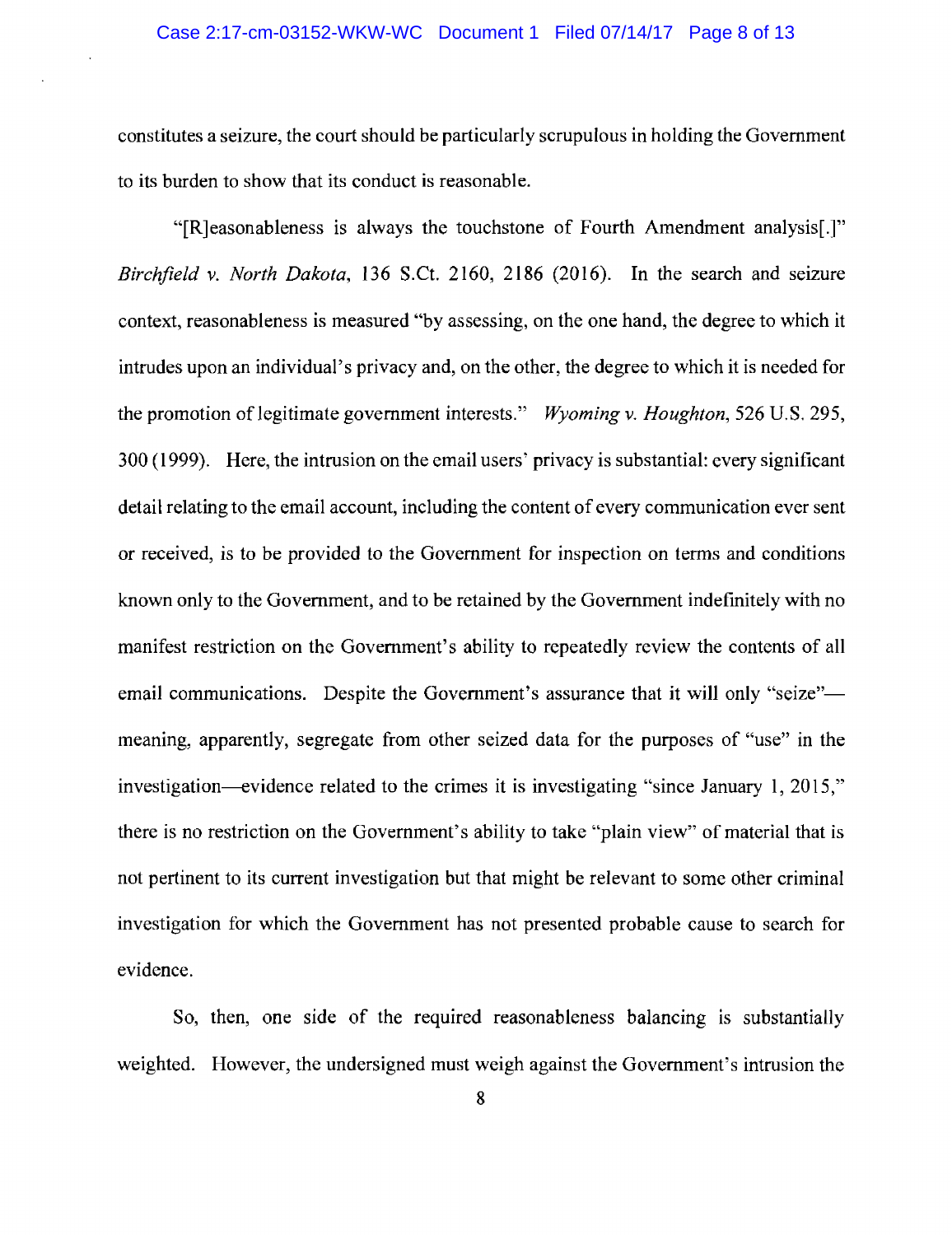constitutes a seizure, the court should be particularly scrupulous in holding the Government to its burden to show that its conduct is reasonable.

"[R] easonableness is always the touchstone of Fourth Amendment analysis.]" Birchfield v. North Dakota, 136 S.Ct. 2160, 2186 (2016). In the search and seizure context, reasonableness is measured "by assessing, on the one hand, the degree to which it intrudes upon an individual's privacy and, on the other, the degree to which it is needed for the promotion of legitimate government interests." Wyoming v. Houghton, 526 U.S. 295, 300 (1999). Here, the intrusion on the email users' privacy is substantial: every significant detail relating to the email account, including the content of every communication ever sent or received, is to be provided to the Government for inspection on terms and conditions known only to the Government, and to be retained by the Government indefinitely with no manifest restriction on the Government's ability to repeatedly review the contents of all email communications. Despite the Government's assurance that it will only "seize"meaning, apparently, segregate from other seized data for the purposes of "use" in the investigation—evidence related to the crimes it is investigating "since January 1, 2015," there is no restriction on the Government's ability to take "plain view" of material that is not pertinent to its current investigation but that might be relevant to some other criminal investigation for which the Government has not presented probable cause to search for evidence.

So, then, one side of the required reasonableness balancing is substantially weighted. However, the undersigned must weigh against the Government's intrusion the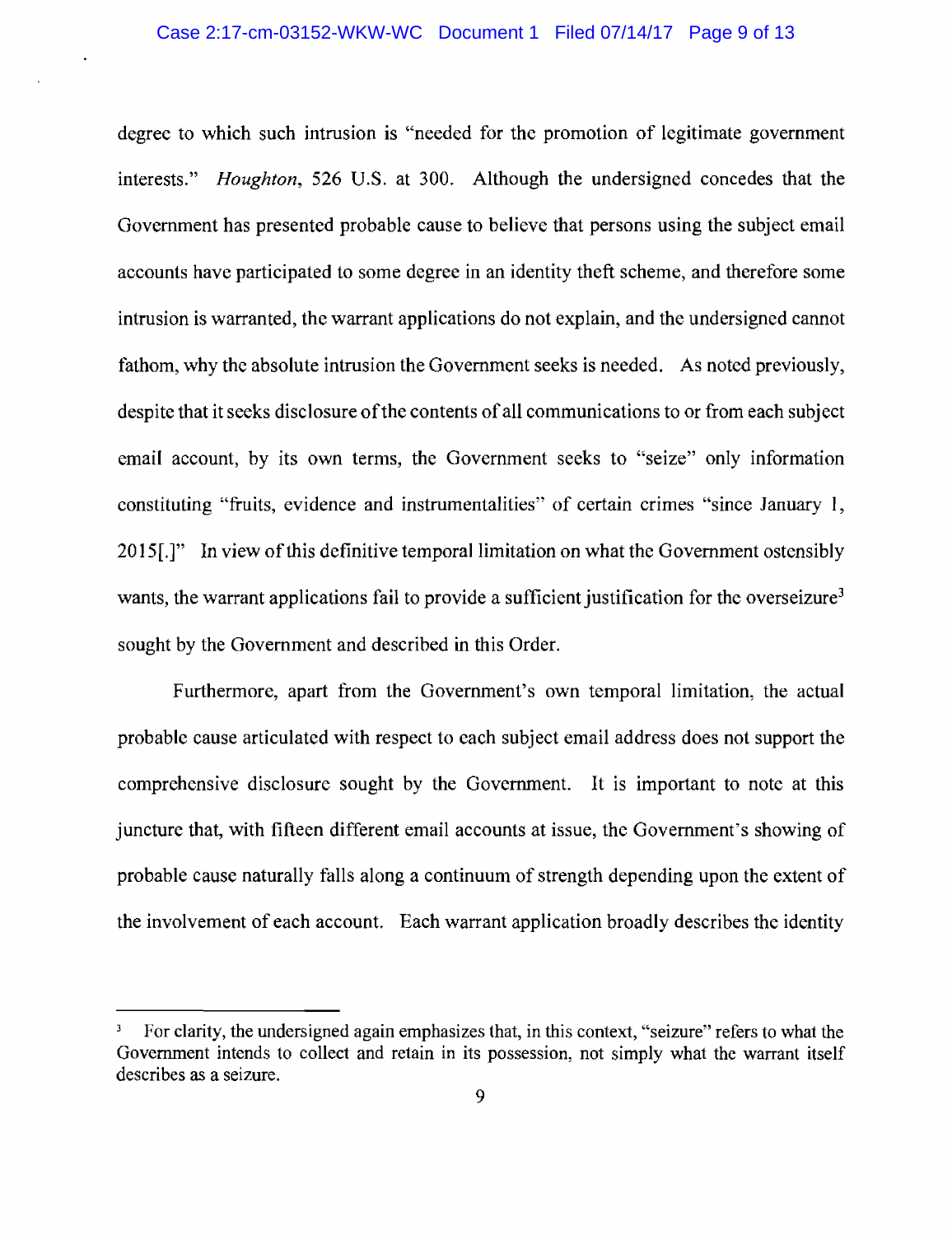#### Case 2:17-cm-03152-WKW-WC Document 1 Filed 07/14/17 Page 9 of 13

degree to which such intrusion is "needed for the promotion of legitimate government interests." *Houghton*, 526 U.S. at 300. Although the undersigned concedes that the Government has presented probable cause to believe that persons using the subject email accounts have participated to some degree in an identity theft scheme, and therefore some intrusion is warranted, the warrant applications do not explain, and the undersigned cannot fathom, why the absolute intrusion the Government seeks is needed. As noted previously, despite that it seeks disclosure of the contents of all communications to or from each subject email account, by its own terms, the Government seeks to "seize" only information constituting "fruits, evidence and instrumentalities" of certain crimes "since January 1, 2015. The view of this definitive temporal limitation on what the Government ostensibly wants, the warrant applications fail to provide a sufficient justification for the overseizure<sup>3</sup> sought by the Government and described in this Order.

Furthermore, apart from the Government's own temporal limitation, the actual probable cause articulated with respect to each subject email address does not support the comprehensive disclosure sought by the Government. It is important to note at this juncture that, with fifteen different email accounts at issue, the Government's showing of probable cause naturally falls along a continuum of strength depending upon the extent of the involvement of each account. Each warrant application broadly describes the identity

For clarity, the undersigned again emphasizes that, in this context, "seizure" refers to what the Government intends to collect and retain in its possession, not simply what the warrant itself describes as a seizure.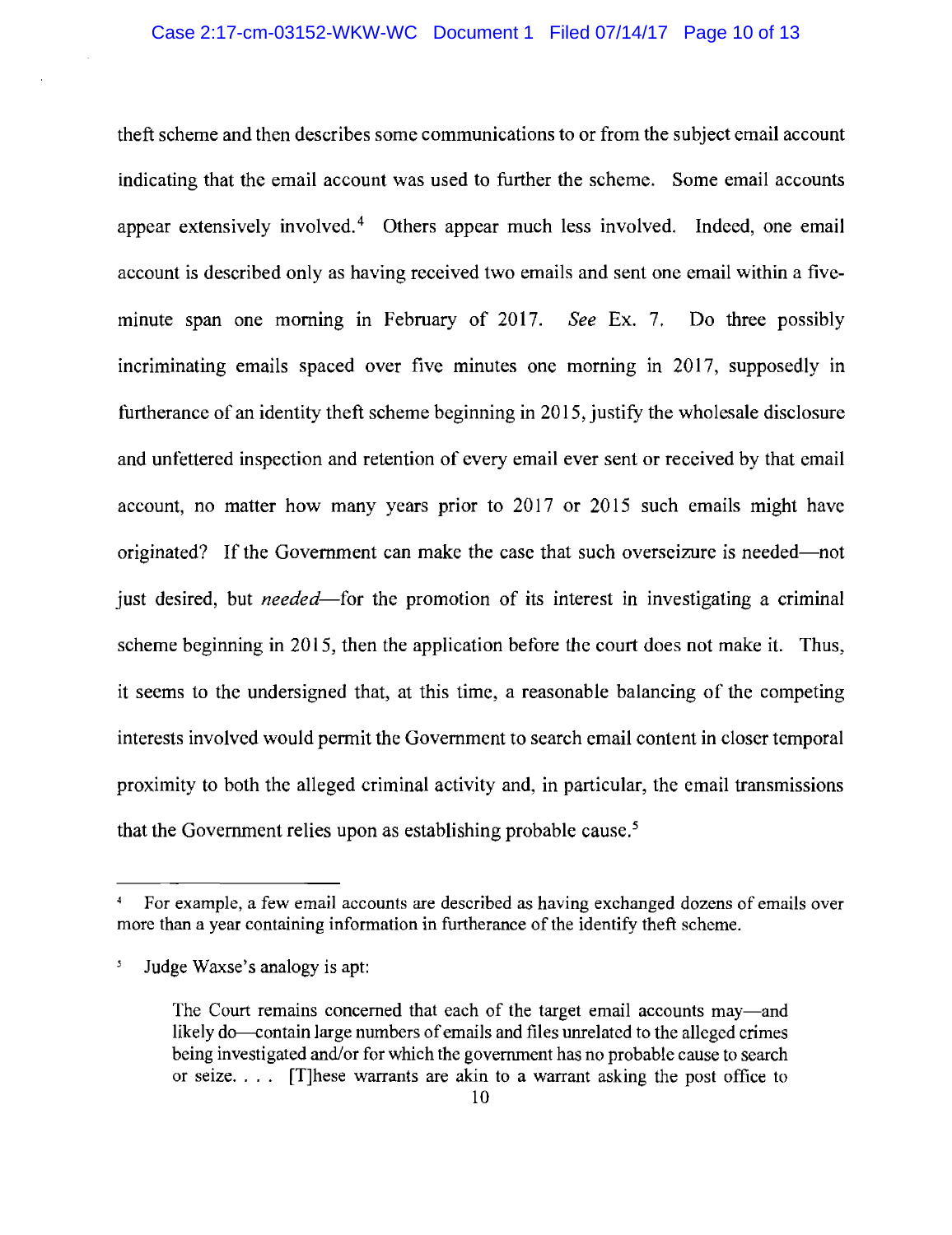theft scheme and then describes some communications to or from the subject email account indicating that the email account was used to further the scheme. Some email accounts appear extensively involved.<sup>4</sup> Others appear much less involved. Indeed, one email account is described only as having received two emails and sent one email within a fiveminute span one morning in February of 2017. See Ex. 7. Do three possibly incriminating emails spaced over five minutes one morning in 2017, supposedly in furtherance of an identity theft scheme beginning in 2015, justify the wholesale disclosure and unfettered inspection and retention of every email ever sent or received by that email account, no matter how many years prior to 2017 or 2015 such emails might have originated? If the Government can make the case that such overseizure is needed—not just desired, but *needed*—for the promotion of its interest in investigating a criminal scheme beginning in 2015, then the application before the court does not make it. Thus, it seems to the undersigned that, at this time, a reasonable balancing of the competing interests involved would permit the Government to search email content in closer temporal proximity to both the alleged criminal activity and, in particular, the email transmissions that the Government relies upon as establishing probable cause.<sup>5</sup>

For example, a few email accounts are described as having exchanged dozens of emails over more than a year containing information in furtherance of the identify theft scheme.

 $\mathcal{S}$ Judge Waxse's analogy is apt:

The Court remains concerned that each of the target email accounts may—and likely do—contain large numbers of emails and files unrelated to the alleged crimes being investigated and/or for which the government has no probable cause to search or seize.... [T] hese warrants are akin to a warrant asking the post office to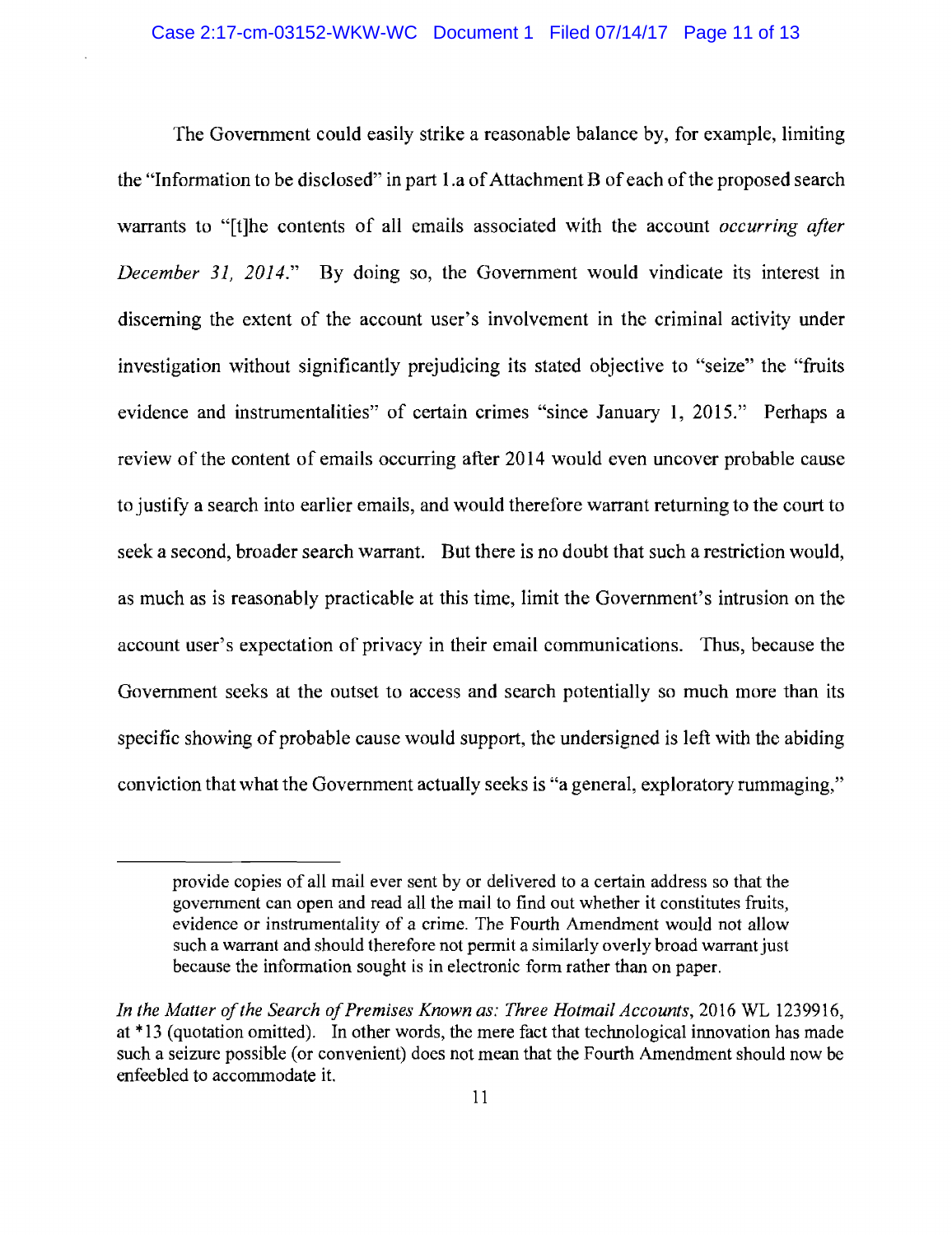The Government could easily strike a reasonable balance by, for example, limiting the "Information to be disclosed" in part 1.a of Attachment B of each of the proposed search warrants to "[t] he contents of all emails associated with the account *occurring after December 31, 2014.*" By doing so, the Government would vindicate its interest in discerning the extent of the account user's involvement in the criminal activity under investigation without significantly prejudicing its stated objective to "seize" the "fruits" evidence and instrumentalities" of certain crimes "since January 1, 2015." Perhaps a review of the content of emails occurring after 2014 would even uncover probable cause to justify a search into earlier emails, and would therefore warrant returning to the court to seek a second, broader search warrant. But there is no doubt that such a restriction would, as much as is reasonably practicable at this time, limit the Government's intrusion on the account user's expectation of privacy in their email communications. Thus, because the Government seeks at the outset to access and search potentially so much more than its specific showing of probable cause would support, the undersigned is left with the abiding conviction that what the Government actually seeks is "a general, exploratory rummaging,"

provide copies of all mail ever sent by or delivered to a certain address so that the government can open and read all the mail to find out whether it constitutes fruits. evidence or instrumentality of a crime. The Fourth Amendment would not allow such a warrant and should therefore not permit a similarly overly broad warrant just because the information sought is in electronic form rather than on paper.

In the Matter of the Search of Premises Known as: Three Hotmail Accounts, 2016 WL 1239916, at \*13 (quotation omitted). In other words, the mere fact that technological innovation has made such a seizure possible (or convenient) does not mean that the Fourth Amendment should now be enfeebled to accommodate it.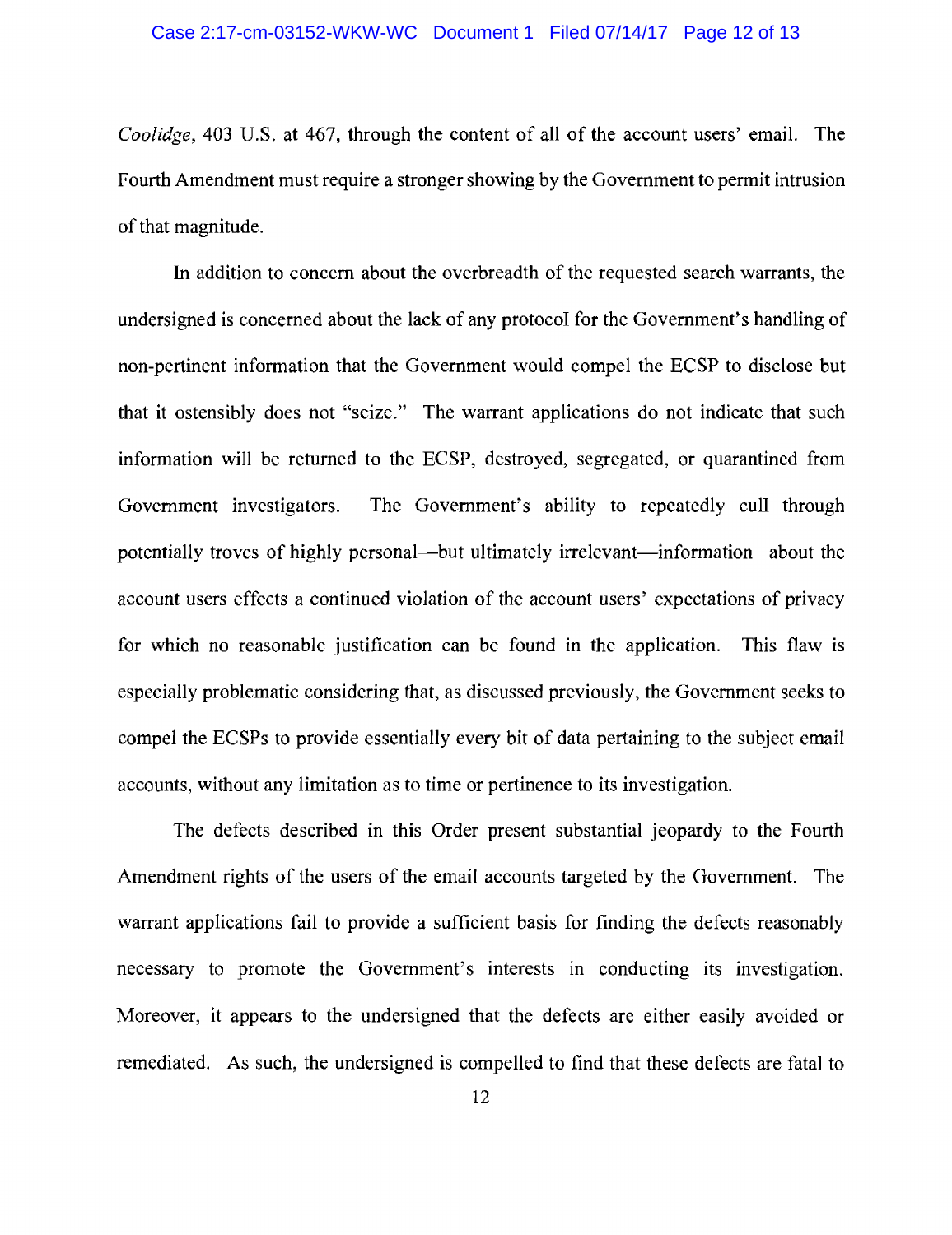*Coolidge*, 403 U.S. at 467, through the content of all of the account users' email. The Fourth Amendment must require a stronger showing by the Government to permit intrusion of that magnitude.

In addition to concern about the overbreadth of the requested search warrants, the undersigned is concerned about the lack of any protocol for the Government's handling of non-pertinent information that the Government would compel the ECSP to disclose but that it ostensibly does not "seize." The warrant applications do not indicate that such information will be returned to the ECSP, destroyed, segregated, or quarantined from Government investigators. potentially troves of highly personal—but ultimately irrelevant—information about the account users effects a continued violation of the account users' expectations of privacy for which no reasonable justification can be found in the application. This flaw is especially problematic considering that, as discussed previously, the Government seeks to compel the ECSPs to provide essentially every bit of data pertaining to the subject email accounts, without any limitation as to time or pertinence to its investigation.

The defects described in this Order present substantial jeopardy to the Fourth Amendment rights of the users of the email accounts targeted by the Government. The warrant applications fail to provide a sufficient basis for finding the defects reasonably necessary to promote the Government's interests in conducting its investigation. Moreover, it appears to the undersigned that the defects are either easily avoided or remediated. As such, the undersigned is compelled to find that these defects are fatal to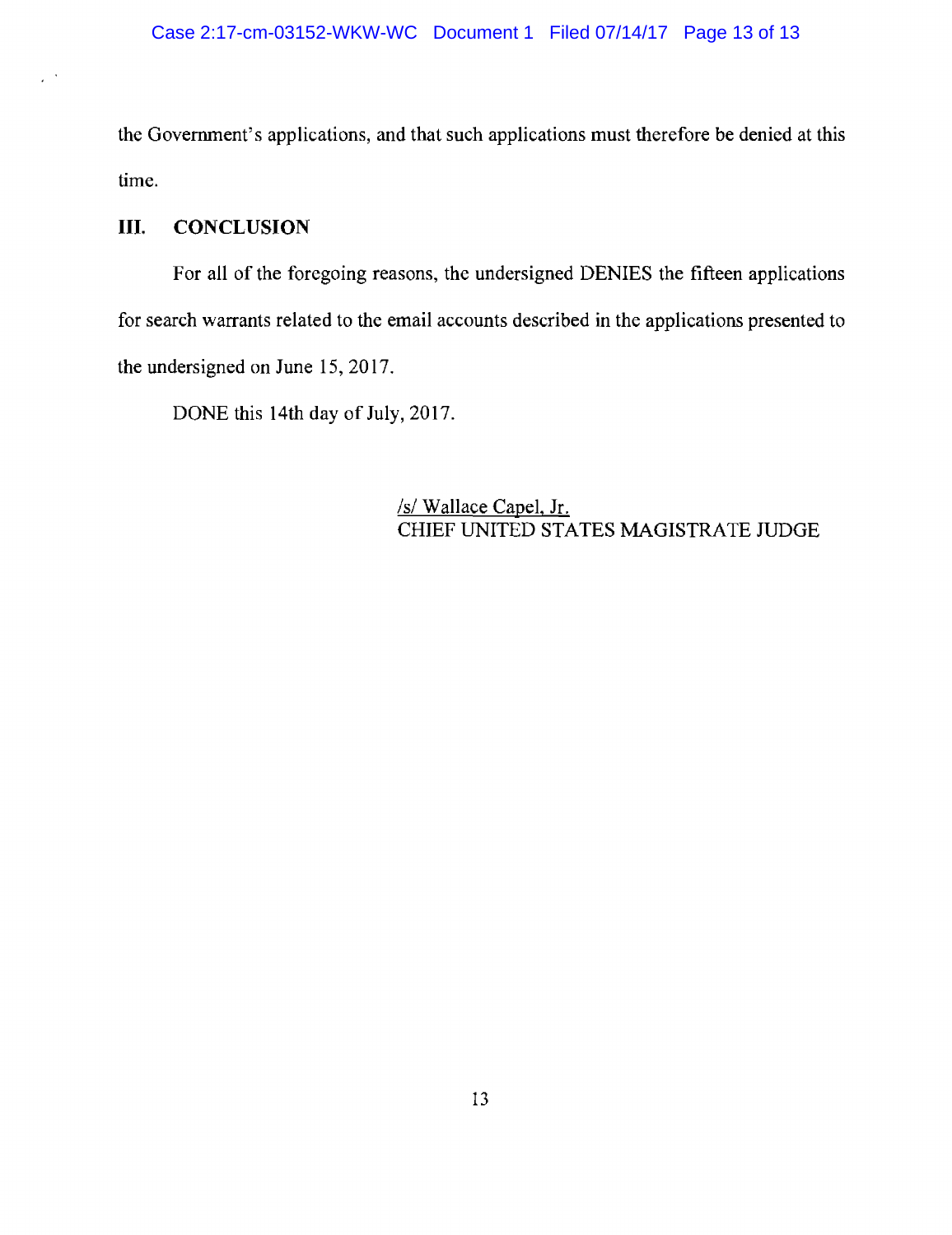the Government's applications, and that such applications must therefore be denied at this time.

#### Ш. **CONCLUSION**

For all of the foregoing reasons, the undersigned DENIES the fifteen applications for search warrants related to the email accounts described in the applications presented to the undersigned on June 15, 2017.

DONE this 14th day of July, 2017.

/s/ Wallace Capel, Jr. CHIEF UNITED STATES MAGISTRATE JUDGE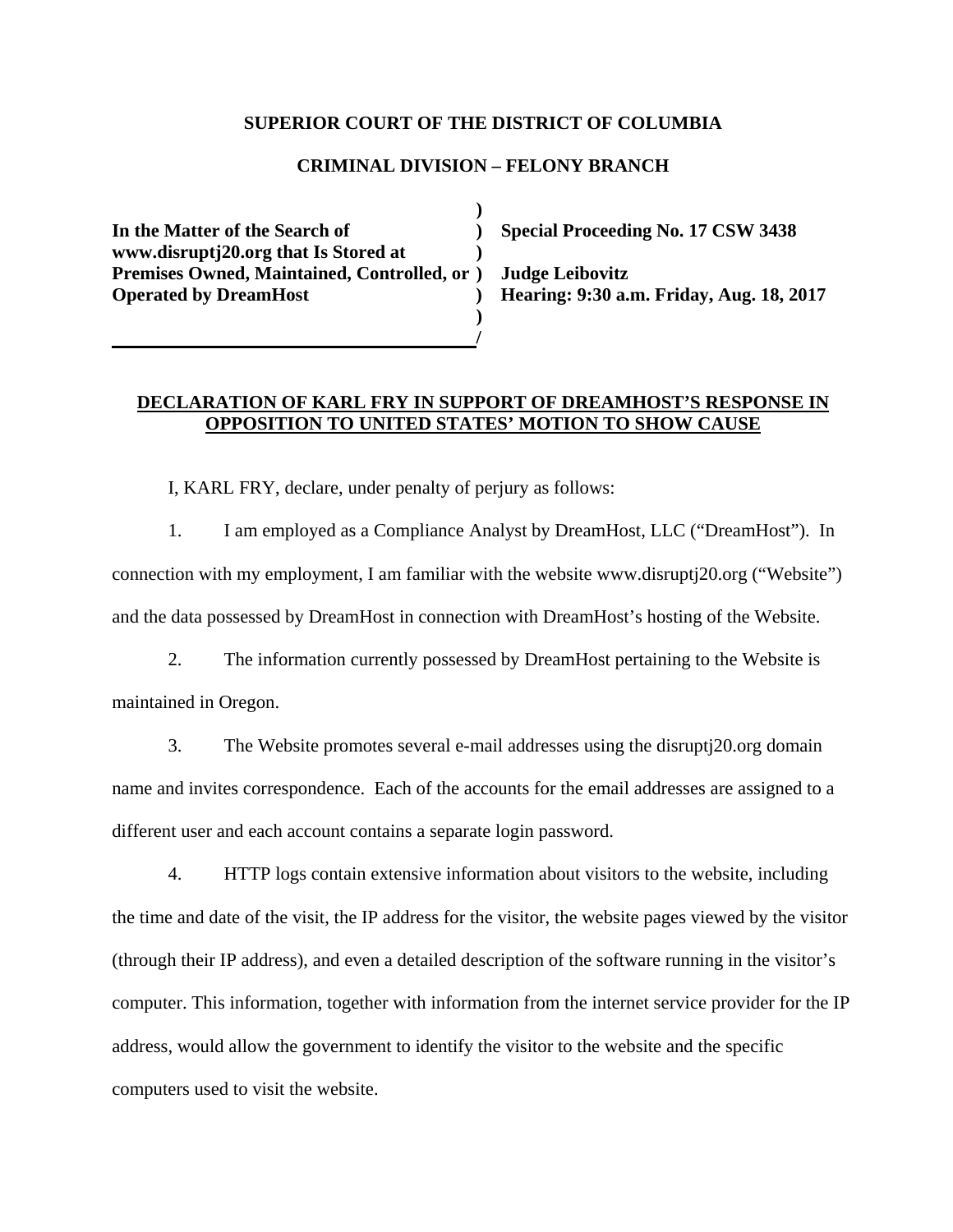## **SUPERIOR COURT OF THE DISTRICT OF COLUMBIA**

## **CRIMINAL DIVISION – FELONY BRANCH**

 **) In the Matter of the Search of ) Special Proceeding No. 17 CSW 3438 www.disruptj20.org that Is Stored at ) Premises Owned, Maintained, Controlled, or ) Judge Leibovitz Operated by DreamHost ) Hearing: 9:30 a.m. Friday, Aug. 18, 2017 )** 

 **/** 

## **DECLARATION OF KARL FRY IN SUPPORT OF DREAMHOST'S RESPONSE IN OPPOSITION TO UNITED STATES' MOTION TO SHOW CAUSE**

I, KARL FRY, declare, under penalty of perjury as follows:

1. I am employed as a Compliance Analyst by DreamHost, LLC ("DreamHost"). In connection with my employment, I am familiar with the website www.disruptj20.org ("Website") and the data possessed by DreamHost in connection with DreamHost's hosting of the Website.

2. The information currently possessed by DreamHost pertaining to the Website is maintained in Oregon.

3. The Website promotes several e-mail addresses using the disruptj20.org domain name and invites correspondence. Each of the accounts for the email addresses are assigned to a different user and each account contains a separate login password.

4. HTTP logs contain extensive information about visitors to the website, including the time and date of the visit, the IP address for the visitor, the website pages viewed by the visitor (through their IP address), and even a detailed description of the software running in the visitor's computer. This information, together with information from the internet service provider for the IP address, would allow the government to identify the visitor to the website and the specific computers used to visit the website.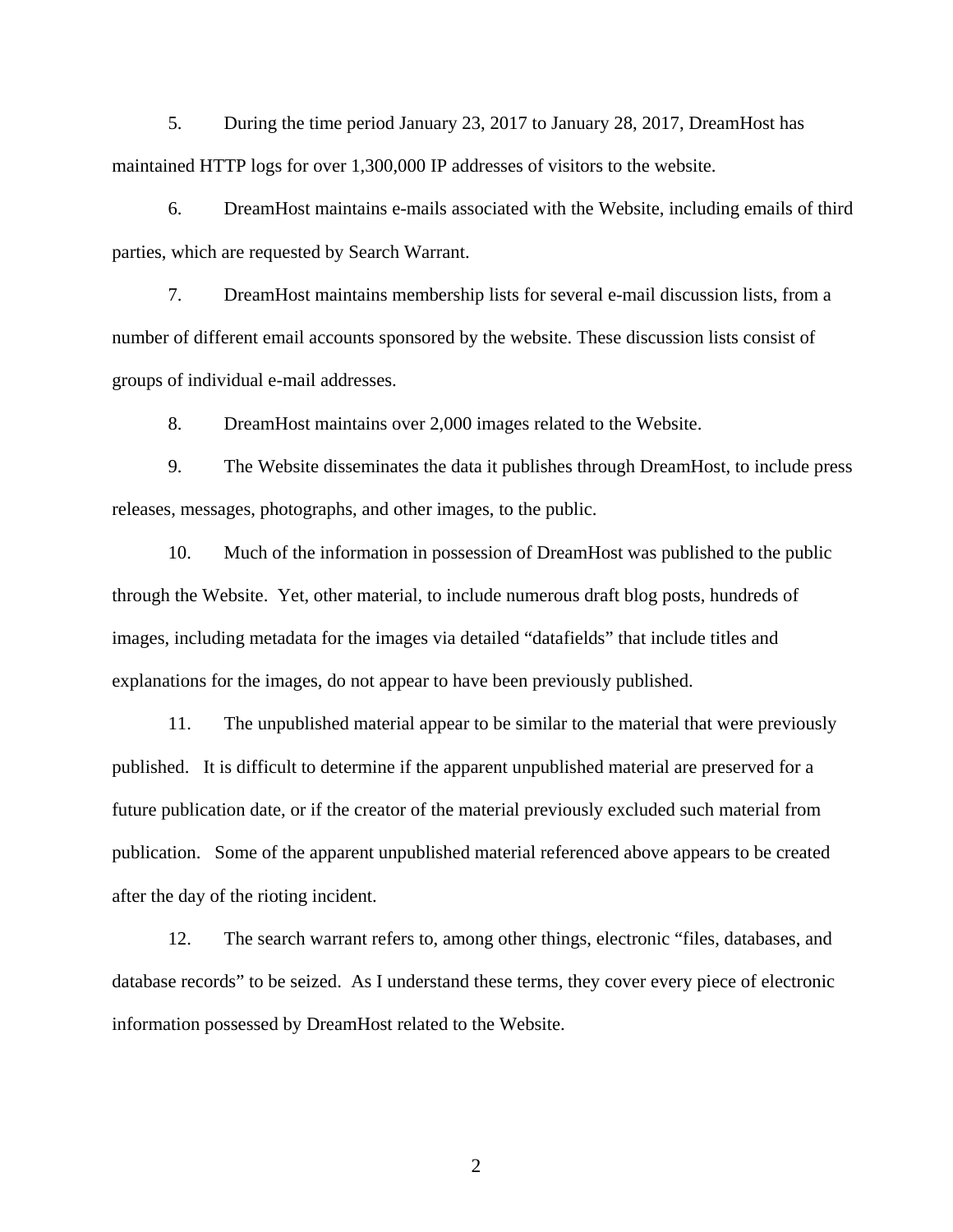5. During the time period January 23, 2017 to January 28, 2017, DreamHost has maintained HTTP logs for over 1,300,000 IP addresses of visitors to the website.

6. DreamHost maintains e-mails associated with the Website, including emails of third parties, which are requested by Search Warrant.

7. DreamHost maintains membership lists for several e-mail discussion lists, from a number of different email accounts sponsored by the website. These discussion lists consist of groups of individual e-mail addresses.

8. DreamHost maintains over 2,000 images related to the Website.

9. The Website disseminates the data it publishes through DreamHost, to include press releases, messages, photographs, and other images, to the public.

10. Much of the information in possession of DreamHost was published to the public through the Website. Yet, other material, to include numerous draft blog posts, hundreds of images, including metadata for the images via detailed "datafields" that include titles and explanations for the images, do not appear to have been previously published.

11. The unpublished material appear to be similar to the material that were previously published. It is difficult to determine if the apparent unpublished material are preserved for a future publication date, or if the creator of the material previously excluded such material from publication. Some of the apparent unpublished material referenced above appears to be created after the day of the rioting incident.

12. The search warrant refers to, among other things, electronic "files, databases, and database records" to be seized. As I understand these terms, they cover every piece of electronic information possessed by DreamHost related to the Website.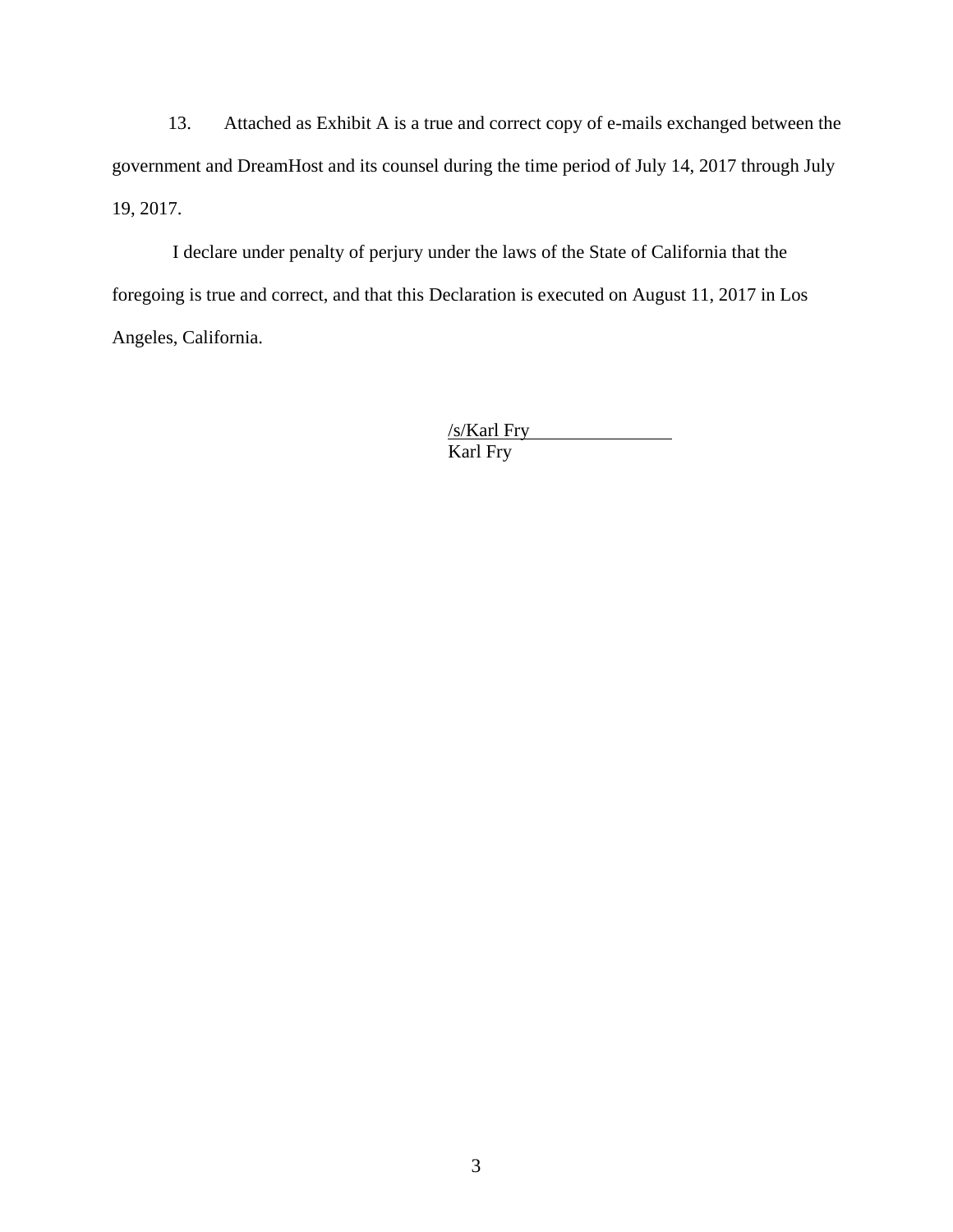13. Attached as Exhibit A is a true and correct copy of e-mails exchanged between the government and DreamHost and its counsel during the time period of July 14, 2017 through July 19, 2017.

 I declare under penalty of perjury under the laws of the State of California that the foregoing is true and correct, and that this Declaration is executed on August 11, 2017 in Los Angeles, California.

> /s/Karl Fry Karl Fry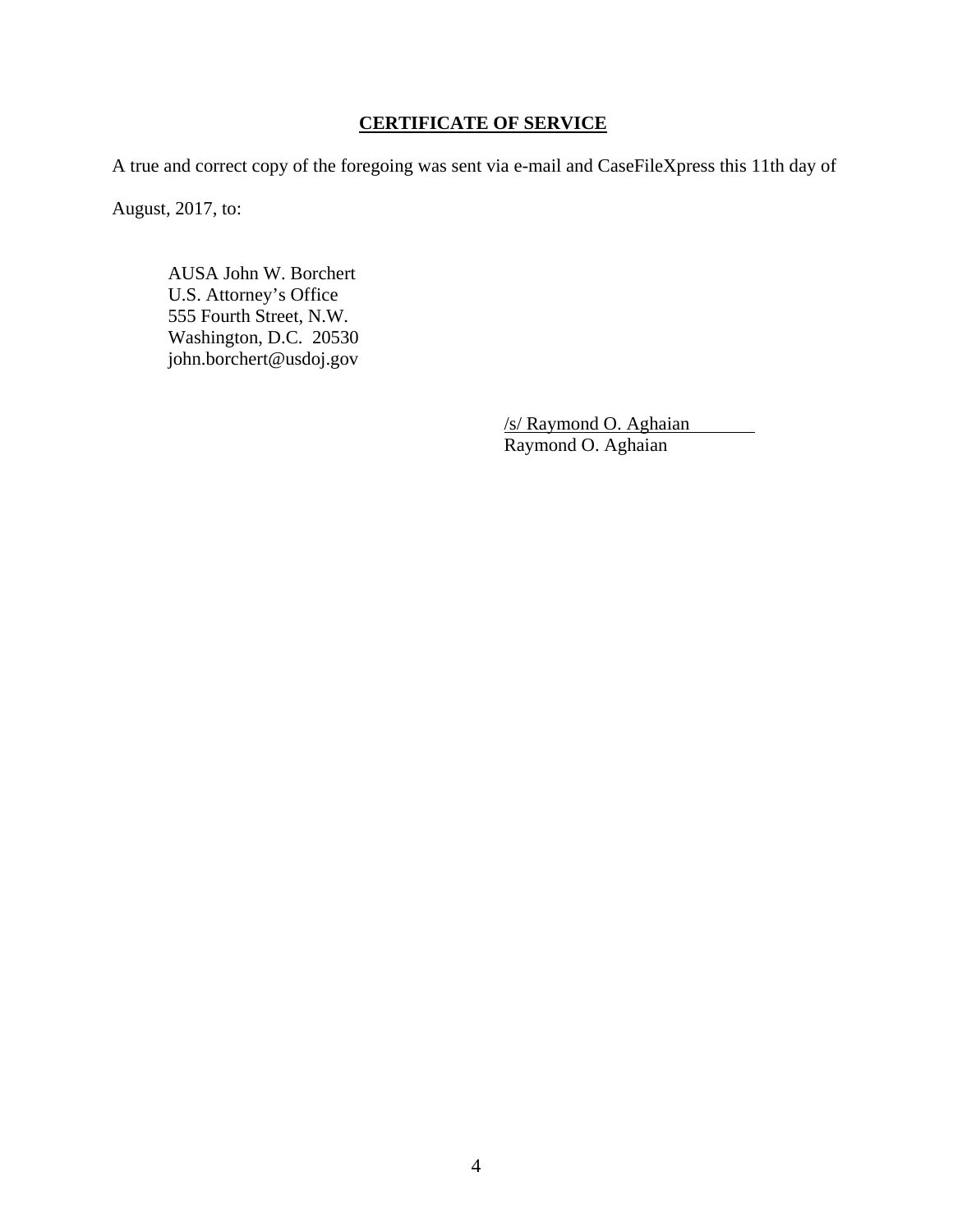# **CERTIFICATE OF SERVICE**

A true and correct copy of the foregoing was sent via e-mail and CaseFileXpress this 11th day of

August, 2017, to:

 AUSA John W. Borchert U.S. Attorney's Office 555 Fourth Street, N.W. Washington, D.C. 20530 john.borchert@usdoj.gov

> /s/ Raymond O. Aghaian Raymond O. Aghaian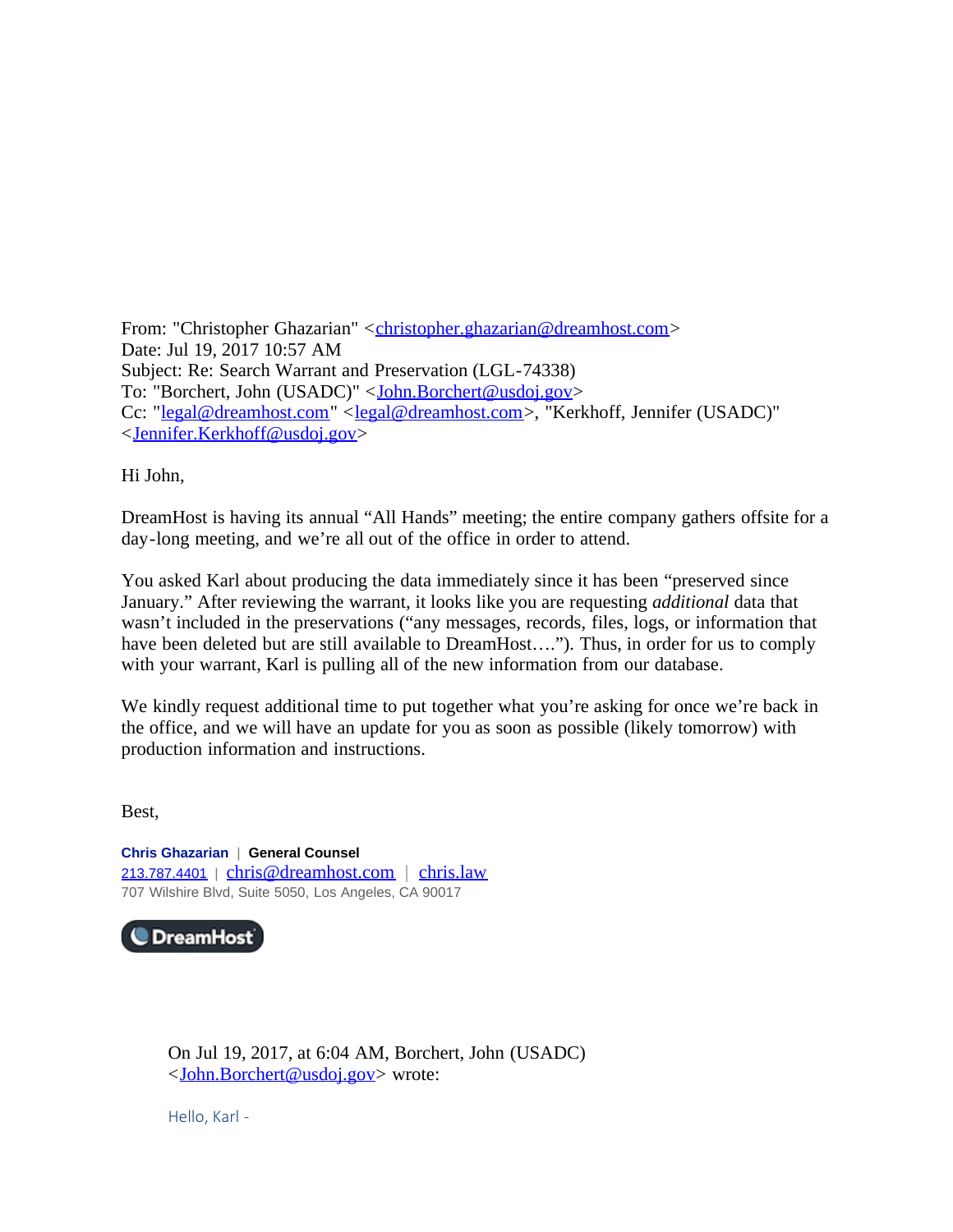From: "Christopher Ghazarian" <christopher.ghazarian@dreamhost.com> Date: Jul 19, 2017 10:57 AM Subject: Re: Search Warrant and Preservation (LGL-74338) To: "Borchert, John (USADC)" < John.Borchert@usdoj.gov> Cc: "legal@dreamhost.com" <legal@dreamhost.com>, "Kerkhoff, Jennifer (USADC)" <Jennifer.Kerkhoff@usdoj.gov>

Hi John,

DreamHost is having its annual "All Hands" meeting; the entire company gathers offsite for a day-long meeting, and we're all out of the office in order to attend.

You asked Karl about producing the data immediately since it has been "preserved since January." After reviewing the warrant, it looks like you are requesting *additional* data that wasn't included in the preservations ("any messages, records, files, logs, or information that have been deleted but are still available to DreamHost...."). Thus, in order for us to comply with your warrant, Karl is pulling all of the new information from our database.

We kindly request additional time to put together what you're asking for once we're back in the office, and we will have an update for you as soon as possible (likely tomorrow) with production information and instructions.

Best,

**Chris Ghazarian** | **General Counsel** 213.787.4401 | chris@dreamhost.com | chris.law 707 Wilshire Blvd, Suite 5050, Los Angeles, CA 90017



On Jul 19, 2017, at 6:04 AM, Borchert, John (USADC) <John.Borchert@usdoj.gov> wrote:

Hello, Karl -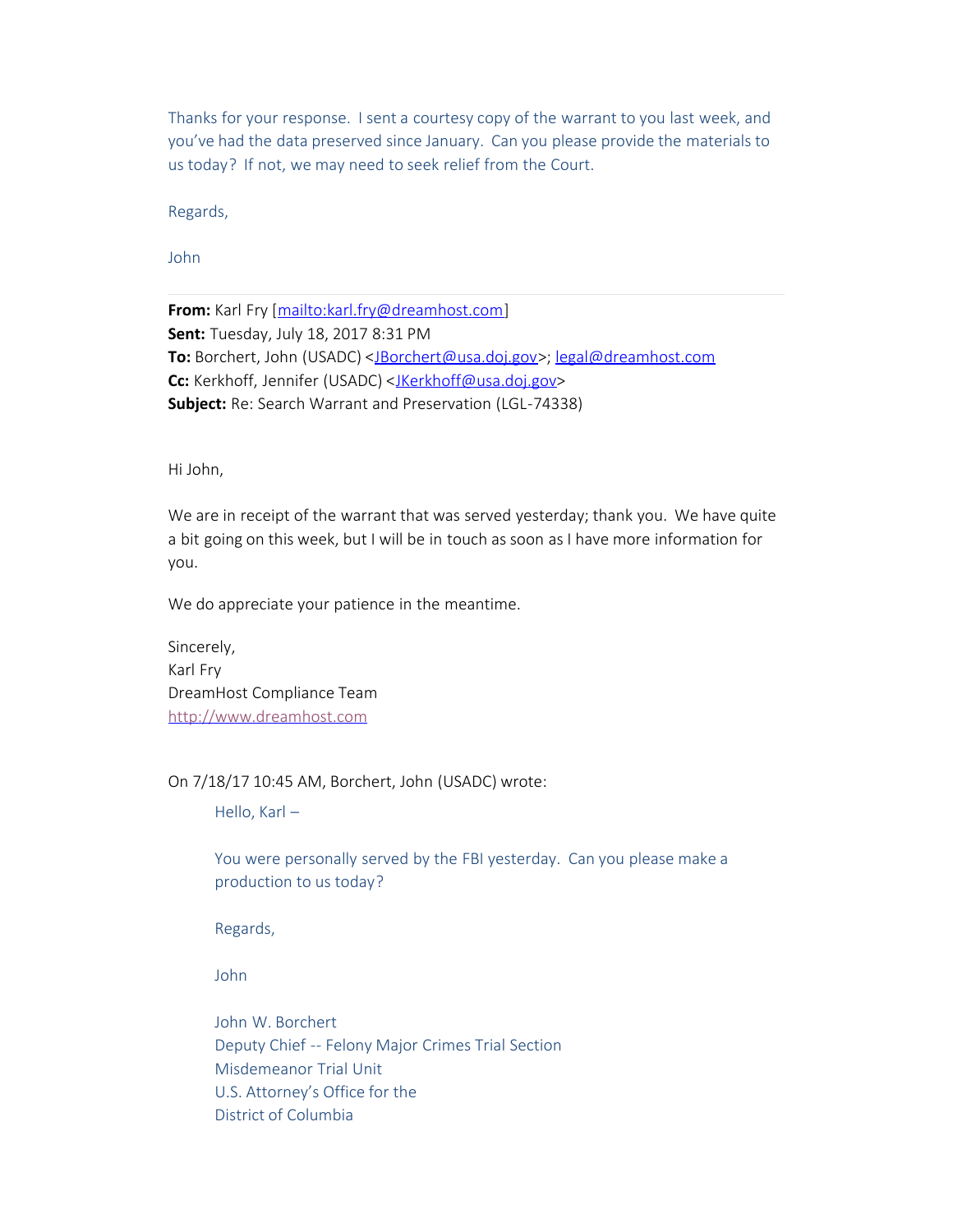Thanks for your response. I sent a courtesy copy of the warrant to you last week, and you've had the data preserved since January. Can you please provide the materials to us today? If not, we may need to seek relief from the Court.

Regards,

John

**From:** Karl Fry [mailto:karl.fry@dreamhost.com] **Sent:** Tuesday, July 18, 2017 8:31 PM **To:** Borchert, John (USADC) <JBorchert@usa.doj.gov>; legal@dreamhost.com **Cc:** Kerkhoff, Jennifer (USADC) <JKerkhoff@usa.doj.gov> **Subject:** Re: Search Warrant and Preservation (LGL-74338)

Hi John,

We are in receipt of the warrant that was served yesterday; thank you. We have quite a bit going on this week, but I will be in touch as soon as I have more information for you.

We do appreciate your patience in the meantime.

Sincerely, Karl Fry DreamHost Compliance Team http://www.dreamhost.com

On 7/18/17 10:45 AM, Borchert, John (USADC) wrote:

Hello, Karl –

You were personally served by the FBI yesterday. Can you please make a production to us today?

Regards,

John

John W. Borchert Deputy Chief -- Felony Major Crimes Trial Section Misdemeanor Trial Unit U.S. Attorney's Office for the District of Columbia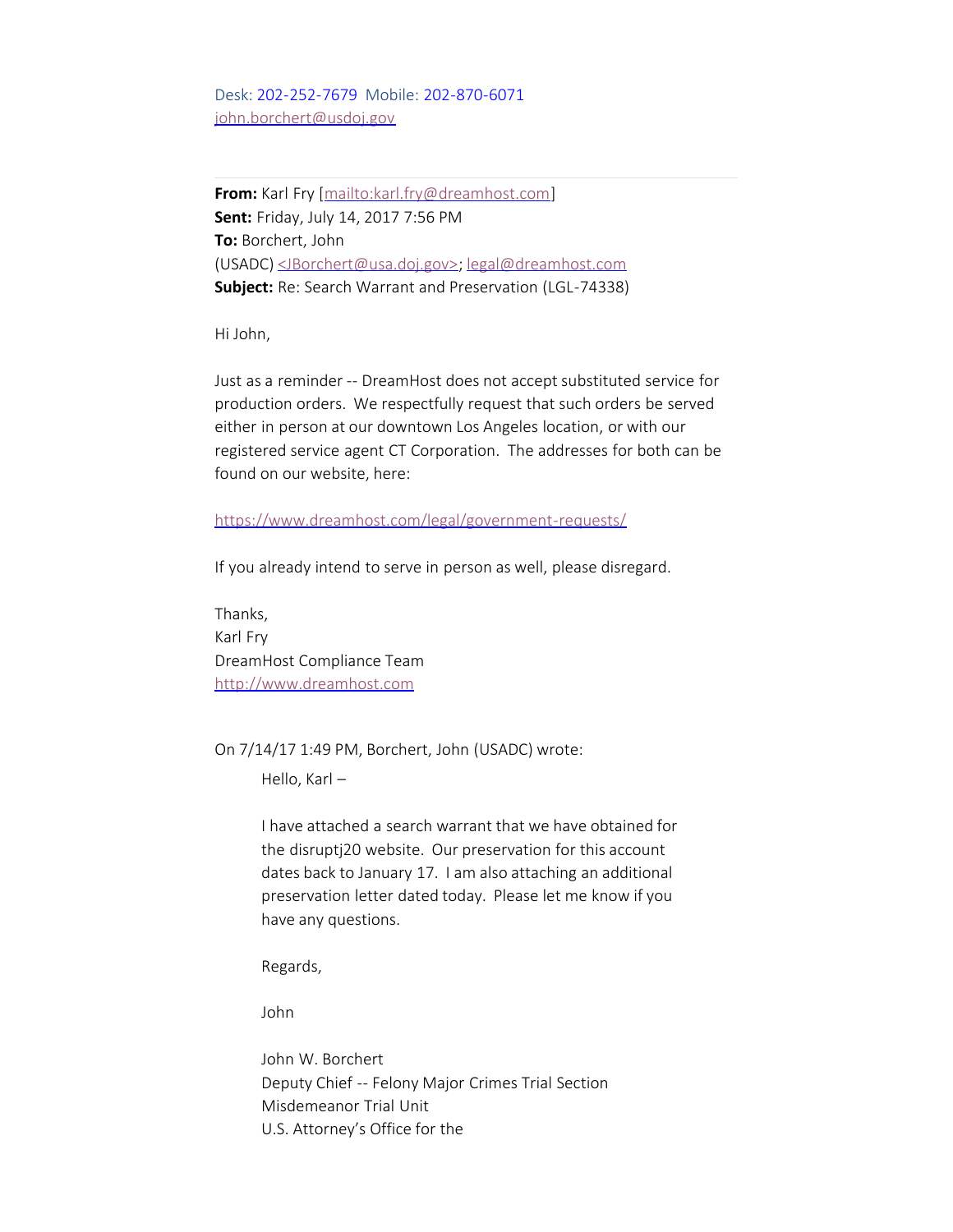Desk: 202-252-7679 Mobile: 202-870-6071 john.borchert@usdoj.gov

**From:** Karl Fry [mailto:karl.fry@dreamhost.com] **Sent:** Friday, July 14, 2017 7:56 PM **To:** Borchert, John (USADC) <JBorchert@usa.doj.gov>; legal@dreamhost.com **Subject:** Re: Search Warrant and Preservation (LGL-74338)

Hi John,

Just as a reminder -- DreamHost does not accept substituted service for production orders. We respectfully request that such orders be served either in person at our downtown Los Angeles location, or with our registered service agent CT Corporation. The addresses for both can be found on our website, here:

https://www.dreamhost.com/legal/government-requests/

If you already intend to serve in person as well, please disregard.

Thanks, Karl Fry DreamHost Compliance Team http://www.dreamhost.com

On 7/14/17 1:49 PM, Borchert, John (USADC) wrote:

Hello, Karl –

I have attached a search warrant that we have obtained for the disruptj20 website. Our preservation for this account dates back to January 17. I am also attaching an additional preservation letter dated today. Please let me know if you have any questions.

Regards,

John

John W. Borchert Deputy Chief -- Felony Major Crimes Trial Section Misdemeanor Trial Unit U.S. Attorney's Office for the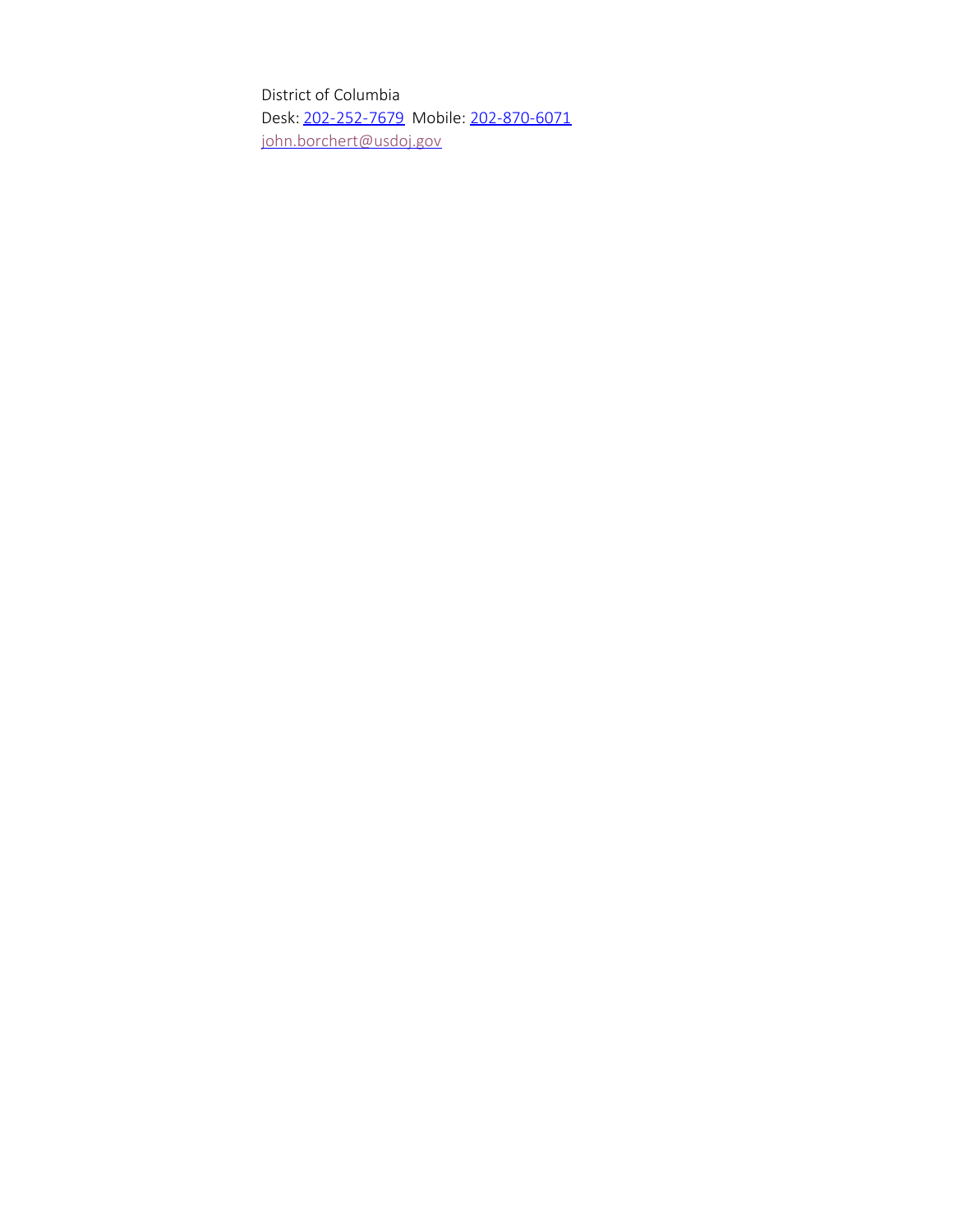District of Columbia Desk: 202-252-7679 Mobile: 202-870-6071 john.borchert@usdoj.gov